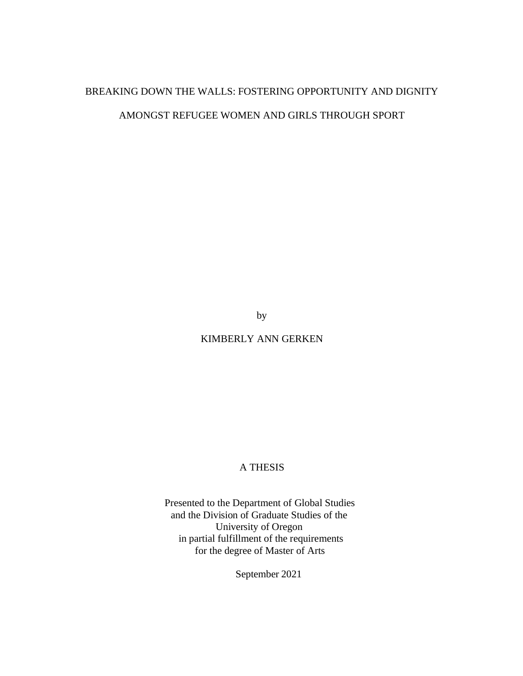# BREAKING DOWN THE WALLS: FOSTERING OPPORTUNITY AND DIGNITY AMONGST REFUGEE WOMEN AND GIRLS THROUGH SPORT

by

KIMBERLY ANN GERKEN

# A THESIS

Presented to the Department of Global Studies and the Division of Graduate Studies of the University of Oregon in partial fulfillment of the requirements for the degree of Master of Arts

September 2021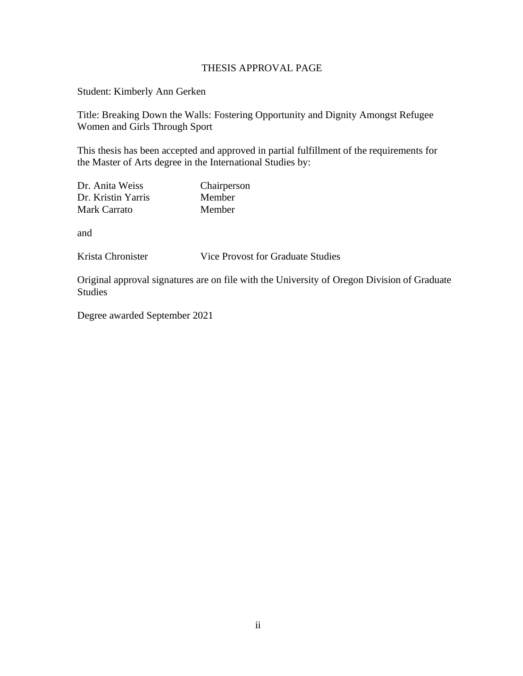# THESIS APPROVAL PAGE

Student: Kimberly Ann Gerken

Title: Breaking Down the Walls: Fostering Opportunity and Dignity Amongst Refugee Women and Girls Through Sport

This thesis has been accepted and approved in partial fulfillment of the requirements for the Master of Arts degree in the International Studies by:

| Dr. Anita Weiss    | Chairperson   |
|--------------------|---------------|
| Dr. Kristin Yarris | <b>Member</b> |
| Mark Carrato       | Member        |

and

Krista Chronister Vice Provost for Graduate Studies

Original approval signatures are on file with the University of Oregon Division of Graduate Studies

Degree awarded September 2021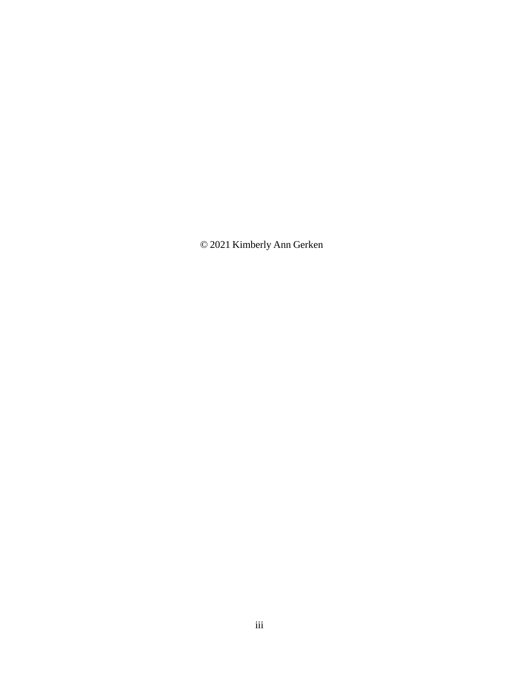© 2021 Kimberly Ann Gerken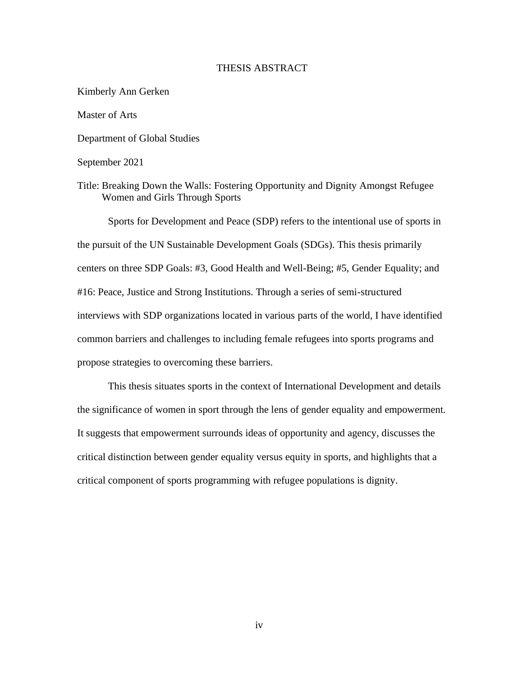### THESIS ABSTRACT

Kimberly Ann Gerken Master of Arts Department of Global Studies September 2021 Title: Breaking Down the Walls: Fostering Opportunity and Dignity Amongst Refugee Women and Girls Through Sports

Sports for Development and Peace (SDP) refers to the intentional use of sports in the pursuit of the UN Sustainable Development Goals (SDGs). This thesis primarily centers on three SDP Goals: #3, Good Health and Well-Being; #5, Gender Equality; and #16: Peace, Justice and Strong Institutions. Through a series of semi-structured interviews with SDP organizations located in various parts of the world, I have identified common barriers and challenges to including female refugees into sports programs and propose strategies to overcoming these barriers.

This thesis situates sports in the context of International Development and details the significance of women in sport through the lens of gender equality and empowerment. It suggests that empowerment surrounds ideas of opportunity and agency, discusses the critical distinction between gender equality versus equity in sports, and highlights that a critical component of sports programming with refugee populations is dignity.

iv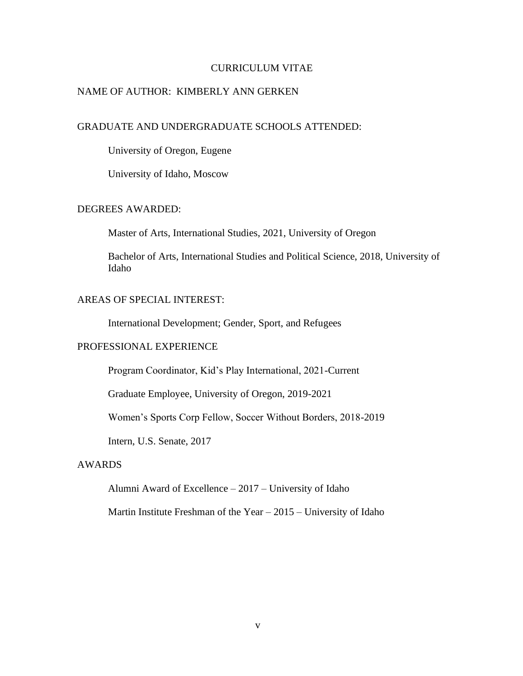### CURRICULUM VITAE

# NAME OF AUTHOR: KIMBERLY ANN GERKEN

# GRADUATE AND UNDERGRADUATE SCHOOLS ATTENDED:

University of Oregon, Eugene

University of Idaho, Moscow

# DEGREES AWARDED:

Master of Arts, International Studies, 2021, University of Oregon

Bachelor of Arts, International Studies and Political Science, 2018, University of Idaho

# AREAS OF SPECIAL INTEREST:

International Development; Gender, Sport, and Refugees

### PROFESSIONAL EXPERIENCE

Program Coordinator, Kid's Play International, 2021-Current

Graduate Employee, University of Oregon, 2019-2021

Women's Sports Corp Fellow, Soccer Without Borders, 2018-2019

Intern, U.S. Senate, 2017

# AWARDS

Alumni Award of Excellence – 2017 – University of Idaho

Martin Institute Freshman of the Year – 2015 – University of Idaho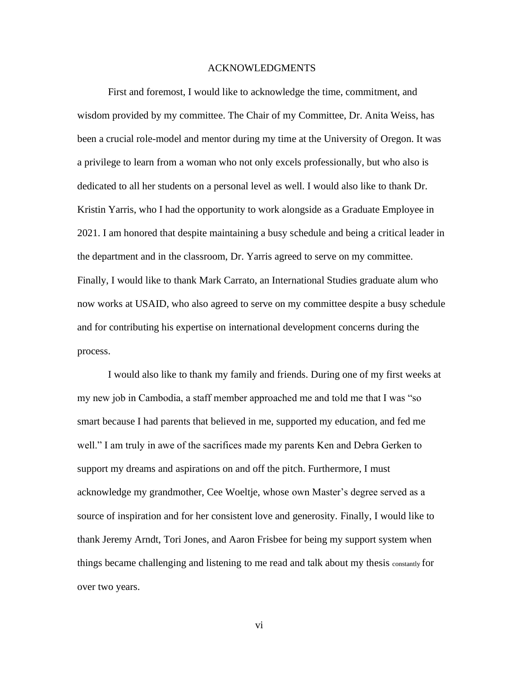#### ACKNOWLEDGMENTS

First and foremost, I would like to acknowledge the time, commitment, and wisdom provided by my committee. The Chair of my Committee, Dr. Anita Weiss, has been a crucial role-model and mentor during my time at the University of Oregon. It was a privilege to learn from a woman who not only excels professionally, but who also is dedicated to all her students on a personal level as well. I would also like to thank Dr. Kristin Yarris, who I had the opportunity to work alongside as a Graduate Employee in 2021. I am honored that despite maintaining a busy schedule and being a critical leader in the department and in the classroom, Dr. Yarris agreed to serve on my committee. Finally, I would like to thank Mark Carrato, an International Studies graduate alum who now works at USAID, who also agreed to serve on my committee despite a busy schedule and for contributing his expertise on international development concerns during the process.

I would also like to thank my family and friends. During one of my first weeks at my new job in Cambodia, a staff member approached me and told me that I was "so smart because I had parents that believed in me, supported my education, and fed me well." I am truly in awe of the sacrifices made my parents Ken and Debra Gerken to support my dreams and aspirations on and off the pitch. Furthermore, I must acknowledge my grandmother, Cee Woeltje, whose own Master's degree served as a source of inspiration and for her consistent love and generosity. Finally, I would like to thank Jeremy Arndt, Tori Jones, and Aaron Frisbee for being my support system when things became challenging and listening to me read and talk about my thesis constantly for over two years.

vi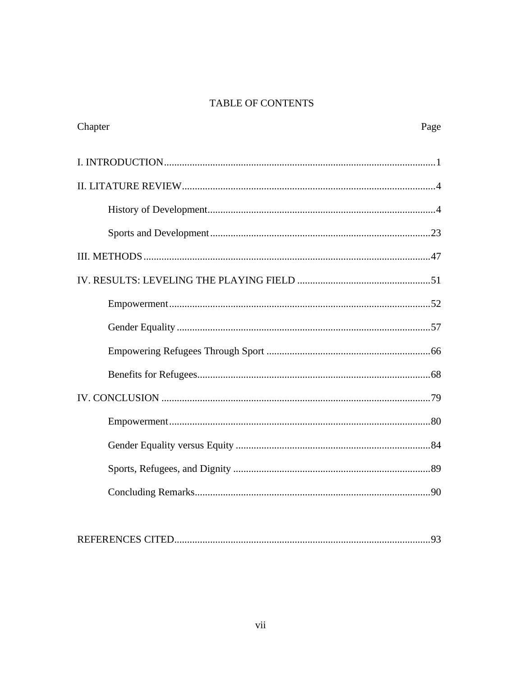# TABLE OF CONTENTS

| Chapter | Page |
|---------|------|
|         |      |
|         |      |
|         |      |
|         |      |
|         |      |
|         |      |
|         |      |
|         |      |
|         |      |
|         |      |
|         |      |
|         |      |
|         |      |
|         |      |
|         |      |
|         |      |

|--|--|--|--|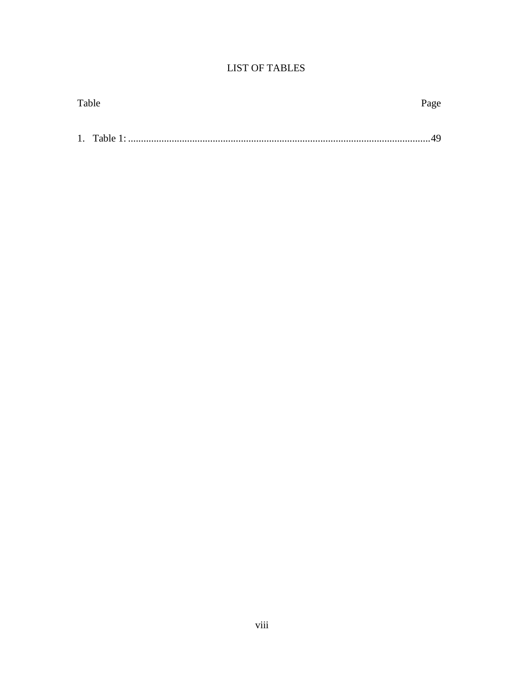# **LIST OF TABLES**

| Table | Page |
|-------|------|
|       |      |
|       |      |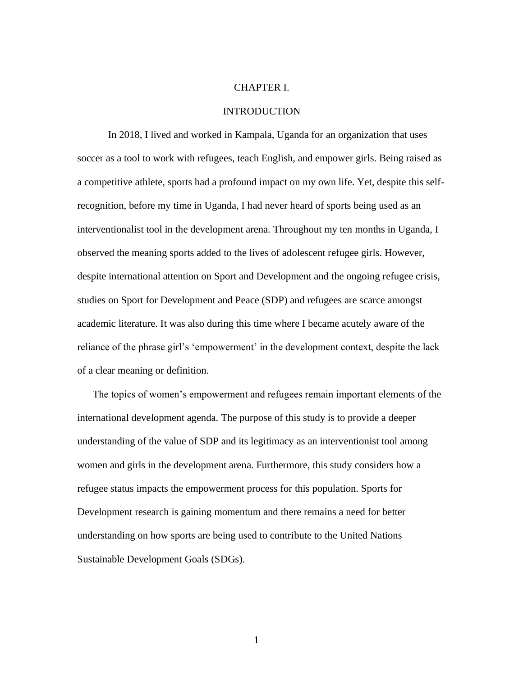#### CHAPTER I.

#### **INTRODUCTION**

In 2018, I lived and worked in Kampala, Uganda for an organization that uses soccer as a tool to work with refugees, teach English, and empower girls. Being raised as a competitive athlete, sports had a profound impact on my own life. Yet, despite this selfrecognition, before my time in Uganda, I had never heard of sports being used as an interventionalist tool in the development arena. Throughout my ten months in Uganda, I observed the meaning sports added to the lives of adolescent refugee girls. However, despite international attention on Sport and Development and the ongoing refugee crisis, studies on Sport for Development and Peace (SDP) and refugees are scarce amongst academic literature. It was also during this time where I became acutely aware of the reliance of the phrase girl's 'empowerment' in the development context, despite the lack of a clear meaning or definition.

The topics of women's empowerment and refugees remain important elements of the international development agenda. The purpose of this study is to provide a deeper understanding of the value of SDP and its legitimacy as an interventionist tool among women and girls in the development arena. Furthermore, this study considers how a refugee status impacts the empowerment process for this population. Sports for Development research is gaining momentum and there remains a need for better understanding on how sports are being used to contribute to the United Nations Sustainable Development Goals (SDGs).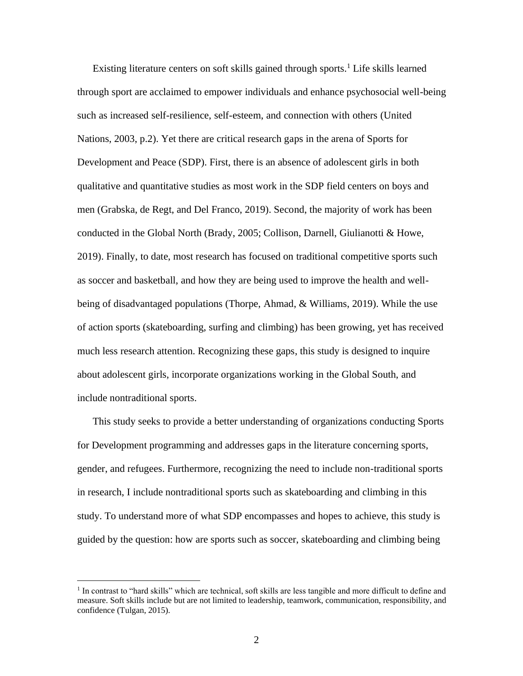Existing literature centers on soft skills gained through sports.<sup>1</sup> Life skills learned through sport are acclaimed to empower individuals and enhance psychosocial well-being such as increased self-resilience, self-esteem, and connection with others (United Nations, 2003, p.2). Yet there are critical research gaps in the arena of Sports for Development and Peace (SDP). First, there is an absence of adolescent girls in both qualitative and quantitative studies as most work in the SDP field centers on boys and men (Grabska, de Regt, and Del Franco, 2019). Second, the majority of work has been conducted in the Global North (Brady, 2005; Collison, Darnell, Giulianotti & Howe, 2019). Finally, to date, most research has focused on traditional competitive sports such as soccer and basketball, and how they are being used to improve the health and wellbeing of disadvantaged populations (Thorpe, Ahmad, & Williams, 2019). While the use of action sports (skateboarding, surfing and climbing) has been growing, yet has received much less research attention. Recognizing these gaps, this study is designed to inquire about adolescent girls, incorporate organizations working in the Global South, and include nontraditional sports.

This study seeks to provide a better understanding of organizations conducting Sports for Development programming and addresses gaps in the literature concerning sports, gender, and refugees. Furthermore, recognizing the need to include non-traditional sports in research, I include nontraditional sports such as skateboarding and climbing in this study. To understand more of what SDP encompasses and hopes to achieve, this study is guided by the question: how are sports such as soccer, skateboarding and climbing being

<sup>&</sup>lt;sup>1</sup> In contrast to "hard skills" which are technical, soft skills are less tangible and more difficult to define and measure. Soft skills include but are not limited to leadership, teamwork, communication, responsibility, and confidence (Tulgan, 2015).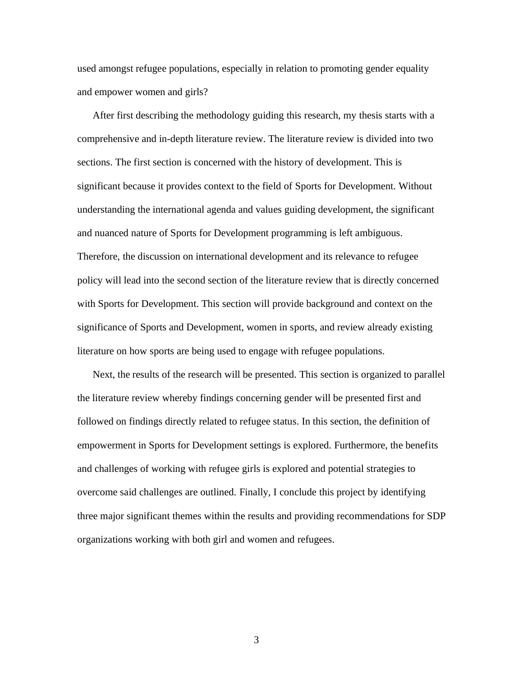used amongst refugee populations, especially in relation to promoting gender equality and empower women and girls?

After first describing the methodology guiding this research, my thesis starts with a comprehensive and in-depth literature review. The literature review is divided into two sections. The first section is concerned with the history of development. This is significant because it provides context to the field of Sports for Development. Without understanding the international agenda and values guiding development, the significant and nuanced nature of Sports for Development programming is left ambiguous. Therefore, the discussion on international development and its relevance to refugee policy will lead into the second section of the literature review that is directly concerned with Sports for Development. This section will provide background and context on the significance of Sports and Development, women in sports, and review already existing literature on how sports are being used to engage with refugee populations.

Next, the results of the research will be presented. This section is organized to parallel the literature review whereby findings concerning gender will be presented first and followed on findings directly related to refugee status. In this section, the definition of empowerment in Sports for Development settings is explored. Furthermore, the benefits and challenges of working with refugee girls is explored and potential strategies to overcome said challenges are outlined. Finally, I conclude this project by identifying three major significant themes within the results and providing recommendations for SDP organizations working with both girl and women and refugees.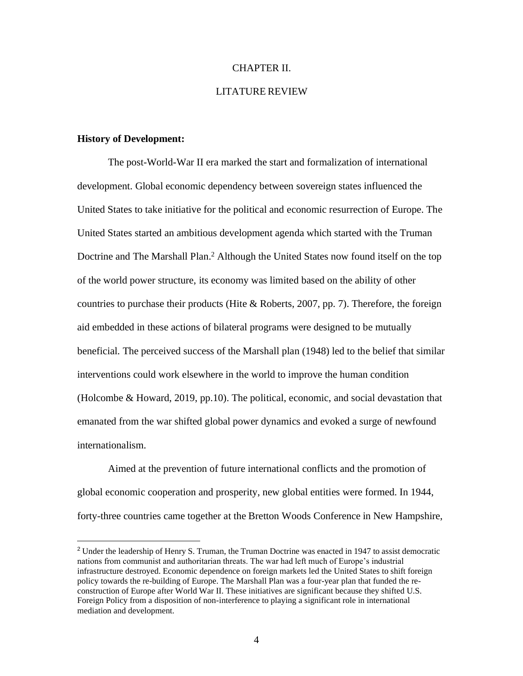#### CHAPTER II.

### LITATURE REVIEW

### <span id="page-11-0"></span>**History of Development:**

The post-World-War II era marked the start and formalization of international development. Global economic dependency between sovereign states influenced the United States to take initiative for the political and economic resurrection of Europe. The United States started an ambitious development agenda which started with the Truman Doctrine and The Marshall Plan.<sup>2</sup> Although the United States now found itself on the top of the world power structure, its economy was limited based on the ability of other countries to purchase their products (Hite  $\&$  Roberts, 2007, pp. 7). Therefore, the foreign aid embedded in these actions of bilateral programs were designed to be mutually beneficial. The perceived success of the Marshall plan (1948) led to the belief that similar interventions could work elsewhere in the world to improve the human condition (Holcombe & Howard, 2019, pp.10). The political, economic, and social devastation that emanated from the war shifted global power dynamics and evoked a surge of newfound internationalism.

Aimed at the prevention of future international conflicts and the promotion of global economic cooperation and prosperity, new global entities were formed. In 1944, forty-three countries came together at the Bretton Woods Conference in New Hampshire,

<sup>2</sup> Under the leadership of Henry S. Truman, the Truman Doctrine was enacted in 1947 to assist democratic nations from communist and authoritarian threats. The war had left much of Europe's industrial infrastructure destroyed. Economic dependence on foreign markets led the United States to shift foreign policy towards the re-building of Europe. The Marshall Plan was a four-year plan that funded the reconstruction of Europe after World War II. These initiatives are significant because they shifted U.S. Foreign Policy from a disposition of non-interference to playing a significant role in international mediation and development.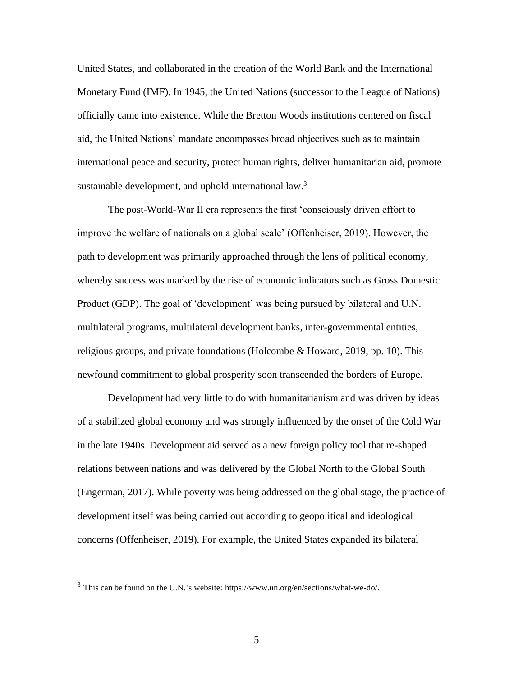United States, and collaborated in the creation of the World Bank and the International Monetary Fund (IMF). In 1945, the United Nations (successor to the League of Nations) officially came into existence. While the Bretton Woods institutions centered on fiscal aid, the United Nations' mandate encompasses broad objectives such as to maintain international peace and security, protect human rights, deliver humanitarian aid, promote sustainable development, and uphold international law.<sup>3</sup>

The post-World-War II era represents the first 'consciously driven effort to improve the welfare of nationals on a global scale' (Offenheiser, 2019). However, the path to development was primarily approached through the lens of political economy, whereby success was marked by the rise of economic indicators such as Gross Domestic Product (GDP). The goal of 'development' was being pursued by bilateral and U.N. multilateral programs, multilateral development banks, inter-governmental entities, religious groups, and private foundations (Holcombe & Howard, 2019, pp. 10). This newfound commitment to global prosperity soon transcended the borders of Europe.

Development had very little to do with humanitarianism and was driven by ideas of a stabilized global economy and was strongly influenced by the onset of the Cold War in the late 1940s. Development aid served as a new foreign policy tool that re-shaped relations between nations and was delivered by the Global North to the Global South (Engerman, 2017). While poverty was being addressed on the global stage, the practice of development itself was being carried out according to geopolitical and ideological concerns (Offenheiser, 2019). For example, the United States expanded its bilateral

<sup>3</sup> This can be found on the U.N.'s website: https:/[/www.un.org/en/sections/what-we-do/.](http://www.un.org/en/sections/what-we-do/)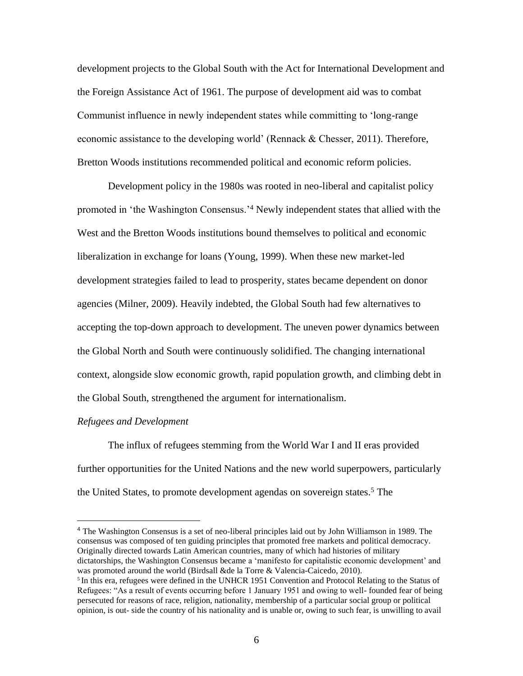development projects to the Global South with the Act for International Development and the Foreign Assistance Act of 1961. The purpose of development aid was to combat Communist influence in newly independent states while committing to 'long-range economic assistance to the developing world' (Rennack & Chesser, 2011). Therefore, Bretton Woods institutions recommended political and economic reform policies.

Development policy in the 1980s was rooted in neo-liberal and capitalist policy promoted in 'the Washington Consensus.'<sup>4</sup> Newly independent states that allied with the West and the Bretton Woods institutions bound themselves to political and economic liberalization in exchange for loans (Young, 1999). When these new market-led development strategies failed to lead to prosperity, states became dependent on donor agencies (Milner, 2009). Heavily indebted, the Global South had few alternatives to accepting the top-down approach to development. The uneven power dynamics between the Global North and South were continuously solidified. The changing international context, alongside slow economic growth, rapid population growth, and climbing debt in the Global South, strengthened the argument for internationalism.

### *Refugees and Development*

The influx of refugees stemming from the World War I and II eras provided further opportunities for the United Nations and the new world superpowers, particularly the United States, to promote development agendas on sovereign states.<sup>5</sup> The

<sup>4</sup> The Washington Consensus is a set of neo-liberal principles laid out by John Williamson in 1989. The consensus was composed of ten guiding principles that promoted free markets and political democracy. Originally directed towards Latin American countries, many of which had histories of military dictatorships, the Washington Consensus became a 'manifesto for capitalistic economic development' and was promoted around the world (Birdsall &de la Torre & Valencia-Caicedo, 2010).

<sup>&</sup>lt;sup>5</sup> In this era, refugees were defined in the UNHCR 1951 Convention and Protocol Relating to the Status of Refugees: "As a result of events occurring before 1 January 1951 and owing to well- founded fear of being persecuted for reasons of race, religion, nationality, membership of a particular social group or political opinion, is out- side the country of his nationality and is unable or, owing to such fear, is unwilling to avail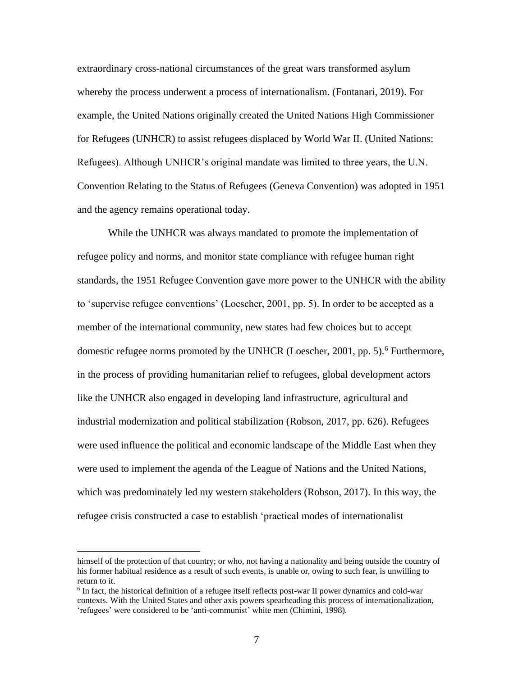extraordinary cross-national circumstances of the great wars transformed asylum whereby the process underwent a process of internationalism. (Fontanari, 2019). For example, the United Nations originally created the United Nations High Commissioner for Refugees (UNHCR) to assist refugees displaced by World War II. (United Nations: Refugees). Although UNHCR's original mandate was limited to three years, the U.N. Convention Relating to the Status of Refugees (Geneva Convention) was adopted in 1951 and the agency remains operational today.

While the UNHCR was always mandated to promote the implementation of refugee policy and norms, and monitor state compliance with refugee human right standards, the 1951 Refugee Convention gave more power to the UNHCR with the ability to 'supervise refugee conventions' (Loescher, 2001, pp. 5). In order to be accepted as a member of the international community, new states had few choices but to accept domestic refugee norms promoted by the UNHCR (Loescher, 2001, pp. 5).<sup>6</sup> Furthermore, in the process of providing humanitarian relief to refugees, global development actors like the UNHCR also engaged in developing land infrastructure, agricultural and industrial modernization and political stabilization (Robson, 2017, pp. 626). Refugees were used influence the political and economic landscape of the Middle East when they were used to implement the agenda of the League of Nations and the United Nations, which was predominately led my western stakeholders (Robson, 2017). In this way, the refugee crisis constructed a case to establish 'practical modes of internationalist

himself of the protection of that country; or who, not having a nationality and being outside the country of his former habitual residence as a result of such events, is unable or, owing to such fear, is unwilling to return to it.

<sup>&</sup>lt;sup>6</sup> In fact, the historical definition of a refugee itself reflects post-war II power dynamics and cold-war contexts. With the United States and other axis powers spearheading this process of internationalization, 'refugees' were considered to be 'anti-communist' white men (Chimini, 1998).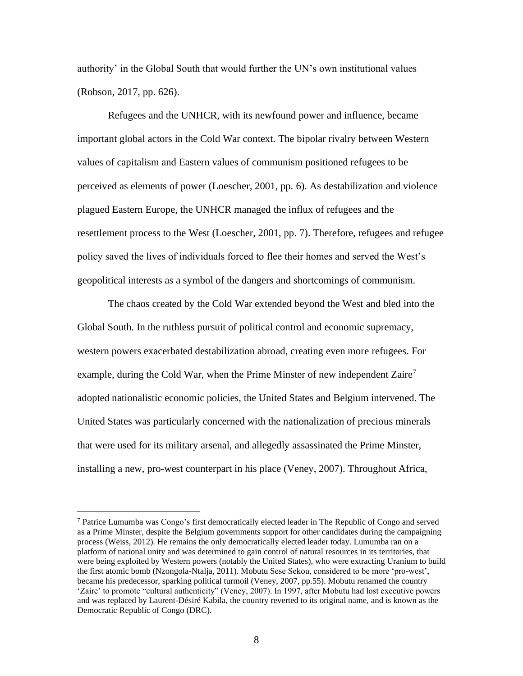authority' in the Global South that would further the UN's own institutional values (Robson, 2017, pp. 626).

Refugees and the UNHCR, with its newfound power and influence, became important global actors in the Cold War context. The bipolar rivalry between Western values of capitalism and Eastern values of communism positioned refugees to be perceived as elements of power (Loescher, 2001, pp. 6). As destabilization and violence plagued Eastern Europe, the UNHCR managed the influx of refugees and the resettlement process to the West (Loescher, 2001, pp. 7). Therefore, refugees and refugee policy saved the lives of individuals forced to flee their homes and served the West's geopolitical interests as a symbol of the dangers and shortcomings of communism.

The chaos created by the Cold War extended beyond the West and bled into the Global South. In the ruthless pursuit of political control and economic supremacy, western powers exacerbated destabilization abroad, creating even more refugees. For example, during the Cold War, when the Prime Minster of new independent Zaire<sup>7</sup> adopted nationalistic economic policies, the United States and Belgium intervened. The United States was particularly concerned with the nationalization of precious minerals that were used for its military arsenal, and allegedly assassinated the Prime Minster, installing a new, pro-west counterpart in his place (Veney, 2007). Throughout Africa,

<sup>7</sup> Patrice Lumumba was Congo's first democratically elected leader in The Republic of Congo and served as a Prime Minster, despite the Belgium governments support for other candidates during the campaigning process (Weiss, 2012). He remains the only democratically elected leader today. Lumumba ran on a platform of national unity and was determined to gain control of natural resources in its territories, that were being exploited by Western powers (notably the United States), who were extracting Uranium to build the first atomic bomb (Nzongola-Ntalja, 2011). Mobutu Sese Sekou, considered to be more 'pro-west', became his predecessor, sparking political turmoil (Veney, 2007, pp.55). Mobutu renamed the country 'Zaire' to promote "cultural authenticity" (Veney, 2007). In 1997, after Mobutu had lost executive powers and was replaced by Laurent-Désiré Kabila, the country reverted to its original name, and is known as the Democratic Republic of Congo (DRC).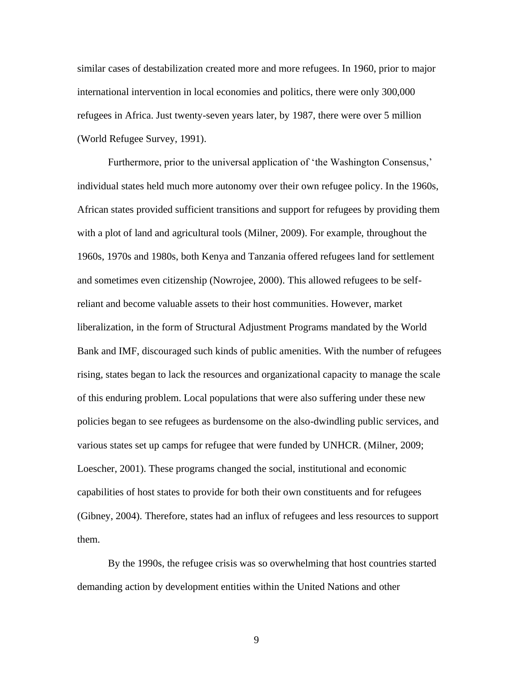similar cases of destabilization created more and more refugees. In 1960, prior to major international intervention in local economies and politics, there were only 300,000 refugees in Africa. Just twenty-seven years later, by 1987, there were over 5 million (World Refugee Survey, 1991).

Furthermore, prior to the universal application of 'the Washington Consensus,' individual states held much more autonomy over their own refugee policy. In the 1960s, African states provided sufficient transitions and support for refugees by providing them with a plot of land and agricultural tools (Milner, 2009). For example, throughout the 1960s, 1970s and 1980s, both Kenya and Tanzania offered refugees land for settlement and sometimes even citizenship (Nowrojee, 2000). This allowed refugees to be selfreliant and become valuable assets to their host communities. However, market liberalization, in the form of Structural Adjustment Programs mandated by the World Bank and IMF, discouraged such kinds of public amenities. With the number of refugees rising, states began to lack the resources and organizational capacity to manage the scale of this enduring problem. Local populations that were also suffering under these new policies began to see refugees as burdensome on the also-dwindling public services, and various states set up camps for refugee that were funded by UNHCR. (Milner, 2009; Loescher, 2001). These programs changed the social, institutional and economic capabilities of host states to provide for both their own constituents and for refugees (Gibney, 2004). Therefore, states had an influx of refugees and less resources to support them.

By the 1990s, the refugee crisis was so overwhelming that host countries started demanding action by development entities within the United Nations and other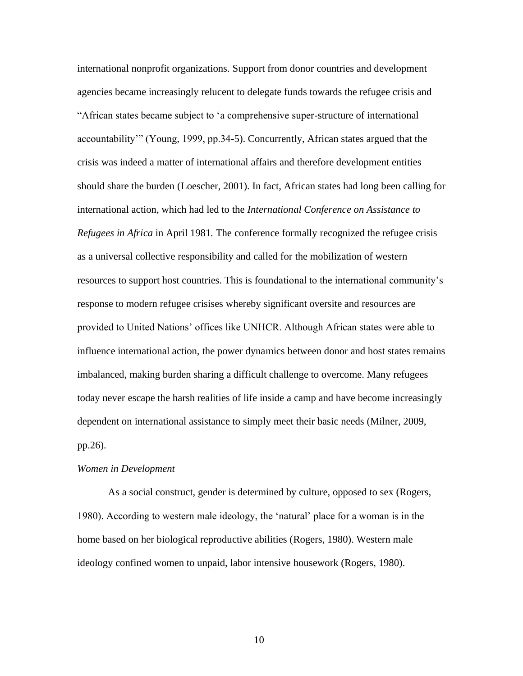international nonprofit organizations. Support from donor countries and development agencies became increasingly relucent to delegate funds towards the refugee crisis and "African states became subject to 'a comprehensive super-structure of international accountability'" (Young, 1999, pp.34-5). Concurrently, African states argued that the crisis was indeed a matter of international affairs and therefore development entities should share the burden (Loescher, 2001). In fact, African states had long been calling for international action, which had led to the *International Conference on Assistance to Refugees in Africa* in April 1981*.* The conference formally recognized the refugee crisis as a universal collective responsibility and called for the mobilization of western resources to support host countries. This is foundational to the international community's response to modern refugee crisises whereby significant oversite and resources are provided to United Nations' offices like UNHCR. Although African states were able to influence international action, the power dynamics between donor and host states remains imbalanced, making burden sharing a difficult challenge to overcome. Many refugees today never escape the harsh realities of life inside a camp and have become increasingly dependent on international assistance to simply meet their basic needs (Milner, 2009, pp.26).

### *Women in Development*

As a social construct, gender is determined by culture, opposed to sex (Rogers, 1980). According to western male ideology, the 'natural' place for a woman is in the home based on her biological reproductive abilities (Rogers, 1980). Western male ideology confined women to unpaid, labor intensive housework (Rogers, 1980).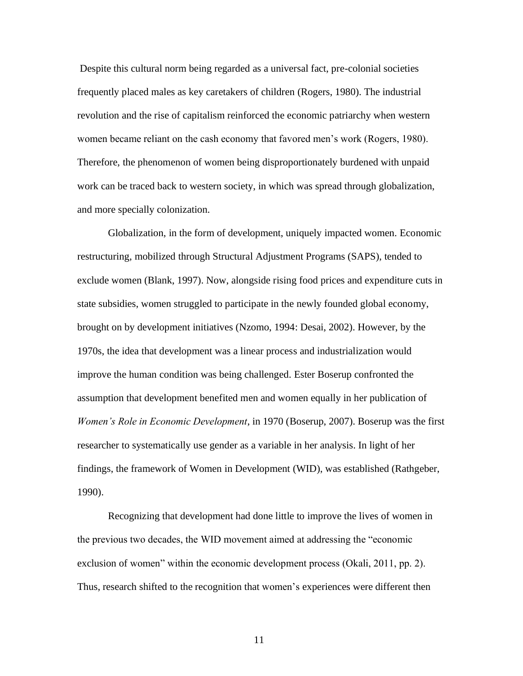Despite this cultural norm being regarded as a universal fact, pre-colonial societies frequently placed males as key caretakers of children (Rogers, 1980). The industrial revolution and the rise of capitalism reinforced the economic patriarchy when western women became reliant on the cash economy that favored men's work (Rogers, 1980). Therefore, the phenomenon of women being disproportionately burdened with unpaid work can be traced back to western society, in which was spread through globalization, and more specially colonization.

Globalization, in the form of development, uniquely impacted women. Economic restructuring, mobilized through Structural Adjustment Programs (SAPS), tended to exclude women (Blank, 1997). Now, alongside rising food prices and expenditure cuts in state subsidies, women struggled to participate in the newly founded global economy, brought on by development initiatives (Nzomo, 1994: Desai, 2002). However, by the 1970s, the idea that development was a linear process and industrialization would improve the human condition was being challenged. Ester Boserup confronted the assumption that development benefited men and women equally in her publication of *Women's Role in Economic Development*, in 1970 (Boserup, 2007). Boserup was the first researcher to systematically use gender as a variable in her analysis. In light of her findings, the framework of Women in Development (WID), was established (Rathgeber, 1990).

Recognizing that development had done little to improve the lives of women in the previous two decades, the WID movement aimed at addressing the "economic exclusion of women" within the economic development process (Okali, 2011, pp. 2). Thus, research shifted to the recognition that women's experiences were different then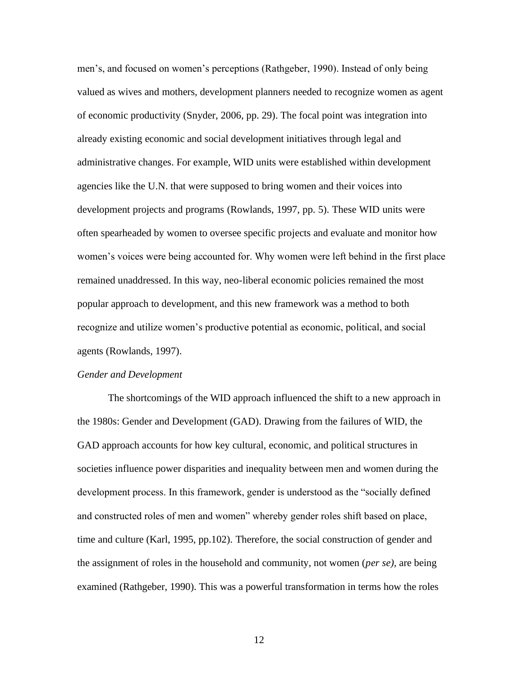men's, and focused on women's perceptions (Rathgeber, 1990). Instead of only being valued as wives and mothers, development planners needed to recognize women as agent of economic productivity (Snyder, 2006, pp. 29). The focal point was integration into already existing economic and social development initiatives through legal and administrative changes. For example, WID units were established within development agencies like the U.N. that were supposed to bring women and their voices into development projects and programs (Rowlands, 1997, pp. 5). These WID units were often spearheaded by women to oversee specific projects and evaluate and monitor how women's voices were being accounted for. Why women were left behind in the first place remained unaddressed. In this way, neo-liberal economic policies remained the most popular approach to development, and this new framework was a method to both recognize and utilize women's productive potential as economic, political, and social agents (Rowlands, 1997).

#### *Gender and Development*

The shortcomings of the WID approach influenced the shift to a new approach in the 1980s: Gender and Development (GAD). Drawing from the failures of WID, the GAD approach accounts for how key cultural, economic, and political structures in societies influence power disparities and inequality between men and women during the development process. In this framework, gender is understood as the "socially defined and constructed roles of men and women" whereby gender roles shift based on place, time and culture (Karl, 1995, pp.102). Therefore, the social construction of gender and the assignment of roles in the household and community, not women (*per se),* are being examined (Rathgeber, 1990). This was a powerful transformation in terms how the roles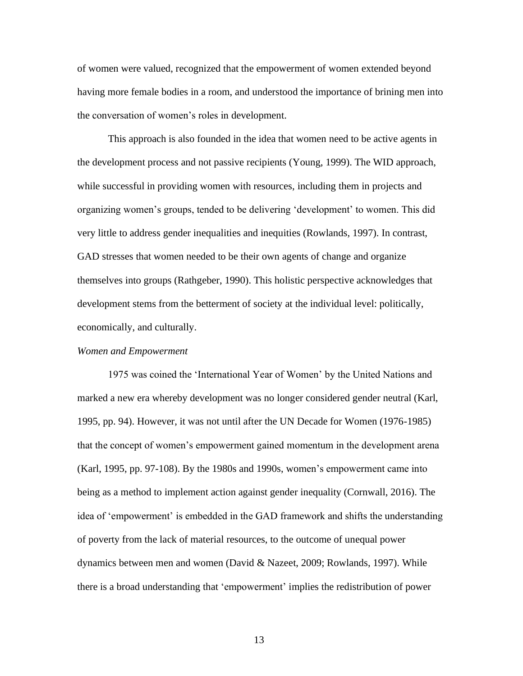of women were valued, recognized that the empowerment of women extended beyond having more female bodies in a room, and understood the importance of brining men into the conversation of women's roles in development.

This approach is also founded in the idea that women need to be active agents in the development process and not passive recipients (Young, 1999). The WID approach, while successful in providing women with resources, including them in projects and organizing women's groups, tended to be delivering 'development' to women. This did very little to address gender inequalities and inequities (Rowlands, 1997). In contrast, GAD stresses that women needed to be their own agents of change and organize themselves into groups (Rathgeber, 1990). This holistic perspective acknowledges that development stems from the betterment of society at the individual level: politically, economically, and culturally.

#### *Women and Empowerment*

1975 was coined the 'International Year of Women' by the United Nations and marked a new era whereby development was no longer considered gender neutral (Karl, 1995, pp. 94). However, it was not until after the UN Decade for Women (1976-1985) that the concept of women's empowerment gained momentum in the development arena (Karl, 1995, pp. 97-108). By the 1980s and 1990s, women's empowerment came into being as a method to implement action against gender inequality (Cornwall, 2016). The idea of 'empowerment' is embedded in the GAD framework and shifts the understanding of poverty from the lack of material resources, to the outcome of unequal power dynamics between men and women (David & Nazeet, 2009; Rowlands, 1997). While there is a broad understanding that 'empowerment' implies the redistribution of power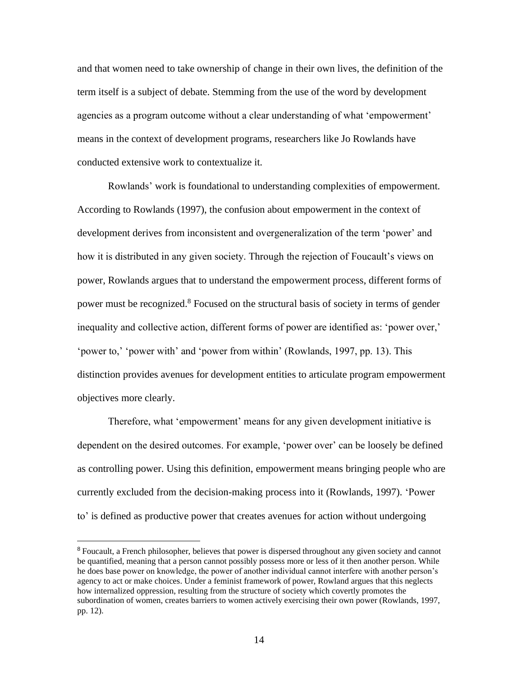and that women need to take ownership of change in their own lives, the definition of the term itself is a subject of debate. Stemming from the use of the word by development agencies as a program outcome without a clear understanding of what 'empowerment' means in the context of development programs, researchers like Jo Rowlands have conducted extensive work to contextualize it.

Rowlands' work is foundational to understanding complexities of empowerment. According to Rowlands (1997), the confusion about empowerment in the context of development derives from inconsistent and overgeneralization of the term 'power' and how it is distributed in any given society. Through the rejection of Foucault's views on power, Rowlands argues that to understand the empowerment process, different forms of power must be recognized. <sup>8</sup> Focused on the structural basis of society in terms of gender inequality and collective action, different forms of power are identified as: 'power over,' 'power to,' 'power with' and 'power from within' (Rowlands, 1997, pp. 13). This distinction provides avenues for development entities to articulate program empowerment objectives more clearly.

Therefore, what 'empowerment' means for any given development initiative is dependent on the desired outcomes. For example, 'power over' can be loosely be defined as controlling power. Using this definition, empowerment means bringing people who are currently excluded from the decision-making process into it (Rowlands, 1997). 'Power to' is defined as productive power that creates avenues for action without undergoing

<sup>8</sup> Foucault, a French philosopher, believes that power is dispersed throughout any given society and cannot be quantified, meaning that a person cannot possibly possess more or less of it then another person. While he does base power on knowledge, the power of another individual cannot interfere with another person's agency to act or make choices. Under a feminist framework of power, Rowland argues that this neglects how internalized oppression, resulting from the structure of society which covertly promotes the subordination of women, creates barriers to women actively exercising their own power (Rowlands, 1997, pp. 12).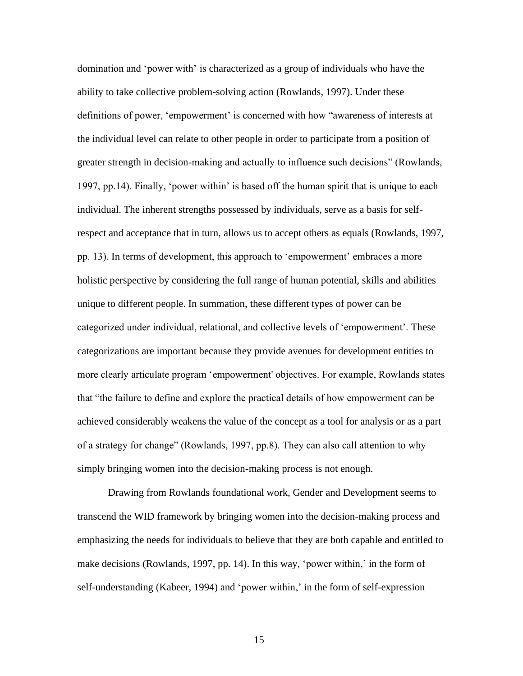domination and 'power with' is characterized as a group of individuals who have the ability to take collective problem-solving action (Rowlands, 1997). Under these definitions of power, 'empowerment' is concerned with how "awareness of interests at the individual level can relate to other people in order to participate from a position of greater strength in decision-making and actually to influence such decisions" (Rowlands, 1997, pp.14). Finally, 'power within' is based off the human spirit that is unique to each individual. The inherent strengths possessed by individuals, serve as a basis for selfrespect and acceptance that in turn, allows us to accept others as equals (Rowlands, 1997, pp. 13). In terms of development, this approach to 'empowerment' embraces a more holistic perspective by considering the full range of human potential, skills and abilities unique to different people. In summation, these different types of power can be categorized under individual, relational, and collective levels of 'empowerment'. These categorizations are important because they provide avenues for development entities to more clearly articulate program 'empowerment' objectives. For example, Rowlands states that "the failure to define and explore the practical details of how empowerment can be achieved considerably weakens the value of the concept as a tool for analysis or as a part of a strategy for change" (Rowlands, 1997, pp.8). They can also call attention to why simply bringing women into the decision-making process is not enough.

Drawing from Rowlands foundational work, Gender and Development seems to transcend the WID framework by bringing women into the decision-making process and emphasizing the needs for individuals to believe that they are both capable and entitled to make decisions (Rowlands, 1997, pp. 14). In this way, 'power within,' in the form of self-understanding (Kabeer, 1994) and 'power within,' in the form of self-expression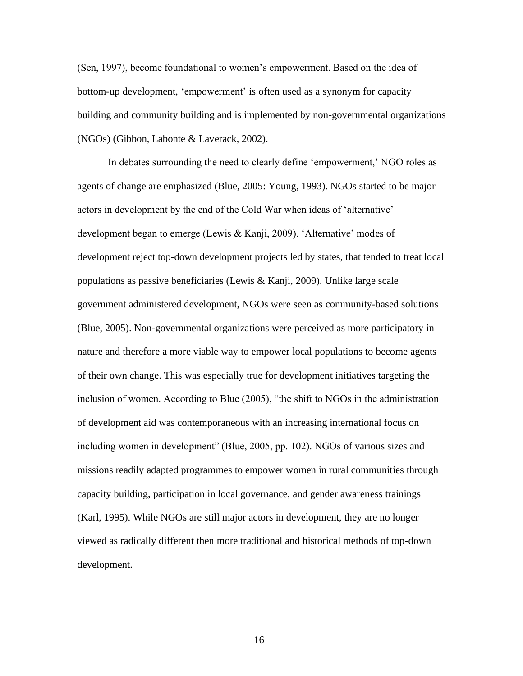(Sen, 1997), become foundational to women's empowerment. Based on the idea of bottom-up development, 'empowerment' is often used as a synonym for capacity building and community building and is implemented by non-governmental organizations (NGOs) (Gibbon, Labonte & Laverack, 2002).

In debates surrounding the need to clearly define 'empowerment,' NGO roles as agents of change are emphasized (Blue, 2005: Young, 1993). NGOs started to be major actors in development by the end of the Cold War when ideas of 'alternative' development began to emerge (Lewis & Kanji, 2009). 'Alternative' modes of development reject top-down development projects led by states, that tended to treat local populations as passive beneficiaries (Lewis & Kanji, 2009). Unlike large scale government administered development, NGOs were seen as community-based solutions (Blue, 2005). Non-governmental organizations were perceived as more participatory in nature and therefore a more viable way to empower local populations to become agents of their own change. This was especially true for development initiatives targeting the inclusion of women. According to Blue (2005), "the shift to NGOs in the administration of development aid was contemporaneous with an increasing international focus on including women in development" (Blue, 2005, pp. 102). NGOs of various sizes and missions readily adapted programmes to empower women in rural communities through capacity building, participation in local governance, and gender awareness trainings (Karl, 1995). While NGOs are still major actors in development, they are no longer viewed as radically different then more traditional and historical methods of top-down development.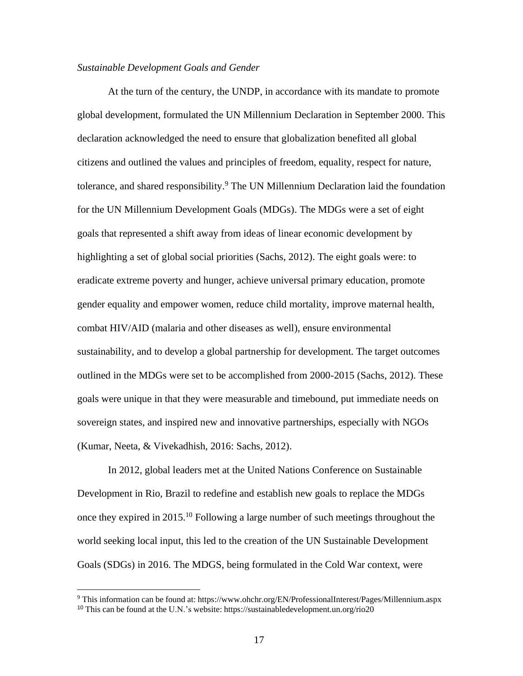## *Sustainable Development Goals and Gender*

At the turn of the century, the UNDP, in accordance with its mandate to promote global development, formulated the UN Millennium Declaration in September 2000. This declaration acknowledged the need to ensure that globalization benefited all global citizens and outlined the values and principles of freedom, equality, respect for nature, tolerance, and shared responsibility.<sup>9</sup> The UN Millennium Declaration laid the foundation for the UN Millennium Development Goals (MDGs). The MDGs were a set of eight goals that represented a shift away from ideas of linear economic development by highlighting a set of global social priorities (Sachs, 2012). The eight goals were: to eradicate extreme poverty and hunger, achieve universal primary education, promote gender equality and empower women, reduce child mortality, improve maternal health, combat HIV/AID (malaria and other diseases as well), ensure environmental sustainability, and to develop a global partnership for development. The target outcomes outlined in the MDGs were set to be accomplished from 2000-2015 (Sachs, 2012). These goals were unique in that they were measurable and timebound, put immediate needs on sovereign states, and inspired new and innovative partnerships, especially with NGOs (Kumar, Neeta, & Vivekadhish, 2016: Sachs, 2012).

In 2012, global leaders met at the United Nations Conference on Sustainable Development in Rio, Brazil to redefine and establish new goals to replace the MDGs once they expired in 2015.<sup>10</sup> Following a large number of such meetings throughout the world seeking local input, this led to the creation of the UN Sustainable Development Goals (SDGs) in 2016. The MDGS, being formulated in the Cold War context, were

<sup>9</sup> This information can be found at: https:/[/www.ohchr.org/EN/ProfessionalInterest/Pages/Millennium.aspx](http://www.ohchr.org/EN/ProfessionalInterest/Pages/Millennium.aspx) <sup>10</sup> This can be found at the U.N.'s website: https://sustainabledevelopment.un.org/rio20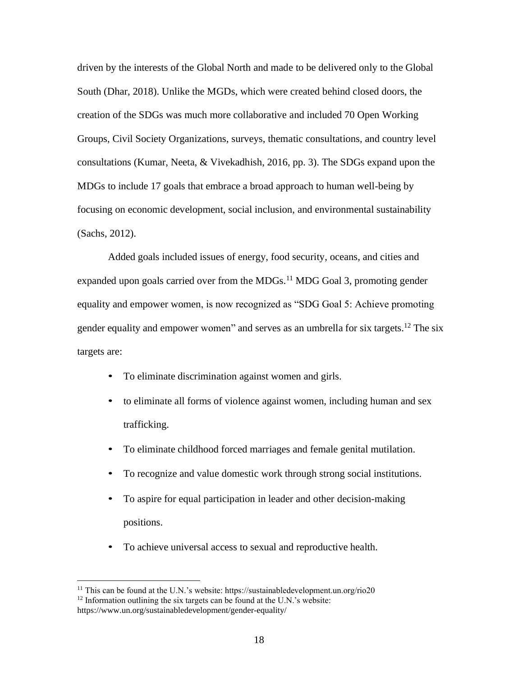driven by the interests of the Global North and made to be delivered only to the Global South (Dhar, 2018). Unlike the MGDs, which were created behind closed doors, the creation of the SDGs was much more collaborative and included 70 Open Working Groups, Civil Society Organizations, surveys, thematic consultations, and country level consultations (Kumar, Neeta, & Vivekadhish, 2016, pp. 3). The SDGs expand upon the MDGs to include 17 goals that embrace a broad approach to human well-being by focusing on economic development, social inclusion, and environmental sustainability (Sachs, 2012).

Added goals included issues of energy, food security, oceans, and cities and expanded upon goals carried over from the MDGs. $^{11}$  MDG Goal 3, promoting gender equality and empower women, is now recognized as "SDG Goal 5: Achieve promoting gender equality and empower women" and serves as an umbrella for six targets.<sup>12</sup> The six targets are:

- To eliminate discrimination against women and girls.
- to eliminate all forms of violence against women, including human and sex trafficking.
- To eliminate childhood forced marriages and female genital mutilation.
- To recognize and value domestic work through strong social institutions.
- To aspire for equal participation in leader and other decision-making positions.
- To achieve universal access to sexual and reproductive health.

 $11$  This can be found at the U.N.'s website: https://sustainabledevelopment.un.org/rio20

 $12$  Information outlining the six targets can be found at the U.N.'s website:

https:/[/www.un.org/sustainabledevelopment/gender-equality/](http://www.un.org/sustainabledevelopment/gender-equality/)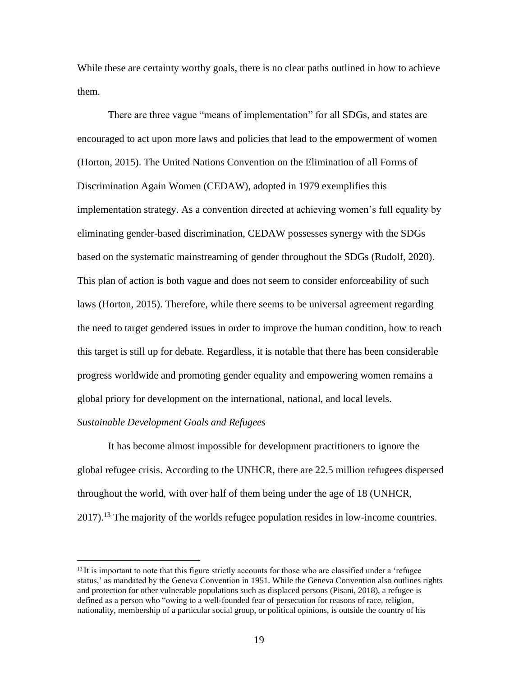While these are certainty worthy goals, there is no clear paths outlined in how to achieve them.

There are three vague "means of implementation" for all SDGs, and states are encouraged to act upon more laws and policies that lead to the empowerment of women (Horton, 2015). The United Nations Convention on the Elimination of all Forms of Discrimination Again Women (CEDAW), adopted in 1979 exemplifies this implementation strategy. As a convention directed at achieving women's full equality by eliminating gender-based discrimination, CEDAW possesses synergy with the SDGs based on the systematic mainstreaming of gender throughout the SDGs (Rudolf, 2020). This plan of action is both vague and does not seem to consider enforceability of such laws (Horton, 2015). Therefore, while there seems to be universal agreement regarding the need to target gendered issues in order to improve the human condition, how to reach this target is still up for debate. Regardless, it is notable that there has been considerable progress worldwide and promoting gender equality and empowering women remains a global priory for development on the international, national, and local levels.

# *Sustainable Development Goals and Refugees*

It has become almost impossible for development practitioners to ignore the global refugee crisis. According to the UNHCR, there are 22.5 million refugees dispersed throughout the world, with over half of them being under the age of 18 (UNHCR, 2017).<sup>13</sup> The majority of the worlds refugee population resides in low-income countries.

<sup>&</sup>lt;sup>13</sup>It is important to note that this figure strictly accounts for those who are classified under a 'refugee status,' as mandated by the Geneva Convention in 1951. While the Geneva Convention also outlines rights and protection for other vulnerable populations such as displaced persons (Pisani, 2018), a refugee is defined as a person who "owing to a well-founded fear of persecution for reasons of race, religion, nationality, membership of a particular social group, or political opinions, is outside the country of his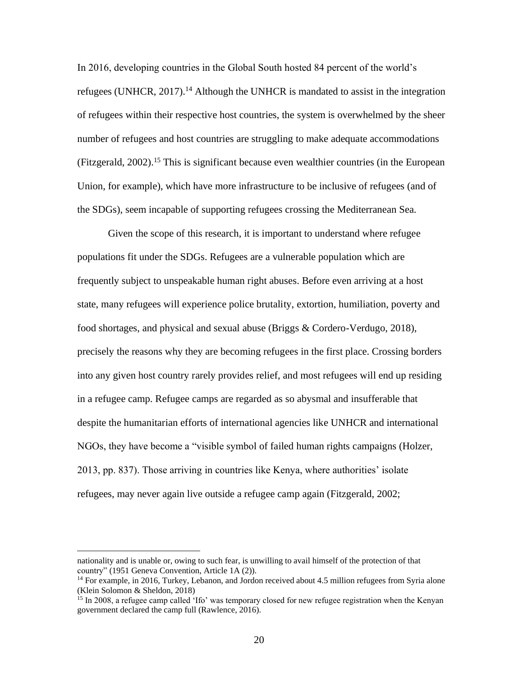In 2016, developing countries in the Global South hosted 84 percent of the world's refugees (UNHCR,  $2017$ ).<sup>14</sup> Although the UNHCR is mandated to assist in the integration of refugees within their respective host countries, the system is overwhelmed by the sheer number of refugees and host countries are struggling to make adequate accommodations (Fitzgerald, 2002).<sup>15</sup> This is significant because even wealthier countries (in the European Union, for example), which have more infrastructure to be inclusive of refugees (and of the SDGs), seem incapable of supporting refugees crossing the Mediterranean Sea.

Given the scope of this research, it is important to understand where refugee populations fit under the SDGs. Refugees are a vulnerable population which are frequently subject to unspeakable human right abuses. Before even arriving at a host state, many refugees will experience police brutality, extortion, humiliation, poverty and food shortages, and physical and sexual abuse (Briggs & Cordero-Verdugo, 2018), precisely the reasons why they are becoming refugees in the first place. Crossing borders into any given host country rarely provides relief, and most refugees will end up residing in a refugee camp. Refugee camps are regarded as so abysmal and insufferable that despite the humanitarian efforts of international agencies like UNHCR and international NGOs, they have become a "visible symbol of failed human rights campaigns (Holzer, 2013, pp. 837). Those arriving in countries like Kenya, where authorities' isolate refugees, may never again live outside a refugee camp again (Fitzgerald, 2002;

nationality and is unable or, owing to such fear, is unwilling to avail himself of the protection of that country" (1951 Geneva Convention, Article 1A (2)).

<sup>&</sup>lt;sup>14</sup> For example, in 2016, Turkey, Lebanon, and Jordon received about 4.5 million refugees from Syria alone (Klein Solomon & Sheldon, 2018)

<sup>&</sup>lt;sup>15</sup> In 2008, a refugee camp called 'Ifo' was temporary closed for new refugee registration when the Kenyan government declared the camp full (Rawlence, 2016).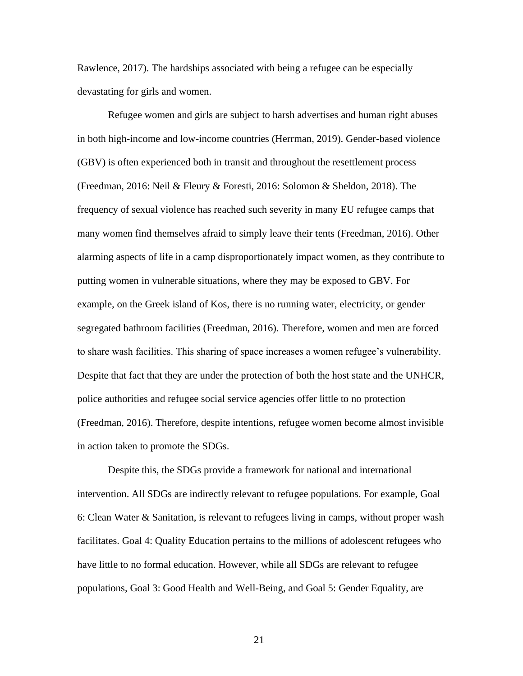Rawlence, 2017). The hardships associated with being a refugee can be especially devastating for girls and women.

Refugee women and girls are subject to harsh advertises and human right abuses in both high-income and low-income countries (Herrman, 2019). Gender-based violence (GBV) is often experienced both in transit and throughout the resettlement process (Freedman, 2016: Neil & Fleury & Foresti, 2016: Solomon & Sheldon, 2018). The frequency of sexual violence has reached such severity in many EU refugee camps that many women find themselves afraid to simply leave their tents (Freedman, 2016). Other alarming aspects of life in a camp disproportionately impact women, as they contribute to putting women in vulnerable situations, where they may be exposed to GBV. For example, on the Greek island of Kos, there is no running water, electricity, or gender segregated bathroom facilities (Freedman, 2016). Therefore, women and men are forced to share wash facilities. This sharing of space increases a women refugee's vulnerability. Despite that fact that they are under the protection of both the host state and the UNHCR, police authorities and refugee social service agencies offer little to no protection (Freedman, 2016). Therefore, despite intentions, refugee women become almost invisible in action taken to promote the SDGs.

Despite this, the SDGs provide a framework for national and international intervention. All SDGs are indirectly relevant to refugee populations. For example, Goal 6: Clean Water & Sanitation, is relevant to refugees living in camps, without proper wash facilitates. Goal 4: Quality Education pertains to the millions of adolescent refugees who have little to no formal education. However, while all SDGs are relevant to refugee populations, Goal 3: Good Health and Well-Being, and Goal 5: Gender Equality, are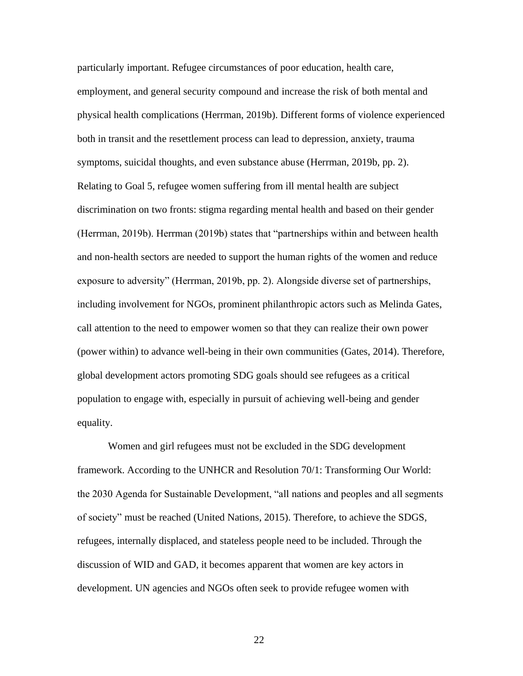particularly important. Refugee circumstances of poor education, health care, employment, and general security compound and increase the risk of both mental and physical health complications (Herrman, 2019b). Different forms of violence experienced both in transit and the resettlement process can lead to depression, anxiety, trauma symptoms, suicidal thoughts, and even substance abuse (Herrman, 2019b, pp. 2). Relating to Goal 5, refugee women suffering from ill mental health are subject discrimination on two fronts: stigma regarding mental health and based on their gender (Herrman, 2019b). Herrman (2019b) states that "partnerships within and between health and non-health sectors are needed to support the human rights of the women and reduce exposure to adversity" (Herrman, 2019b, pp. 2). Alongside diverse set of partnerships, including involvement for NGOs, prominent philanthropic actors such as Melinda Gates, call attention to the need to empower women so that they can realize their own power (power within) to advance well-being in their own communities (Gates, 2014). Therefore, global development actors promoting SDG goals should see refugees as a critical population to engage with, especially in pursuit of achieving well-being and gender equality.

Women and girl refugees must not be excluded in the SDG development framework. According to the UNHCR and Resolution 70/1: Transforming Our World: the 2030 Agenda for Sustainable Development, "all nations and peoples and all segments of society" must be reached (United Nations, 2015). Therefore, to achieve the SDGS, refugees, internally displaced, and stateless people need to be included. Through the discussion of WID and GAD, it becomes apparent that women are key actors in development. UN agencies and NGOs often seek to provide refugee women with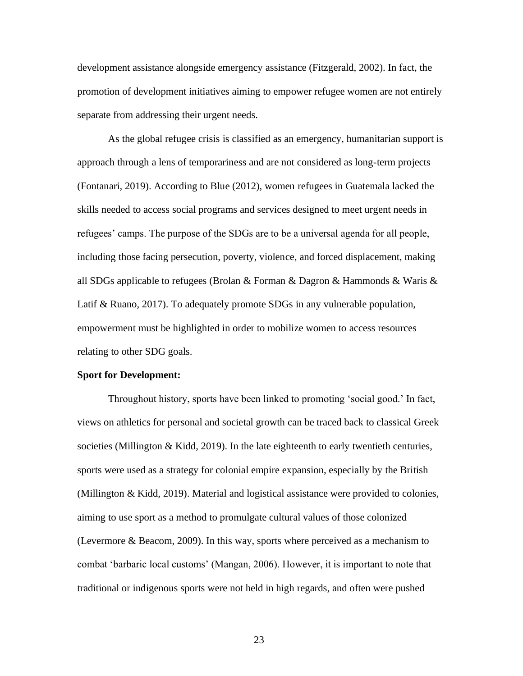development assistance alongside emergency assistance (Fitzgerald, 2002). In fact, the promotion of development initiatives aiming to empower refugee women are not entirely separate from addressing their urgent needs.

As the global refugee crisis is classified as an emergency, humanitarian support is approach through a lens of temporariness and are not considered as long-term projects (Fontanari, 2019). According to Blue (2012), women refugees in Guatemala lacked the skills needed to access social programs and services designed to meet urgent needs in refugees' camps. The purpose of the SDGs are to be a universal agenda for all people, including those facing persecution, poverty, violence, and forced displacement, making all SDGs applicable to refugees (Brolan & Forman & Dagron & Hammonds & Waris & Latif & Ruano, 2017). To adequately promote SDGs in any vulnerable population, empowerment must be highlighted in order to mobilize women to access resources relating to other SDG goals.

### **Sport for Development:**

Throughout history, sports have been linked to promoting 'social good.' In fact, views on athletics for personal and societal growth can be traced back to classical Greek societies (Millington & Kidd, 2019). In the late eighteenth to early twentieth centuries, sports were used as a strategy for colonial empire expansion, especially by the British (Millington & Kidd, 2019). Material and logistical assistance were provided to colonies, aiming to use sport as a method to promulgate cultural values of those colonized (Levermore & Beacom, 2009). In this way, sports where perceived as a mechanism to combat 'barbaric local customs' (Mangan, 2006). However, it is important to note that traditional or indigenous sports were not held in high regards, and often were pushed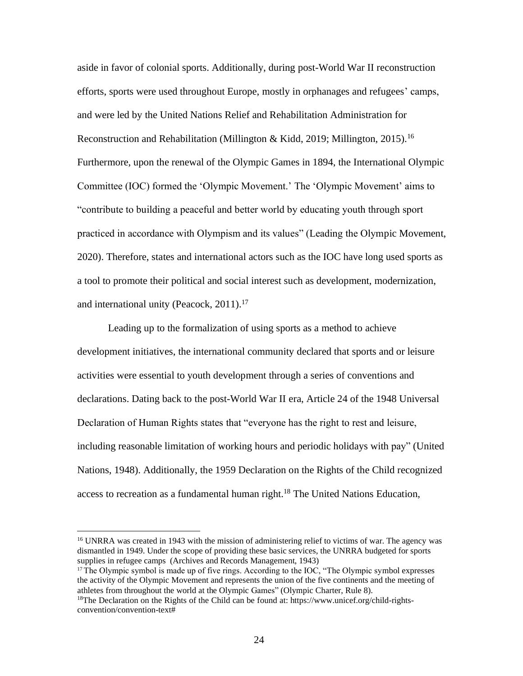aside in favor of colonial sports. Additionally, during post-World War II reconstruction efforts, sports were used throughout Europe, mostly in orphanages and refugees' camps, and were led by the United Nations Relief and Rehabilitation Administration for Reconstruction and Rehabilitation (Millington & Kidd, 2019; Millington, 2015).<sup>16</sup> Furthermore, upon the renewal of the Olympic Games in 1894, the International Olympic Committee (IOC) formed the 'Olympic Movement.' The 'Olympic Movement' aims to "contribute to building a peaceful and better world by educating youth through sport practiced in accordance with Olympism and its values" (Leading the Olympic Movement, 2020). Therefore, states and international actors such as the IOC have long used sports as a tool to promote their political and social interest such as development, modernization, and international unity (Peacock,  $2011$ ).<sup>17</sup>

Leading up to the formalization of using sports as a method to achieve development initiatives, the international community declared that sports and or leisure activities were essential to youth development through a series of conventions and declarations. Dating back to the post-World War II era, Article 24 of the 1948 Universal Declaration of Human Rights states that "everyone has the right to rest and leisure, including reasonable limitation of working hours and periodic holidays with pay" (United Nations, 1948). Additionally, the 1959 Declaration on the Rights of the Child recognized access to recreation as a fundamental human right.<sup>18</sup> The United Nations Education,

<sup>&</sup>lt;sup>16</sup> UNRRA was created in 1943 with the mission of administering relief to victims of war. The agency was dismantled in 1949. Under the scope of providing these basic services, the UNRRA budgeted for sports supplies in refugee camps (Archives and Records Management, 1943)

<sup>&</sup>lt;sup>17</sup>The Olympic symbol is made up of five rings. According to the IOC, "The Olympic symbol expresses" the activity of the Olympic Movement and represents the union of the five continents and the meeting of athletes from throughout the world at the Olympic Games" (Olympic Charter, Rule 8).

<sup>&</sup>lt;sup>18</sup>The Declaration on the Rights of the Child can be found at: https:/[/www.unicef.org/child-rights](http://www.unicef.org/child-rights-)convention/convention-text#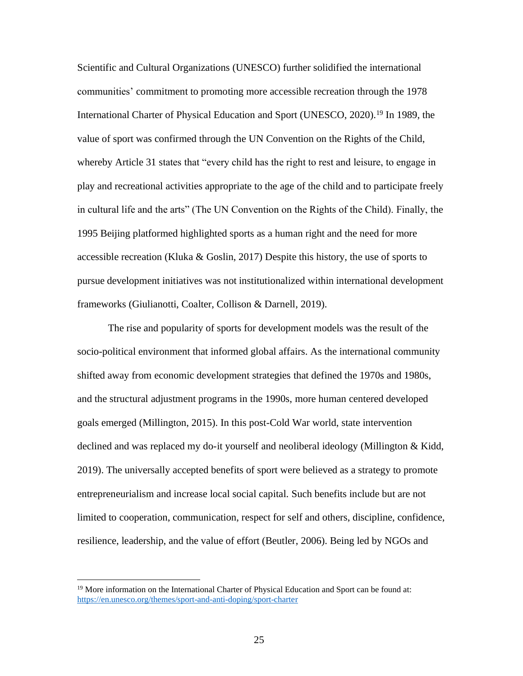Scientific and Cultural Organizations (UNESCO) further solidified the international communities' commitment to promoting more accessible recreation through the 1978 International Charter of Physical Education and Sport (UNESCO, 2020).<sup>19</sup> In 1989, the value of sport was confirmed through the UN Convention on the Rights of the Child, whereby Article 31 states that "every child has the right to rest and leisure, to engage in play and recreational activities appropriate to the age of the child and to participate freely in cultural life and the arts" (The UN Convention on the Rights of the Child). Finally, the 1995 Beijing platformed highlighted sports as a human right and the need for more accessible recreation (Kluka & Goslin, 2017) Despite this history, the use of sports to pursue development initiatives was not institutionalized within international development frameworks (Giulianotti, Coalter, Collison & Darnell, 2019).

The rise and popularity of sports for development models was the result of the socio-political environment that informed global affairs. As the international community shifted away from economic development strategies that defined the 1970s and 1980s, and the structural adjustment programs in the 1990s, more human centered developed goals emerged (Millington, 2015). In this post-Cold War world, state intervention declined and was replaced my do-it yourself and neoliberal ideology (Millington & Kidd, 2019). The universally accepted benefits of sport were believed as a strategy to promote entrepreneurialism and increase local social capital. Such benefits include but are not limited to cooperation, communication, respect for self and others, discipline, confidence, resilience, leadership, and the value of effort (Beutler, 2006). Being led by NGOs and

<sup>&</sup>lt;sup>19</sup> More information on the International Charter of Physical Education and Sport can be found at: https://en.unesco.org/themes/sport-and-anti-doping/sport-charter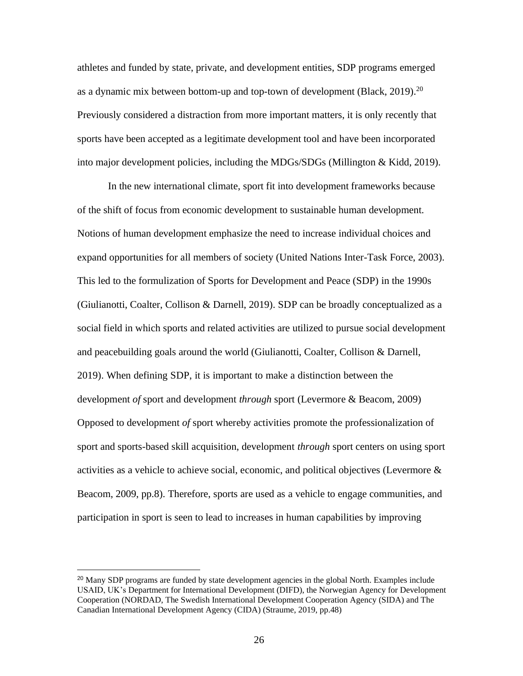athletes and funded by state, private, and development entities, SDP programs emerged as a dynamic mix between bottom-up and top-town of development (Black,  $2019$ ).<sup>20</sup> Previously considered a distraction from more important matters, it is only recently that sports have been accepted as a legitimate development tool and have been incorporated into major development policies, including the MDGs/SDGs (Millington & Kidd, 2019).

In the new international climate, sport fit into development frameworks because of the shift of focus from economic development to sustainable human development. Notions of human development emphasize the need to increase individual choices and expand opportunities for all members of society (United Nations Inter-Task Force, 2003). This led to the formulization of Sports for Development and Peace (SDP) in the 1990s (Giulianotti, Coalter, Collison & Darnell, 2019). SDP can be broadly conceptualized as a social field in which sports and related activities are utilized to pursue social development and peacebuilding goals around the world (Giulianotti, Coalter, Collison & Darnell, 2019). When defining SDP, it is important to make a distinction between the development *of* sport and development *through* sport (Levermore & Beacom, 2009) Opposed to development *of* sport whereby activities promote the professionalization of sport and sports-based skill acquisition, development *through* sport centers on using sport activities as a vehicle to achieve social, economic, and political objectives (Levermore & Beacom, 2009, pp.8). Therefore, sports are used as a vehicle to engage communities, and participation in sport is seen to lead to increases in human capabilities by improving

<sup>&</sup>lt;sup>20</sup> Many SDP programs are funded by state development agencies in the global North. Examples include USAID, UK's Department for International Development (DIFD), the Norwegian Agency for Development Cooperation (NORDAD, The Swedish International Development Cooperation Agency (SIDA) and The Canadian International Development Agency (CIDA) (Straume, 2019, pp.48)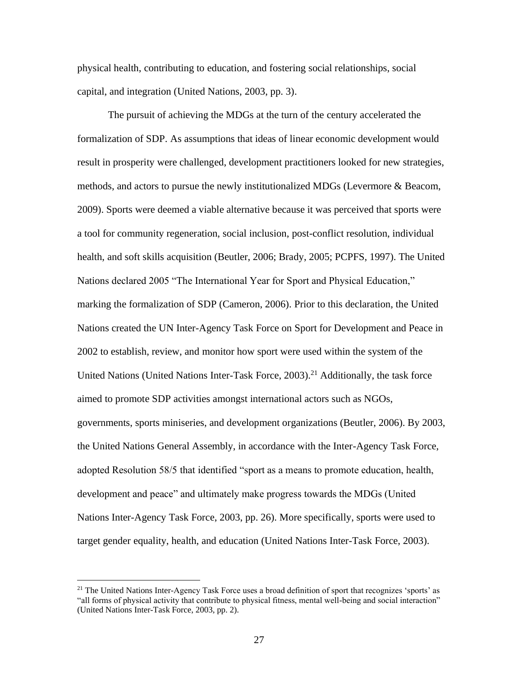physical health, contributing to education, and fostering social relationships, social capital, and integration (United Nations, 2003, pp. 3).

The pursuit of achieving the MDGs at the turn of the century accelerated the formalization of SDP. As assumptions that ideas of linear economic development would result in prosperity were challenged, development practitioners looked for new strategies, methods, and actors to pursue the newly institutionalized MDGs (Levermore & Beacom, 2009). Sports were deemed a viable alternative because it was perceived that sports were a tool for community regeneration, social inclusion, post-conflict resolution, individual health, and soft skills acquisition (Beutler, 2006; Brady, 2005; PCPFS, 1997). The United Nations declared 2005 "The International Year for Sport and Physical Education," marking the formalization of SDP (Cameron, 2006). Prior to this declaration, the United Nations created the UN Inter-Agency Task Force on Sport for Development and Peace in 2002 to establish, review, and monitor how sport were used within the system of the United Nations (United Nations Inter-Task Force,  $2003$ ).<sup>21</sup> Additionally, the task force aimed to promote SDP activities amongst international actors such as NGOs, governments, sports miniseries, and development organizations (Beutler, 2006). By 2003, the United Nations General Assembly, in accordance with the Inter-Agency Task Force, adopted Resolution 58/5 that identified "sport as a means to promote education, health, development and peace" and ultimately make progress towards the MDGs (United Nations Inter-Agency Task Force, 2003, pp. 26). More specifically, sports were used to target gender equality, health, and education (United Nations Inter-Task Force, 2003).

<sup>&</sup>lt;sup>21</sup> The United Nations Inter-Agency Task Force uses a broad definition of sport that recognizes 'sports' as "all forms of physical activity that contribute to physical fitness, mental well-being and social interaction" (United Nations Inter-Task Force, 2003, pp. 2).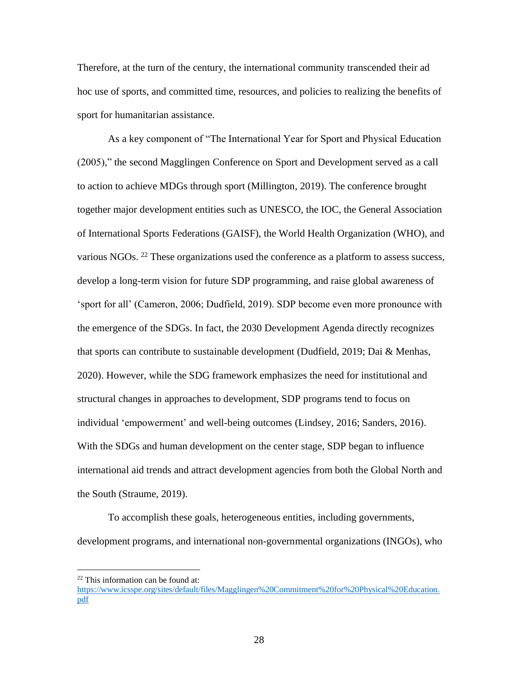Therefore, at the turn of the century, the international community transcended their ad hoc use of sports, and committed time, resources, and policies to realizing the benefits of sport for humanitarian assistance.

As a key component of "The International Year for Sport and Physical Education (2005)," the second Magglingen Conference on Sport and Development served as a call to action to achieve MDGs through sport (Millington, 2019). The conference brought together major development entities such as UNESCO, the IOC, the General Association of International Sports Federations (GAISF), the World Health Organization (WHO), and various NGOs. <sup>22</sup> These organizations used the conference as a platform to assess success, develop a long-term vision for future SDP programming, and raise global awareness of 'sport for all' (Cameron, 2006; Dudfield, 2019). SDP become even more pronounce with the emergence of the SDGs. In fact, the 2030 Development Agenda directly recognizes that sports can contribute to sustainable development (Dudfield, 2019; Dai & Menhas, 2020). However, while the SDG framework emphasizes the need for institutional and structural changes in approaches to development, SDP programs tend to focus on individual 'empowerment' and well-being outcomes (Lindsey, 2016; Sanders, 2016). With the SDGs and human development on the center stage, SDP began to influence international aid trends and attract development agencies from both the Global North and the South (Straume, 2019).

To accomplish these goals, heterogeneous entities, including governments, development programs, and international non-governmental organizations (INGOs), who

 $22$  This information can be found at:

https:/[/www.icsspe.org/sites/default/files/Magglingen%20Commitment%20for%20Physical%20Education.](http://www.icsspe.org/sites/default/files/Magglingen%20Commitment%20for%20Physical%20Education) pdf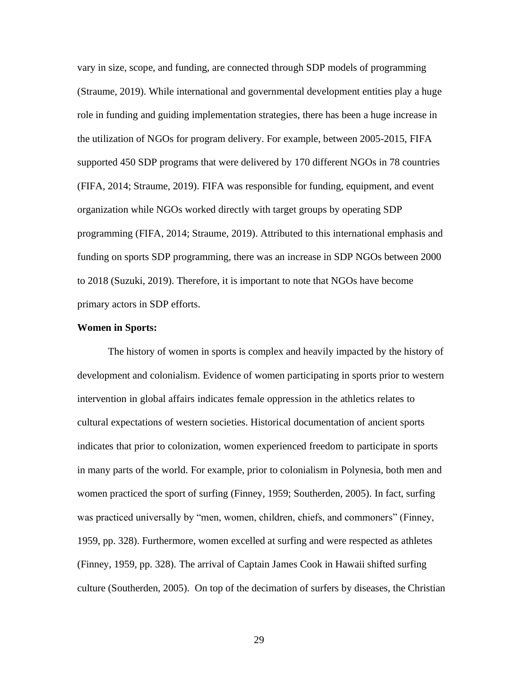vary in size, scope, and funding, are connected through SDP models of programming (Straume, 2019). While international and governmental development entities play a huge role in funding and guiding implementation strategies, there has been a huge increase in the utilization of NGOs for program delivery. For example, between 2005-2015, FIFA supported 450 SDP programs that were delivered by 170 different NGOs in 78 countries (FIFA, 2014; Straume, 2019). FIFA was responsible for funding, equipment, and event organization while NGOs worked directly with target groups by operating SDP programming (FIFA, 2014; Straume, 2019). Attributed to this international emphasis and funding on sports SDP programming, there was an increase in SDP NGOs between 2000 to 2018 (Suzuki, 2019). Therefore, it is important to note that NGOs have become primary actors in SDP efforts.

# **Women in Sports:**

The history of women in sports is complex and heavily impacted by the history of development and colonialism. Evidence of women participating in sports prior to western intervention in global affairs indicates female oppression in the athletics relates to cultural expectations of western societies. Historical documentation of ancient sports indicates that prior to colonization, women experienced freedom to participate in sports in many parts of the world. For example, prior to colonialism in Polynesia, both men and women practiced the sport of surfing (Finney, 1959; Southerden, 2005). In fact, surfing was practiced universally by "men, women, children, chiefs, and commoners" (Finney, 1959, pp. 328). Furthermore, women excelled at surfing and were respected as athletes (Finney, 1959, pp. 328). The arrival of Captain James Cook in Hawaii shifted surfing culture (Southerden, 2005). On top of the decimation of surfers by diseases, the Christian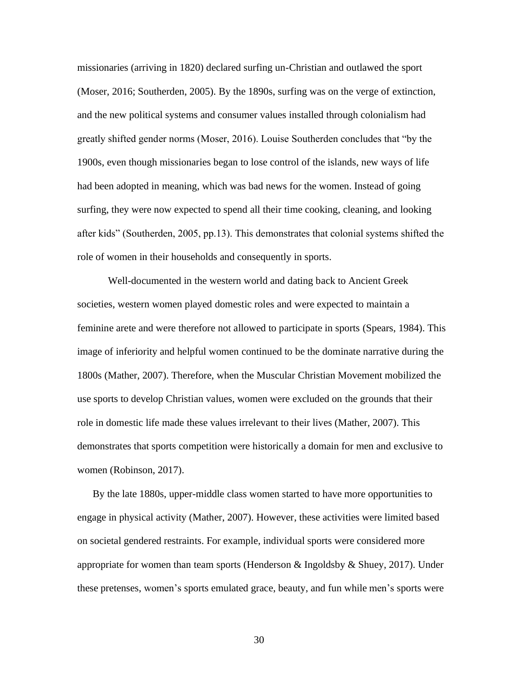missionaries (arriving in 1820) declared surfing un-Christian and outlawed the sport (Moser, 2016; Southerden, 2005). By the 1890s, surfing was on the verge of extinction, and the new political systems and consumer values installed through colonialism had greatly shifted gender norms (Moser, 2016). Louise Southerden concludes that "by the 1900s, even though missionaries began to lose control of the islands, new ways of life had been adopted in meaning, which was bad news for the women. Instead of going surfing, they were now expected to spend all their time cooking, cleaning, and looking after kids" (Southerden, 2005, pp.13). This demonstrates that colonial systems shifted the role of women in their households and consequently in sports.

Well-documented in the western world and dating back to Ancient Greek societies, western women played domestic roles and were expected to maintain a feminine arete and were therefore not allowed to participate in sports (Spears, 1984). This image of inferiority and helpful women continued to be the dominate narrative during the 1800s (Mather, 2007). Therefore, when the Muscular Christian Movement mobilized the use sports to develop Christian values, women were excluded on the grounds that their role in domestic life made these values irrelevant to their lives (Mather, 2007). This demonstrates that sports competition were historically a domain for men and exclusive to women (Robinson, 2017).

By the late 1880s, upper-middle class women started to have more opportunities to engage in physical activity (Mather, 2007). However, these activities were limited based on societal gendered restraints. For example, individual sports were considered more appropriate for women than team sports (Henderson & Ingoldsby & Shuey, 2017). Under these pretenses, women's sports emulated grace, beauty, and fun while men's sports were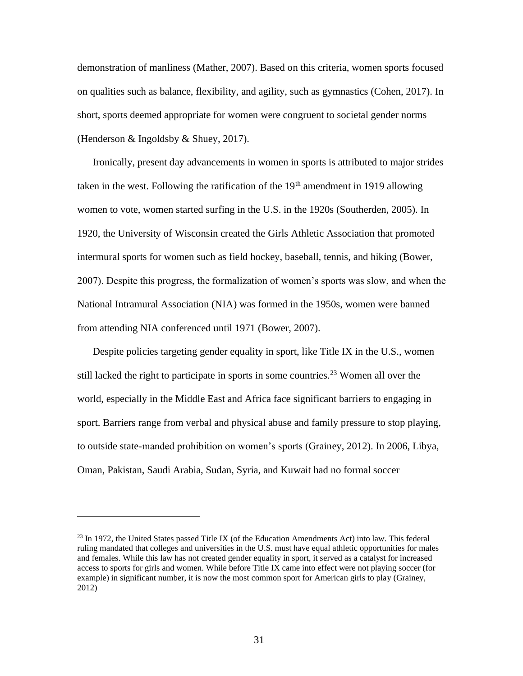demonstration of manliness (Mather, 2007). Based on this criteria, women sports focused on qualities such as balance, flexibility, and agility, such as gymnastics (Cohen, 2017). In short, sports deemed appropriate for women were congruent to societal gender norms (Henderson & Ingoldsby & Shuey, 2017).

Ironically, present day advancements in women in sports is attributed to major strides taken in the west. Following the ratification of the  $19<sup>th</sup>$  amendment in 1919 allowing women to vote, women started surfing in the U.S. in the 1920s (Southerden, 2005). In 1920, the University of Wisconsin created the Girls Athletic Association that promoted intermural sports for women such as field hockey, baseball, tennis, and hiking (Bower, 2007). Despite this progress, the formalization of women's sports was slow, and when the National Intramural Association (NIA) was formed in the 1950s, women were banned from attending NIA conferenced until 1971 (Bower, 2007).

Despite policies targeting gender equality in sport, like Title IX in the U.S., women still lacked the right to participate in sports in some countries.<sup>23</sup> Women all over the world, especially in the Middle East and Africa face significant barriers to engaging in sport. Barriers range from verbal and physical abuse and family pressure to stop playing, to outside state-manded prohibition on women's sports (Grainey, 2012). In 2006, Libya, Oman, Pakistan, Saudi Arabia, Sudan, Syria, and Kuwait had no formal soccer

<sup>&</sup>lt;sup>23</sup> In 1972, the United States passed Title IX (of the Education Amendments Act) into law. This federal ruling mandated that colleges and universities in the U.S. must have equal athletic opportunities for males and females. While this law has not created gender equality in sport, it served as a catalyst for increased access to sports for girls and women. While before Title IX came into effect were not playing soccer (for example) in significant number, it is now the most common sport for American girls to play (Grainey, 2012)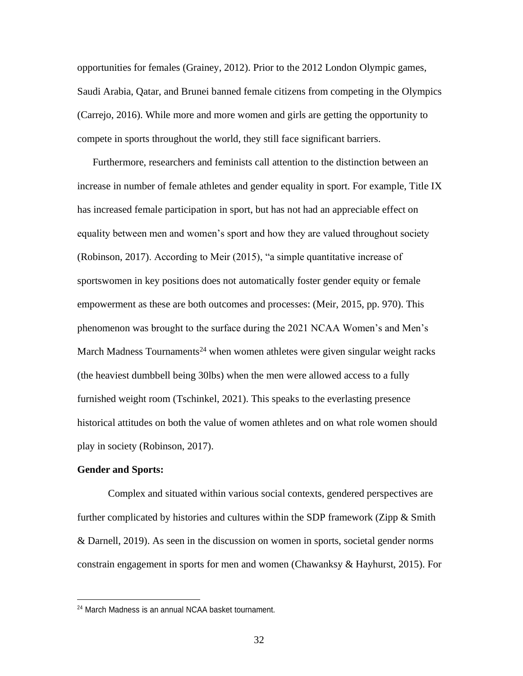opportunities for females (Grainey, 2012). Prior to the 2012 London Olympic games, Saudi Arabia, Qatar, and Brunei banned female citizens from competing in the Olympics (Carrejo, 2016). While more and more women and girls are getting the opportunity to compete in sports throughout the world, they still face significant barriers.

Furthermore, researchers and feminists call attention to the distinction between an increase in number of female athletes and gender equality in sport. For example, Title IX has increased female participation in sport, but has not had an appreciable effect on equality between men and women's sport and how they are valued throughout society (Robinson, 2017). According to Meir (2015), "a simple quantitative increase of sportswomen in key positions does not automatically foster gender equity or female empowerment as these are both outcomes and processes: (Meir, 2015, pp. 970). This phenomenon was brought to the surface during the 2021 NCAA Women's and Men's March Madness Tournaments<sup>24</sup> when women athletes were given singular weight racks (the heaviest dumbbell being 30lbs) when the men were allowed access to a fully furnished weight room (Tschinkel, 2021). This speaks to the everlasting presence historical attitudes on both the value of women athletes and on what role women should play in society (Robinson, 2017).

# **Gender and Sports:**

Complex and situated within various social contexts, gendered perspectives are further complicated by histories and cultures within the SDP framework (Zipp & Smith & Darnell, 2019). As seen in the discussion on women in sports, societal gender norms constrain engagement in sports for men and women (Chawanksy & Hayhurst, 2015). For

<sup>24</sup> March Madness is an annual NCAA basket tournament.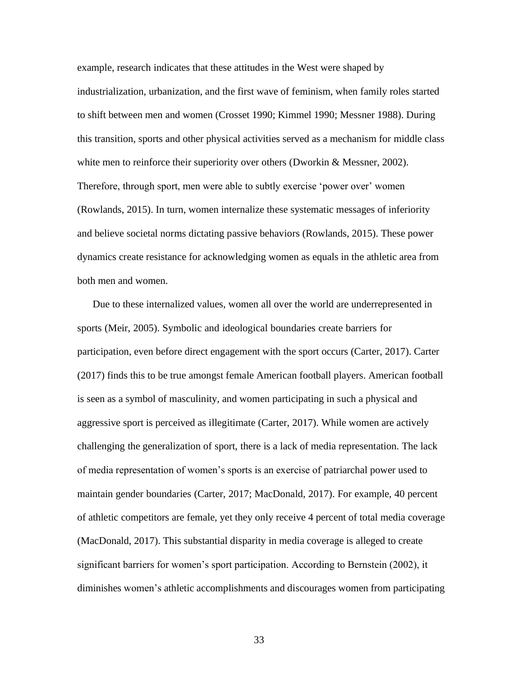example, research indicates that these attitudes in the West were shaped by industrialization, urbanization, and the first wave of feminism, when family roles started to shift between men and women (Crosset 1990; Kimmel 1990; Messner 1988). During this transition, sports and other physical activities served as a mechanism for middle class white men to reinforce their superiority over others (Dworkin & Messner, 2002). Therefore, through sport, men were able to subtly exercise 'power over' women (Rowlands, 2015). In turn, women internalize these systematic messages of inferiority and believe societal norms dictating passive behaviors (Rowlands, 2015). These power dynamics create resistance for acknowledging women as equals in the athletic area from both men and women.

Due to these internalized values, women all over the world are underrepresented in sports (Meir, 2005). Symbolic and ideological boundaries create barriers for participation, even before direct engagement with the sport occurs (Carter, 2017). Carter (2017) finds this to be true amongst female American football players. American football is seen as a symbol of masculinity, and women participating in such a physical and aggressive sport is perceived as illegitimate (Carter, 2017). While women are actively challenging the generalization of sport, there is a lack of media representation. The lack of media representation of women's sports is an exercise of patriarchal power used to maintain gender boundaries (Carter, 2017; MacDonald, 2017). For example, 40 percent of athletic competitors are female, yet they only receive 4 percent of total media coverage (MacDonald, 2017). This substantial disparity in media coverage is alleged to create significant barriers for women's sport participation. According to Bernstein (2002), it diminishes women's athletic accomplishments and discourages women from participating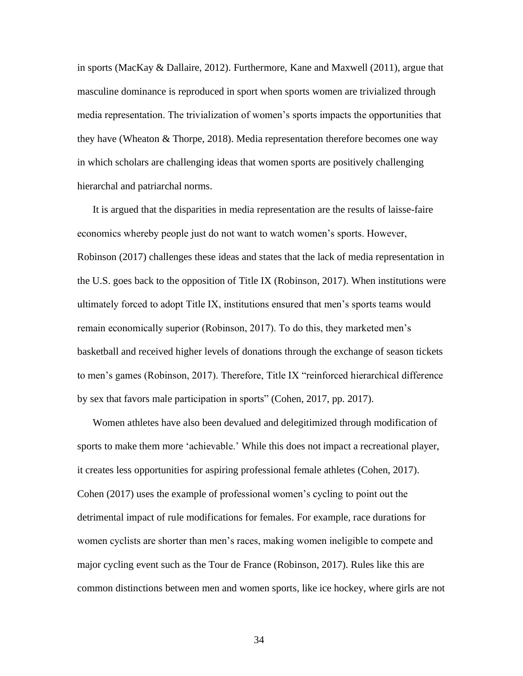in sports (MacKay & Dallaire, 2012). Furthermore, Kane and Maxwell (2011), argue that masculine dominance is reproduced in sport when sports women are trivialized through media representation. The trivialization of women's sports impacts the opportunities that they have (Wheaton & Thorpe, 2018). Media representation therefore becomes one way in which scholars are challenging ideas that women sports are positively challenging hierarchal and patriarchal norms.

It is argued that the disparities in media representation are the results of laisse-faire economics whereby people just do not want to watch women's sports. However, Robinson (2017) challenges these ideas and states that the lack of media representation in the U.S. goes back to the opposition of Title IX (Robinson, 2017). When institutions were ultimately forced to adopt Title IX, institutions ensured that men's sports teams would remain economically superior (Robinson, 2017). To do this, they marketed men's basketball and received higher levels of donations through the exchange of season tickets to men's games (Robinson, 2017). Therefore, Title IX "reinforced hierarchical difference by sex that favors male participation in sports" (Cohen, 2017, pp. 2017).

Women athletes have also been devalued and delegitimized through modification of sports to make them more 'achievable.' While this does not impact a recreational player, it creates less opportunities for aspiring professional female athletes (Cohen, 2017). Cohen (2017) uses the example of professional women's cycling to point out the detrimental impact of rule modifications for females. For example, race durations for women cyclists are shorter than men's races, making women ineligible to compete and major cycling event such as the Tour de France (Robinson, 2017). Rules like this are common distinctions between men and women sports, like ice hockey, where girls are not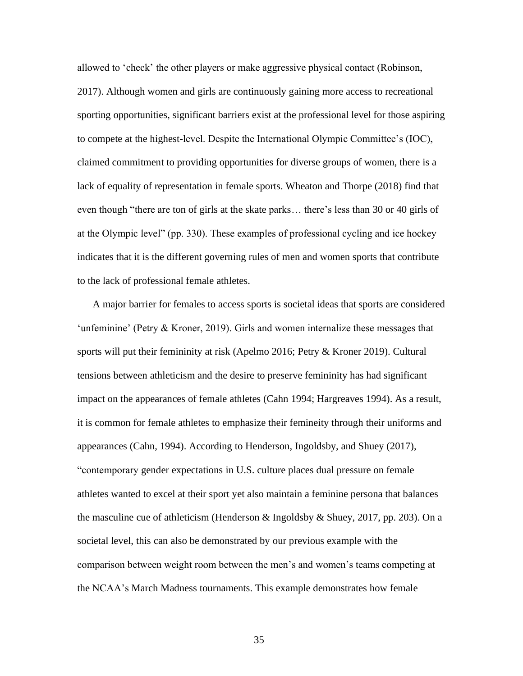allowed to 'check' the other players or make aggressive physical contact (Robinson, 2017). Although women and girls are continuously gaining more access to recreational sporting opportunities, significant barriers exist at the professional level for those aspiring to compete at the highest-level. Despite the International Olympic Committee's (IOC), claimed commitment to providing opportunities for diverse groups of women, there is a lack of equality of representation in female sports. Wheaton and Thorpe (2018) find that even though "there are ton of girls at the skate parks… there's less than 30 or 40 girls of at the Olympic level" (pp. 330). These examples of professional cycling and ice hockey indicates that it is the different governing rules of men and women sports that contribute to the lack of professional female athletes.

A major barrier for females to access sports is societal ideas that sports are considered 'unfeminine' (Petry & Kroner, 2019). Girls and women internalize these messages that sports will put their femininity at risk (Apelmo 2016; Petry & Kroner 2019). Cultural tensions between athleticism and the desire to preserve femininity has had significant impact on the appearances of female athletes (Cahn 1994; Hargreaves 1994). As a result, it is common for female athletes to emphasize their femineity through their uniforms and appearances (Cahn, 1994). According to Henderson, Ingoldsby, and Shuey (2017), "contemporary gender expectations in U.S. culture places dual pressure on female athletes wanted to excel at their sport yet also maintain a feminine persona that balances the masculine cue of athleticism (Henderson & Ingoldsby & Shuey, 2017, pp. 203). On a societal level, this can also be demonstrated by our previous example with the comparison between weight room between the men's and women's teams competing at the NCAA's March Madness tournaments. This example demonstrates how female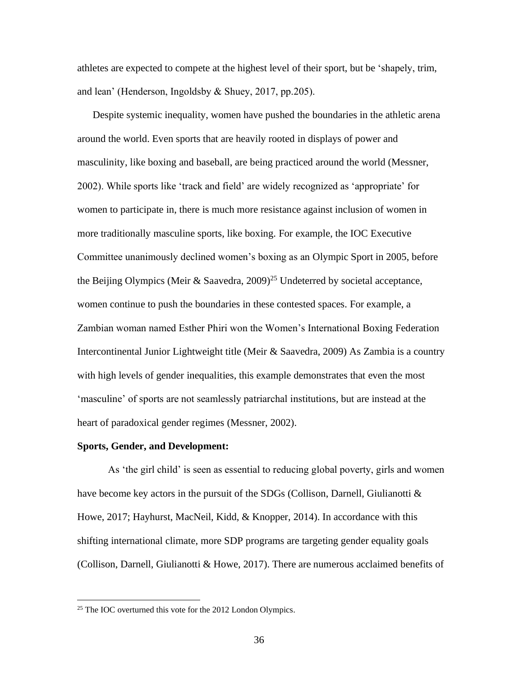athletes are expected to compete at the highest level of their sport, but be 'shapely, trim, and lean' (Henderson, Ingoldsby & Shuey, 2017, pp.205).

Despite systemic inequality, women have pushed the boundaries in the athletic arena around the world. Even sports that are heavily rooted in displays of power and masculinity, like boxing and baseball, are being practiced around the world (Messner, 2002). While sports like 'track and field' are widely recognized as 'appropriate' for women to participate in, there is much more resistance against inclusion of women in more traditionally masculine sports, like boxing. For example, the IOC Executive Committee unanimously declined women's boxing as an Olympic Sport in 2005, before the Beijing Olympics (Meir & Saavedra,  $2009$ )<sup>25</sup> Undeterred by societal acceptance, women continue to push the boundaries in these contested spaces. For example, a Zambian woman named Esther Phiri won the Women's International Boxing Federation Intercontinental Junior Lightweight title (Meir & Saavedra, 2009) As Zambia is a country with high levels of gender inequalities, this example demonstrates that even the most 'masculine' of sports are not seamlessly patriarchal institutions, but are instead at the heart of paradoxical gender regimes (Messner, 2002).

# **Sports, Gender, and Development:**

As 'the girl child' is seen as essential to reducing global poverty, girls and women have become key actors in the pursuit of the SDGs (Collison, Darnell, Giulianotti & Howe, 2017; Hayhurst, MacNeil, Kidd, & Knopper, 2014). In accordance with this shifting international climate, more SDP programs are targeting gender equality goals (Collison, Darnell, Giulianotti & Howe, 2017). There are numerous acclaimed benefits of

<sup>&</sup>lt;sup>25</sup> The IOC overturned this vote for the 2012 London Olympics.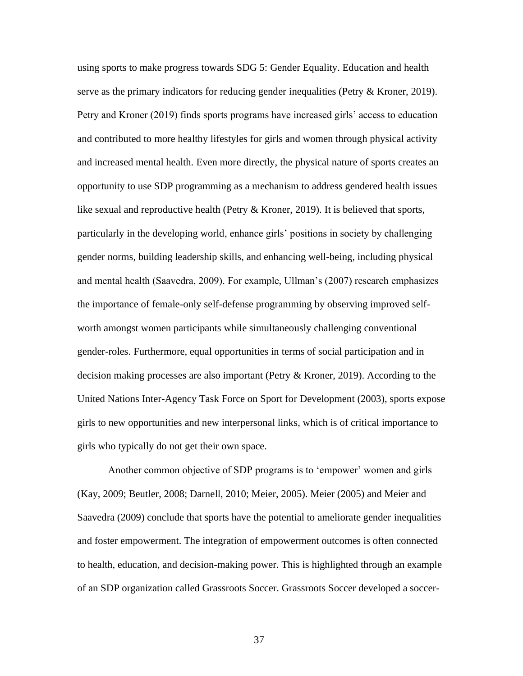using sports to make progress towards SDG 5: Gender Equality. Education and health serve as the primary indicators for reducing gender inequalities (Petry & Kroner, 2019). Petry and Kroner (2019) finds sports programs have increased girls' access to education and contributed to more healthy lifestyles for girls and women through physical activity and increased mental health. Even more directly, the physical nature of sports creates an opportunity to use SDP programming as a mechanism to address gendered health issues like sexual and reproductive health (Petry & Kroner, 2019). It is believed that sports, particularly in the developing world, enhance girls' positions in society by challenging gender norms, building leadership skills, and enhancing well-being, including physical and mental health (Saavedra, 2009). For example, Ullman's (2007) research emphasizes the importance of female-only self-defense programming by observing improved selfworth amongst women participants while simultaneously challenging conventional gender-roles. Furthermore, equal opportunities in terms of social participation and in decision making processes are also important (Petry & Kroner, 2019). According to the United Nations Inter-Agency Task Force on Sport for Development (2003), sports expose girls to new opportunities and new interpersonal links, which is of critical importance to girls who typically do not get their own space.

Another common objective of SDP programs is to 'empower' women and girls (Kay, 2009; Beutler, 2008; Darnell, 2010; Meier, 2005). Meier (2005) and Meier and Saavedra (2009) conclude that sports have the potential to ameliorate gender inequalities and foster empowerment. The integration of empowerment outcomes is often connected to health, education, and decision-making power. This is highlighted through an example of an SDP organization called Grassroots Soccer. Grassroots Soccer developed a soccer-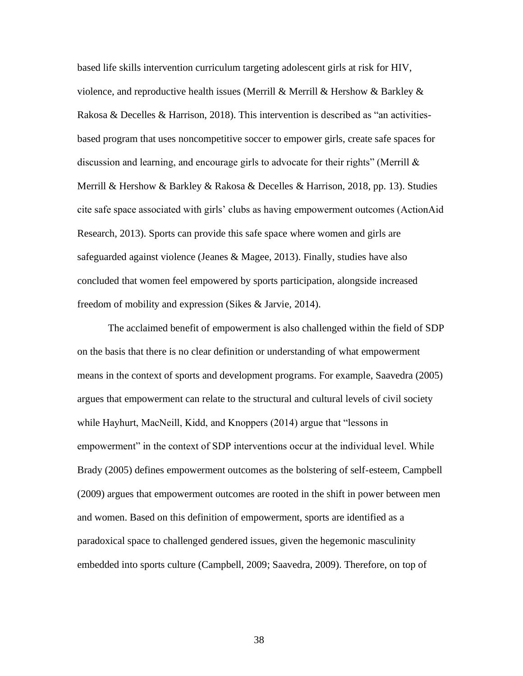based life skills intervention curriculum targeting adolescent girls at risk for HIV, violence, and reproductive health issues (Merrill & Merrill & Hershow & Barkley & Rakosa & Decelles & Harrison, 2018). This intervention is described as "an activitiesbased program that uses noncompetitive soccer to empower girls, create safe spaces for discussion and learning, and encourage girls to advocate for their rights" (Merrill  $\&$ Merrill & Hershow & Barkley & Rakosa & Decelles & Harrison, 2018, pp. 13). Studies cite safe space associated with girls' clubs as having empowerment outcomes (ActionAid Research, 2013). Sports can provide this safe space where women and girls are safeguarded against violence (Jeanes & Magee, 2013). Finally, studies have also concluded that women feel empowered by sports participation, alongside increased freedom of mobility and expression (Sikes & Jarvie, 2014).

The acclaimed benefit of empowerment is also challenged within the field of SDP on the basis that there is no clear definition or understanding of what empowerment means in the context of sports and development programs. For example, Saavedra (2005) argues that empowerment can relate to the structural and cultural levels of civil society while Hayhurt, MacNeill, Kidd, and Knoppers (2014) argue that "lessons in empowerment" in the context of SDP interventions occur at the individual level. While Brady (2005) defines empowerment outcomes as the bolstering of self-esteem, Campbell (2009) argues that empowerment outcomes are rooted in the shift in power between men and women. Based on this definition of empowerment, sports are identified as a paradoxical space to challenged gendered issues, given the hegemonic masculinity embedded into sports culture (Campbell, 2009; Saavedra, 2009). Therefore, on top of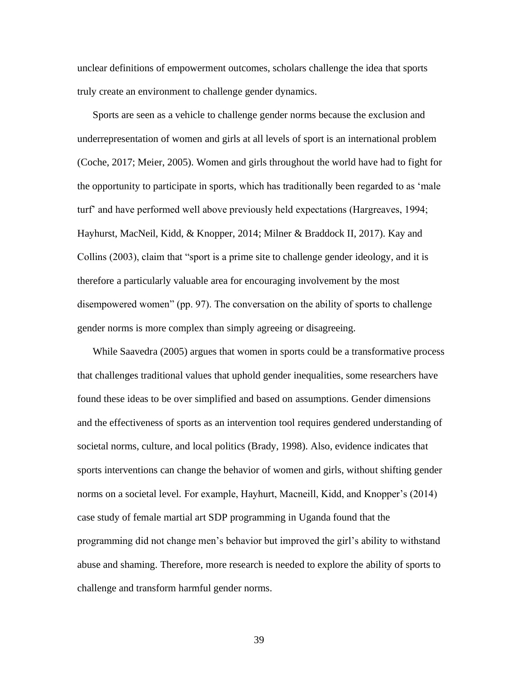unclear definitions of empowerment outcomes, scholars challenge the idea that sports truly create an environment to challenge gender dynamics.

Sports are seen as a vehicle to challenge gender norms because the exclusion and underrepresentation of women and girls at all levels of sport is an international problem (Coche, 2017; Meier, 2005). Women and girls throughout the world have had to fight for the opportunity to participate in sports, which has traditionally been regarded to as 'male turf' and have performed well above previously held expectations (Hargreaves, 1994; Hayhurst, MacNeil, Kidd, & Knopper, 2014; Milner & Braddock II, 2017). Kay and Collins (2003), claim that "sport is a prime site to challenge gender ideology, and it is therefore a particularly valuable area for encouraging involvement by the most disempowered women" (pp. 97). The conversation on the ability of sports to challenge gender norms is more complex than simply agreeing or disagreeing.

While Saavedra (2005) argues that women in sports could be a transformative process that challenges traditional values that uphold gender inequalities, some researchers have found these ideas to be over simplified and based on assumptions. Gender dimensions and the effectiveness of sports as an intervention tool requires gendered understanding of societal norms, culture, and local politics (Brady, 1998). Also, evidence indicates that sports interventions can change the behavior of women and girls, without shifting gender norms on a societal level. For example, Hayhurt, Macneill, Kidd, and Knopper's (2014) case study of female martial art SDP programming in Uganda found that the programming did not change men's behavior but improved the girl's ability to withstand abuse and shaming. Therefore, more research is needed to explore the ability of sports to challenge and transform harmful gender norms.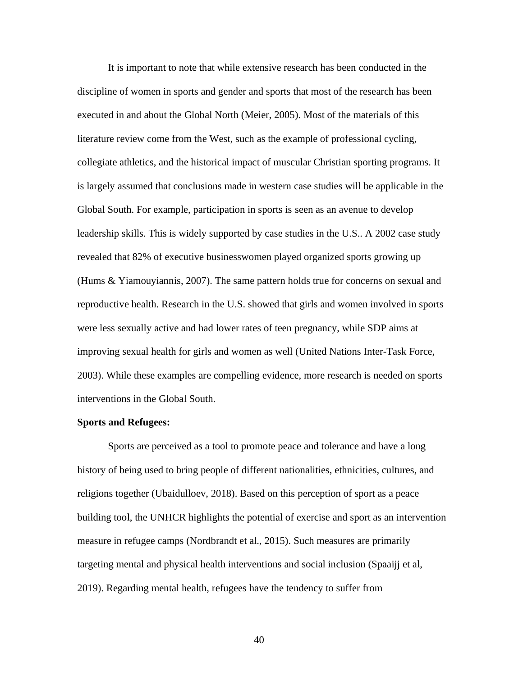It is important to note that while extensive research has been conducted in the discipline of women in sports and gender and sports that most of the research has been executed in and about the Global North (Meier, 2005). Most of the materials of this literature review come from the West, such as the example of professional cycling, collegiate athletics, and the historical impact of muscular Christian sporting programs. It is largely assumed that conclusions made in western case studies will be applicable in the Global South. For example, participation in sports is seen as an avenue to develop leadership skills. This is widely supported by case studies in the U.S.. A 2002 case study revealed that 82% of executive businesswomen played organized sports growing up (Hums & Yiamouyiannis, 2007). The same pattern holds true for concerns on sexual and reproductive health. Research in the U.S. showed that girls and women involved in sports were less sexually active and had lower rates of teen pregnancy, while SDP aims at improving sexual health for girls and women as well (United Nations Inter-Task Force, 2003). While these examples are compelling evidence, more research is needed on sports interventions in the Global South.

# **Sports and Refugees:**

Sports are perceived as a tool to promote peace and tolerance and have a long history of being used to bring people of different nationalities, ethnicities, cultures, and religions together (Ubaidulloev, 2018). Based on this perception of sport as a peace building tool, the UNHCR highlights the potential of exercise and sport as an intervention measure in refugee camps (Nordbrandt et al., 2015). Such measures are primarily targeting mental and physical health interventions and social inclusion (Spaaijj et al, 2019). Regarding mental health, refugees have the tendency to suffer from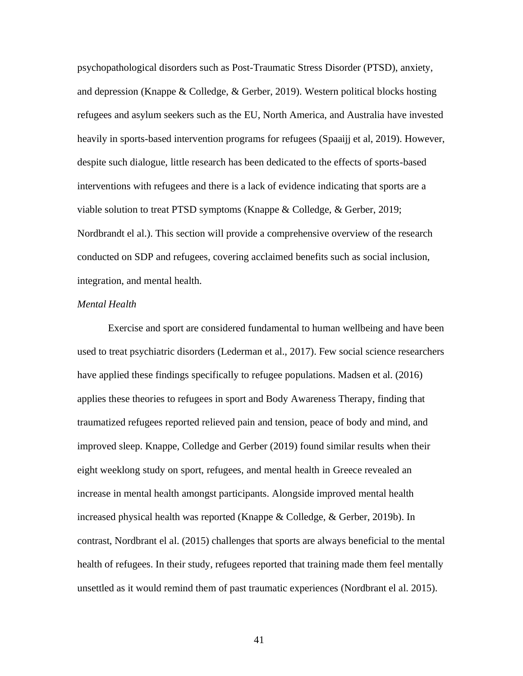psychopathological disorders such as Post-Traumatic Stress Disorder (PTSD), anxiety, and depression (Knappe & Colledge, & Gerber, 2019). Western political blocks hosting refugees and asylum seekers such as the EU, North America, and Australia have invested heavily in sports-based intervention programs for refugees (Spaaijj et al, 2019). However, despite such dialogue, little research has been dedicated to the effects of sports-based interventions with refugees and there is a lack of evidence indicating that sports are a viable solution to treat PTSD symptoms (Knappe & Colledge, & Gerber, 2019; Nordbrandt el al.). This section will provide a comprehensive overview of the research conducted on SDP and refugees, covering acclaimed benefits such as social inclusion, integration, and mental health.

#### *Mental Health*

Exercise and sport are considered fundamental to human wellbeing and have been used to treat psychiatric disorders (Lederman et al., 2017). Few social science researchers have applied these findings specifically to refugee populations. Madsen et al. (2016) applies these theories to refugees in sport and Body Awareness Therapy, finding that traumatized refugees reported relieved pain and tension, peace of body and mind, and improved sleep. Knappe, Colledge and Gerber (2019) found similar results when their eight weeklong study on sport, refugees, and mental health in Greece revealed an increase in mental health amongst participants. Alongside improved mental health increased physical health was reported (Knappe & Colledge, & Gerber, 2019b). In contrast, Nordbrant el al. (2015) challenges that sports are always beneficial to the mental health of refugees. In their study, refugees reported that training made them feel mentally unsettled as it would remind them of past traumatic experiences (Nordbrant el al. 2015).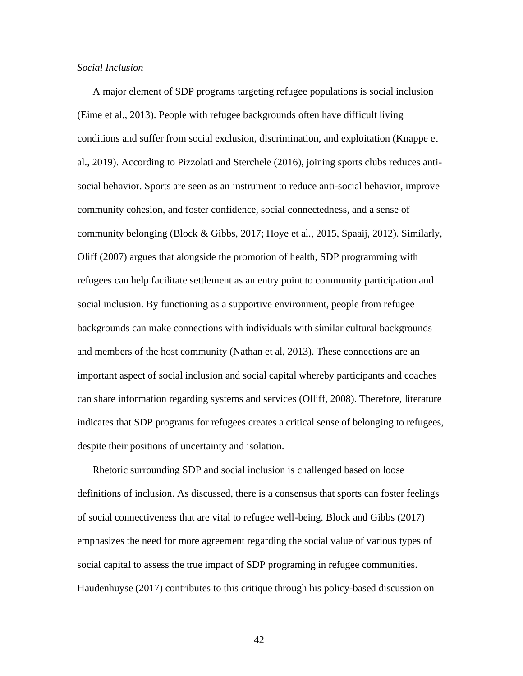# *Social Inclusion*

A major element of SDP programs targeting refugee populations is social inclusion (Eime et al., 2013). People with refugee backgrounds often have difficult living conditions and suffer from social exclusion, discrimination, and exploitation (Knappe et al., 2019). According to Pizzolati and Sterchele (2016), joining sports clubs reduces antisocial behavior. Sports are seen as an instrument to reduce anti-social behavior, improve community cohesion, and foster confidence, social connectedness, and a sense of community belonging (Block & Gibbs, 2017; Hoye et al., 2015, Spaaij, 2012). Similarly, Oliff (2007) argues that alongside the promotion of health, SDP programming with refugees can help facilitate settlement as an entry point to community participation and social inclusion. By functioning as a supportive environment, people from refugee backgrounds can make connections with individuals with similar cultural backgrounds and members of the host community (Nathan et al, 2013). These connections are an important aspect of social inclusion and social capital whereby participants and coaches can share information regarding systems and services (Olliff, 2008). Therefore, literature indicates that SDP programs for refugees creates a critical sense of belonging to refugees, despite their positions of uncertainty and isolation.

Rhetoric surrounding SDP and social inclusion is challenged based on loose definitions of inclusion. As discussed, there is a consensus that sports can foster feelings of social connectiveness that are vital to refugee well-being. Block and Gibbs (2017) emphasizes the need for more agreement regarding the social value of various types of social capital to assess the true impact of SDP programing in refugee communities. Haudenhuyse (2017) contributes to this critique through his policy-based discussion on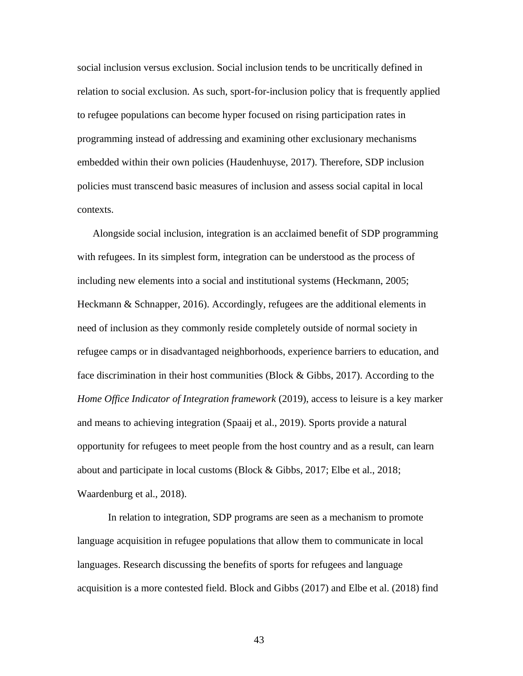social inclusion versus exclusion. Social inclusion tends to be uncritically defined in relation to social exclusion. As such, sport-for-inclusion policy that is frequently applied to refugee populations can become hyper focused on rising participation rates in programming instead of addressing and examining other exclusionary mechanisms embedded within their own policies (Haudenhuyse, 2017). Therefore, SDP inclusion policies must transcend basic measures of inclusion and assess social capital in local contexts.

Alongside social inclusion, integration is an acclaimed benefit of SDP programming with refugees. In its simplest form, integration can be understood as the process of including new elements into a social and institutional systems (Heckmann, 2005; Heckmann & Schnapper, 2016). Accordingly, refugees are the additional elements in need of inclusion as they commonly reside completely outside of normal society in refugee camps or in disadvantaged neighborhoods, experience barriers to education, and face discrimination in their host communities (Block & Gibbs, 2017). According to the *Home Office Indicator of Integration framework* (2019), access to leisure is a key marker and means to achieving integration (Spaaij et al., 2019). Sports provide a natural opportunity for refugees to meet people from the host country and as a result, can learn about and participate in local customs (Block & Gibbs, 2017; Elbe et al., 2018; Waardenburg et al., 2018).

In relation to integration, SDP programs are seen as a mechanism to promote language acquisition in refugee populations that allow them to communicate in local languages. Research discussing the benefits of sports for refugees and language acquisition is a more contested field. Block and Gibbs (2017) and Elbe et al. (2018) find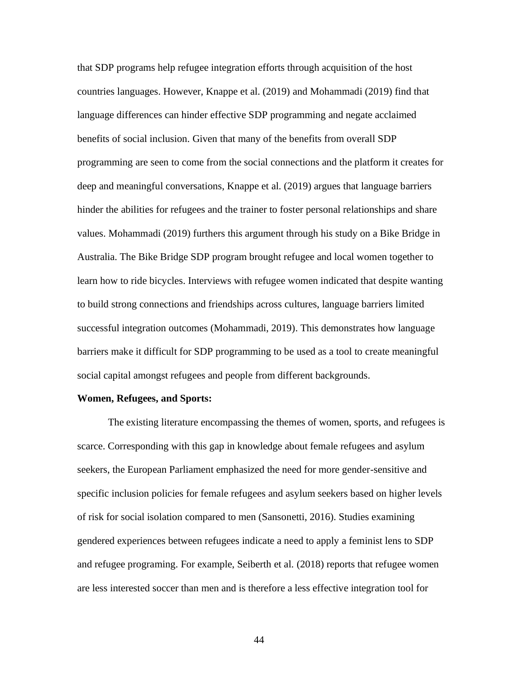that SDP programs help refugee integration efforts through acquisition of the host countries languages. However, Knappe et al. (2019) and Mohammadi (2019) find that language differences can hinder effective SDP programming and negate acclaimed benefits of social inclusion. Given that many of the benefits from overall SDP programming are seen to come from the social connections and the platform it creates for deep and meaningful conversations, Knappe et al. (2019) argues that language barriers hinder the abilities for refugees and the trainer to foster personal relationships and share values. Mohammadi (2019) furthers this argument through his study on a Bike Bridge in Australia. The Bike Bridge SDP program brought refugee and local women together to learn how to ride bicycles. Interviews with refugee women indicated that despite wanting to build strong connections and friendships across cultures, language barriers limited successful integration outcomes (Mohammadi, 2019). This demonstrates how language barriers make it difficult for SDP programming to be used as a tool to create meaningful social capital amongst refugees and people from different backgrounds.

# **Women, Refugees, and Sports:**

The existing literature encompassing the themes of women, sports, and refugees is scarce. Corresponding with this gap in knowledge about female refugees and asylum seekers, the European Parliament emphasized the need for more gender-sensitive and specific inclusion policies for female refugees and asylum seekers based on higher levels of risk for social isolation compared to men (Sansonetti, 2016). Studies examining gendered experiences between refugees indicate a need to apply a feminist lens to SDP and refugee programing. For example, Seiberth et al. (2018) reports that refugee women are less interested soccer than men and is therefore a less effective integration tool for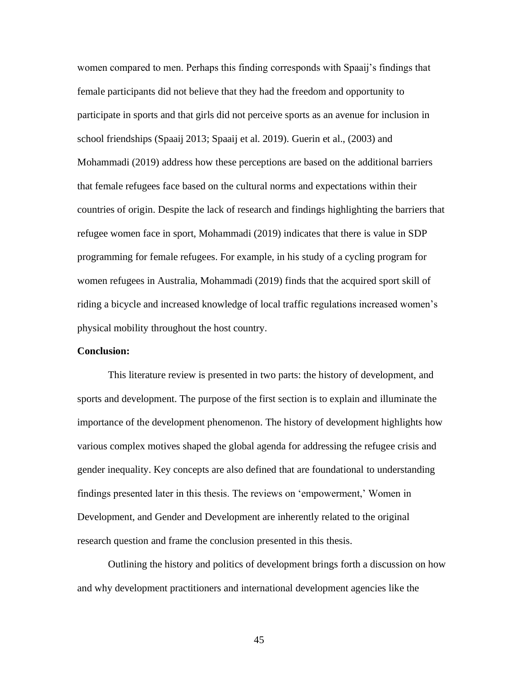women compared to men. Perhaps this finding corresponds with Spaaij's findings that female participants did not believe that they had the freedom and opportunity to participate in sports and that girls did not perceive sports as an avenue for inclusion in school friendships (Spaaij 2013; Spaaij et al. 2019). Guerin et al., (2003) and Mohammadi (2019) address how these perceptions are based on the additional barriers that female refugees face based on the cultural norms and expectations within their countries of origin. Despite the lack of research and findings highlighting the barriers that refugee women face in sport, Mohammadi (2019) indicates that there is value in SDP programming for female refugees. For example, in his study of a cycling program for women refugees in Australia, Mohammadi (2019) finds that the acquired sport skill of riding a bicycle and increased knowledge of local traffic regulations increased women's physical mobility throughout the host country.

# **Conclusion:**

This literature review is presented in two parts: the history of development, and sports and development. The purpose of the first section is to explain and illuminate the importance of the development phenomenon. The history of development highlights how various complex motives shaped the global agenda for addressing the refugee crisis and gender inequality. Key concepts are also defined that are foundational to understanding findings presented later in this thesis. The reviews on 'empowerment,' Women in Development, and Gender and Development are inherently related to the original research question and frame the conclusion presented in this thesis.

Outlining the history and politics of development brings forth a discussion on how and why development practitioners and international development agencies like the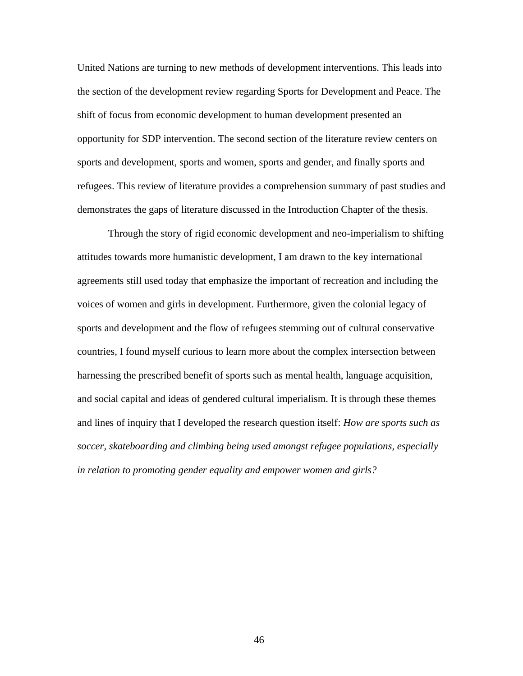United Nations are turning to new methods of development interventions. This leads into the section of the development review regarding Sports for Development and Peace. The shift of focus from economic development to human development presented an opportunity for SDP intervention. The second section of the literature review centers on sports and development, sports and women, sports and gender, and finally sports and refugees. This review of literature provides a comprehension summary of past studies and demonstrates the gaps of literature discussed in the Introduction Chapter of the thesis.

Through the story of rigid economic development and neo-imperialism to shifting attitudes towards more humanistic development, I am drawn to the key international agreements still used today that emphasize the important of recreation and including the voices of women and girls in development. Furthermore, given the colonial legacy of sports and development and the flow of refugees stemming out of cultural conservative countries, I found myself curious to learn more about the complex intersection between harnessing the prescribed benefit of sports such as mental health, language acquisition, and social capital and ideas of gendered cultural imperialism. It is through these themes and lines of inquiry that I developed the research question itself: *How are sports such as soccer, skateboarding and climbing being used amongst refugee populations, especially in relation to promoting gender equality and empower women and girls?*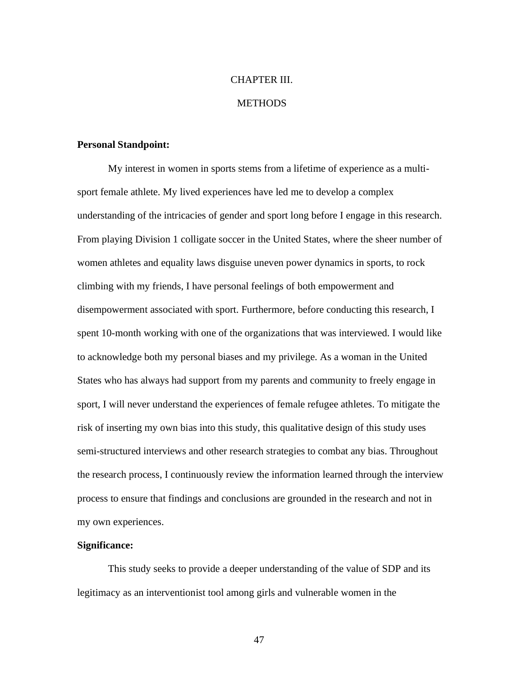# CHAPTER III.

# **METHODS**

#### **Personal Standpoint:**

My interest in women in sports stems from a lifetime of experience as a multisport female athlete. My lived experiences have led me to develop a complex understanding of the intricacies of gender and sport long before I engage in this research. From playing Division 1 colligate soccer in the United States, where the sheer number of women athletes and equality laws disguise uneven power dynamics in sports, to rock climbing with my friends, I have personal feelings of both empowerment and disempowerment associated with sport. Furthermore, before conducting this research, I spent 10-month working with one of the organizations that was interviewed. I would like to acknowledge both my personal biases and my privilege. As a woman in the United States who has always had support from my parents and community to freely engage in sport, I will never understand the experiences of female refugee athletes. To mitigate the risk of inserting my own bias into this study, this qualitative design of this study uses semi-structured interviews and other research strategies to combat any bias. Throughout the research process, I continuously review the information learned through the interview process to ensure that findings and conclusions are grounded in the research and not in my own experiences.

# **Significance:**

This study seeks to provide a deeper understanding of the value of SDP and its legitimacy as an interventionist tool among girls and vulnerable women in the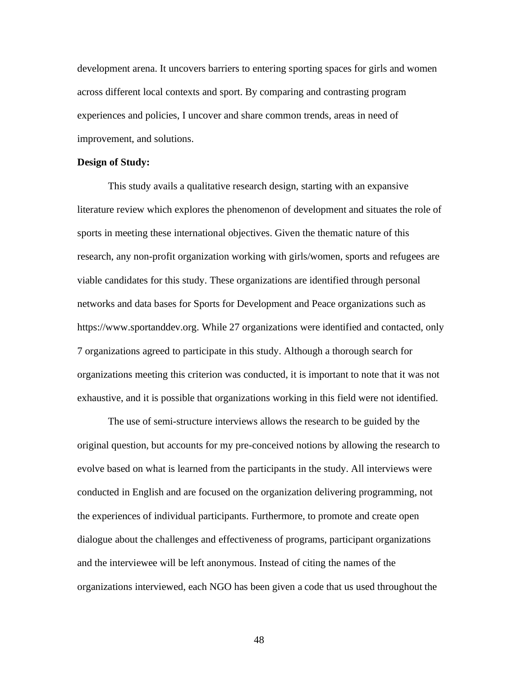development arena. It uncovers barriers to entering sporting spaces for girls and women across different local contexts and sport. By comparing and contrasting program experiences and policies, I uncover and share common trends, areas in need of improvement, and solutions.

#### **Design of Study:**

This study avails a qualitative research design, starting with an expansive literature review which explores the phenomenon of development and situates the role of sports in meeting these international objectives. Given the thematic nature of this research, any non-profit organization working with girls/women, sports and refugees are viable candidates for this study. These organizations are identified through personal networks and data bases for Sports for Development and Peace organizations such as https:/[/www.sportanddev.org.](http://www.sportanddev.org/) While 27 organizations were identified and contacted, only 7 organizations agreed to participate in this study. Although a thorough search for organizations meeting this criterion was conducted, it is important to note that it was not exhaustive, and it is possible that organizations working in this field were not identified.

The use of semi-structure interviews allows the research to be guided by the original question, but accounts for my pre-conceived notions by allowing the research to evolve based on what is learned from the participants in the study. All interviews were conducted in English and are focused on the organization delivering programming, not the experiences of individual participants. Furthermore, to promote and create open dialogue about the challenges and effectiveness of programs, participant organizations and the interviewee will be left anonymous. Instead of citing the names of the organizations interviewed, each NGO has been given a code that us used throughout the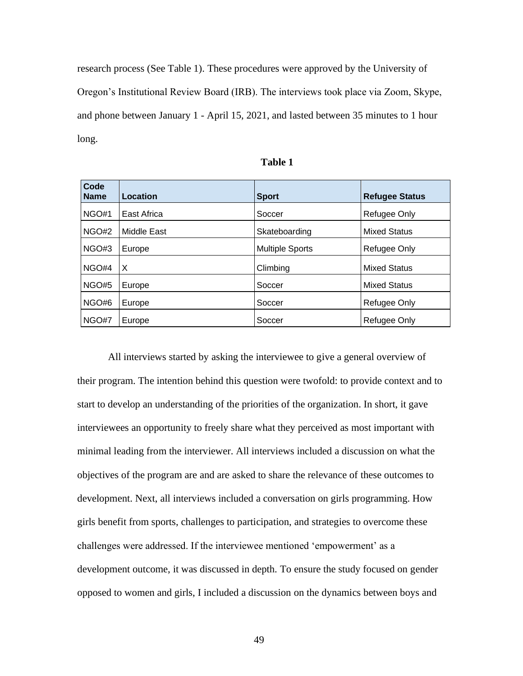research process (See Table 1). These procedures were approved by the University of Oregon's Institutional Review Board (IRB). The interviews took place via Zoom, Skype, and phone between January 1 - April 15, 2021, and lasted between 35 minutes to 1 hour long.

| Code<br><b>Name</b> | Location    | <b>Sport</b>           | <b>Refugee Status</b> |
|---------------------|-------------|------------------------|-----------------------|
| NGO#1               | East Africa | Soccer                 | Refugee Only          |
| NGO#2               | Middle East | Skateboarding          | <b>Mixed Status</b>   |
| NGO#3               | Europe      | <b>Multiple Sports</b> | Refugee Only          |
| NGO#4               | $\times$    | Climbing               | <b>Mixed Status</b>   |
| NGO#5               | Europe      | Soccer                 | <b>Mixed Status</b>   |
| NGO#6               | Europe      | Soccer                 | Refugee Only          |
| NGO#7               | Europe      | Soccer                 | Refugee Only          |

| I<br>Π<br>۰.<br>× |  |
|-------------------|--|
|-------------------|--|

All interviews started by asking the interviewee to give a general overview of their program. The intention behind this question were twofold: to provide context and to start to develop an understanding of the priorities of the organization. In short, it gave interviewees an opportunity to freely share what they perceived as most important with minimal leading from the interviewer. All interviews included a discussion on what the objectives of the program are and are asked to share the relevance of these outcomes to development. Next, all interviews included a conversation on girls programming. How girls benefit from sports, challenges to participation, and strategies to overcome these challenges were addressed. If the interviewee mentioned 'empowerment' as a development outcome, it was discussed in depth. To ensure the study focused on gender opposed to women and girls, I included a discussion on the dynamics between boys and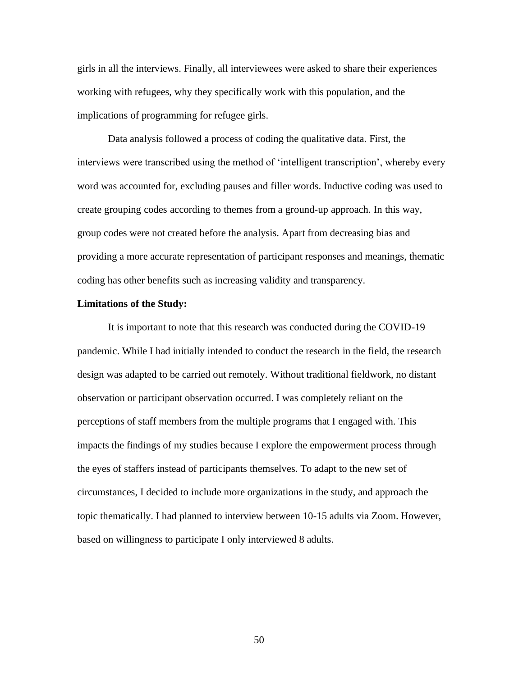girls in all the interviews. Finally, all interviewees were asked to share their experiences working with refugees, why they specifically work with this population, and the implications of programming for refugee girls.

Data analysis followed a process of coding the qualitative data. First, the interviews were transcribed using the method of 'intelligent transcription', whereby every word was accounted for, excluding pauses and filler words. Inductive coding was used to create grouping codes according to themes from a ground-up approach. In this way, group codes were not created before the analysis. Apart from decreasing bias and providing a more accurate representation of participant responses and meanings, thematic coding has other benefits such as increasing validity and transparency.

#### **Limitations of the Study:**

It is important to note that this research was conducted during the COVID-19 pandemic. While I had initially intended to conduct the research in the field, the research design was adapted to be carried out remotely. Without traditional fieldwork, no distant observation or participant observation occurred. I was completely reliant on the perceptions of staff members from the multiple programs that I engaged with. This impacts the findings of my studies because I explore the empowerment process through the eyes of staffers instead of participants themselves. To adapt to the new set of circumstances, I decided to include more organizations in the study, and approach the topic thematically. I had planned to interview between 10-15 adults via Zoom. However, based on willingness to participate I only interviewed 8 adults.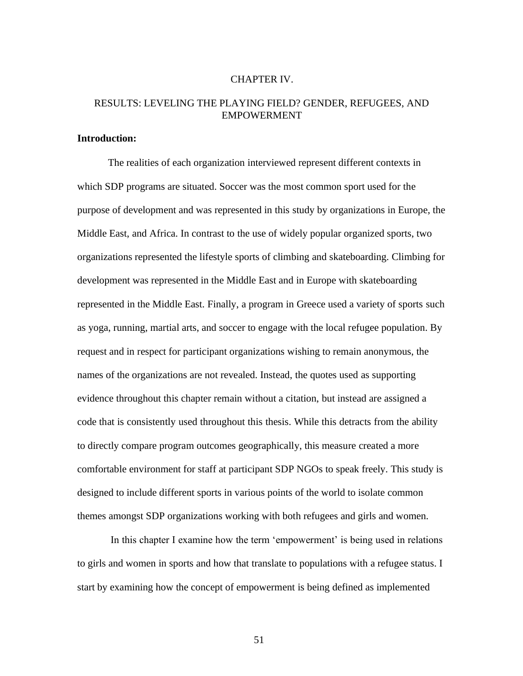# CHAPTER IV.

# RESULTS: LEVELING THE PLAYING FIELD? GENDER, REFUGEES, AND EMPOWERMENT

# **Introduction:**

The realities of each organization interviewed represent different contexts in which SDP programs are situated. Soccer was the most common sport used for the purpose of development and was represented in this study by organizations in Europe, the Middle East, and Africa. In contrast to the use of widely popular organized sports, two organizations represented the lifestyle sports of climbing and skateboarding. Climbing for development was represented in the Middle East and in Europe with skateboarding represented in the Middle East. Finally, a program in Greece used a variety of sports such as yoga, running, martial arts, and soccer to engage with the local refugee population. By request and in respect for participant organizations wishing to remain anonymous, the names of the organizations are not revealed. Instead, the quotes used as supporting evidence throughout this chapter remain without a citation, but instead are assigned a code that is consistently used throughout this thesis. While this detracts from the ability to directly compare program outcomes geographically, this measure created a more comfortable environment for staff at participant SDP NGOs to speak freely. This study is designed to include different sports in various points of the world to isolate common themes amongst SDP organizations working with both refugees and girls and women.

In this chapter I examine how the term 'empowerment' is being used in relations to girls and women in sports and how that translate to populations with a refugee status. I start by examining how the concept of empowerment is being defined as implemented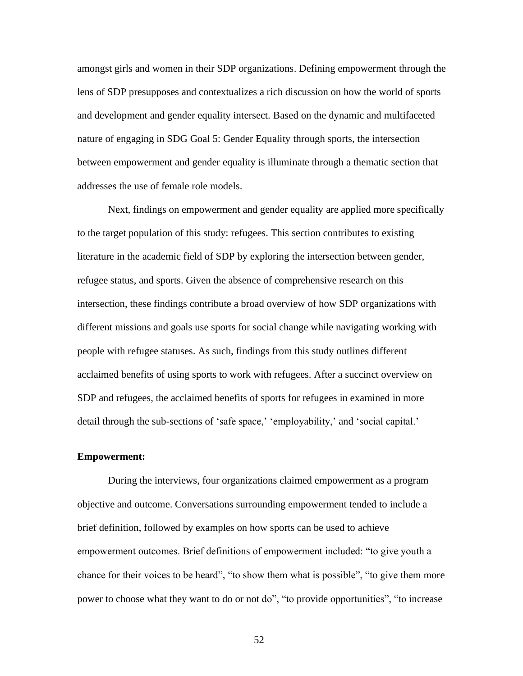amongst girls and women in their SDP organizations. Defining empowerment through the lens of SDP presupposes and contextualizes a rich discussion on how the world of sports and development and gender equality intersect. Based on the dynamic and multifaceted nature of engaging in SDG Goal 5: Gender Equality through sports, the intersection between empowerment and gender equality is illuminate through a thematic section that addresses the use of female role models.

Next, findings on empowerment and gender equality are applied more specifically to the target population of this study: refugees. This section contributes to existing literature in the academic field of SDP by exploring the intersection between gender, refugee status, and sports. Given the absence of comprehensive research on this intersection, these findings contribute a broad overview of how SDP organizations with different missions and goals use sports for social change while navigating working with people with refugee statuses. As such, findings from this study outlines different acclaimed benefits of using sports to work with refugees. After a succinct overview on SDP and refugees, the acclaimed benefits of sports for refugees in examined in more detail through the sub-sections of 'safe space,' 'employability,' and 'social capital.'

### **Empowerment:**

During the interviews, four organizations claimed empowerment as a program objective and outcome. Conversations surrounding empowerment tended to include a brief definition, followed by examples on how sports can be used to achieve empowerment outcomes. Brief definitions of empowerment included: "to give youth a chance for their voices to be heard", "to show them what is possible", "to give them more power to choose what they want to do or not do", "to provide opportunities", "to increase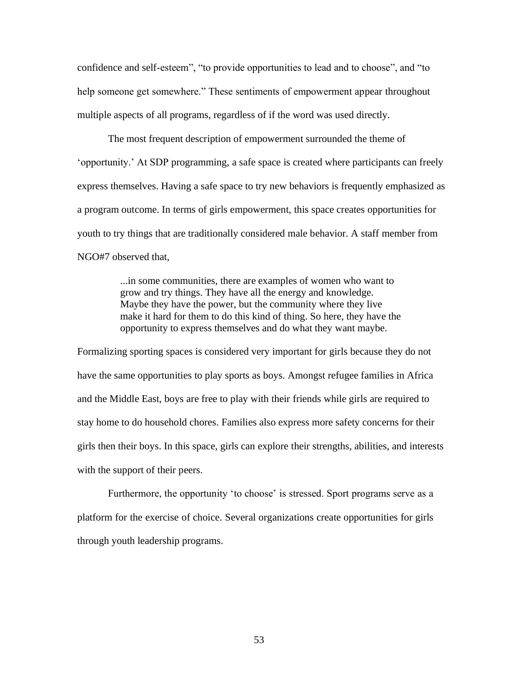confidence and self-esteem", "to provide opportunities to lead and to choose", and "to help someone get somewhere." These sentiments of empowerment appear throughout multiple aspects of all programs, regardless of if the word was used directly.

The most frequent description of empowerment surrounded the theme of 'opportunity.' At SDP programming, a safe space is created where participants can freely express themselves. Having a safe space to try new behaviors is frequently emphasized as a program outcome. In terms of girls empowerment, this space creates opportunities for youth to try things that are traditionally considered male behavior. A staff member from NGO#7 observed that,

> ...in some communities, there are examples of women who want to grow and try things. They have all the energy and knowledge. Maybe they have the power, but the community where they live make it hard for them to do this kind of thing. So here, they have the opportunity to express themselves and do what they want maybe.

Formalizing sporting spaces is considered very important for girls because they do not have the same opportunities to play sports as boys. Amongst refugee families in Africa and the Middle East, boys are free to play with their friends while girls are required to stay home to do household chores. Families also express more safety concerns for their girls then their boys. In this space, girls can explore their strengths, abilities, and interests with the support of their peers.

Furthermore, the opportunity 'to choose' is stressed. Sport programs serve as a platform for the exercise of choice. Several organizations create opportunities for girls through youth leadership programs.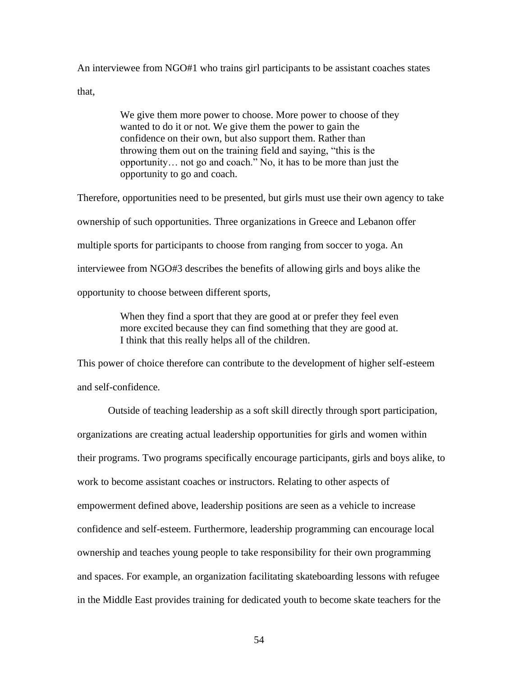An interviewee from NGO#1 who trains girl participants to be assistant coaches states

that,

We give them more power to choose. More power to choose of they wanted to do it or not. We give them the power to gain the confidence on their own, but also support them. Rather than throwing them out on the training field and saying, "this is the opportunity… not go and coach." No, it has to be more than just the opportunity to go and coach.

Therefore, opportunities need to be presented, but girls must use their own agency to take ownership of such opportunities. Three organizations in Greece and Lebanon offer multiple sports for participants to choose from ranging from soccer to yoga. An interviewee from NGO#3 describes the benefits of allowing girls and boys alike the opportunity to choose between different sports,

> When they find a sport that they are good at or prefer they feel even more excited because they can find something that they are good at. I think that this really helps all of the children.

This power of choice therefore can contribute to the development of higher self-esteem and self-confidence.

Outside of teaching leadership as a soft skill directly through sport participation, organizations are creating actual leadership opportunities for girls and women within their programs. Two programs specifically encourage participants, girls and boys alike, to work to become assistant coaches or instructors. Relating to other aspects of empowerment defined above, leadership positions are seen as a vehicle to increase confidence and self-esteem. Furthermore, leadership programming can encourage local ownership and teaches young people to take responsibility for their own programming and spaces. For example, an organization facilitating skateboarding lessons with refugee in the Middle East provides training for dedicated youth to become skate teachers for the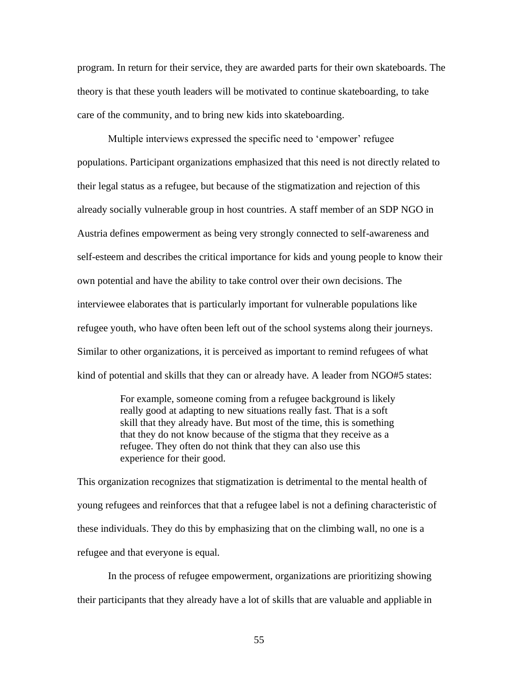program. In return for their service, they are awarded parts for their own skateboards. The theory is that these youth leaders will be motivated to continue skateboarding, to take care of the community, and to bring new kids into skateboarding.

Multiple interviews expressed the specific need to 'empower' refugee populations. Participant organizations emphasized that this need is not directly related to their legal status as a refugee, but because of the stigmatization and rejection of this already socially vulnerable group in host countries. A staff member of an SDP NGO in Austria defines empowerment as being very strongly connected to self-awareness and self-esteem and describes the critical importance for kids and young people to know their own potential and have the ability to take control over their own decisions. The interviewee elaborates that is particularly important for vulnerable populations like refugee youth, who have often been left out of the school systems along their journeys. Similar to other organizations, it is perceived as important to remind refugees of what kind of potential and skills that they can or already have. A leader from NGO#5 states:

> For example, someone coming from a refugee background is likely really good at adapting to new situations really fast. That is a soft skill that they already have. But most of the time, this is something that they do not know because of the stigma that they receive as a refugee. They often do not think that they can also use this experience for their good.

This organization recognizes that stigmatization is detrimental to the mental health of young refugees and reinforces that that a refugee label is not a defining characteristic of these individuals. They do this by emphasizing that on the climbing wall, no one is a refugee and that everyone is equal.

In the process of refugee empowerment, organizations are prioritizing showing their participants that they already have a lot of skills that are valuable and appliable in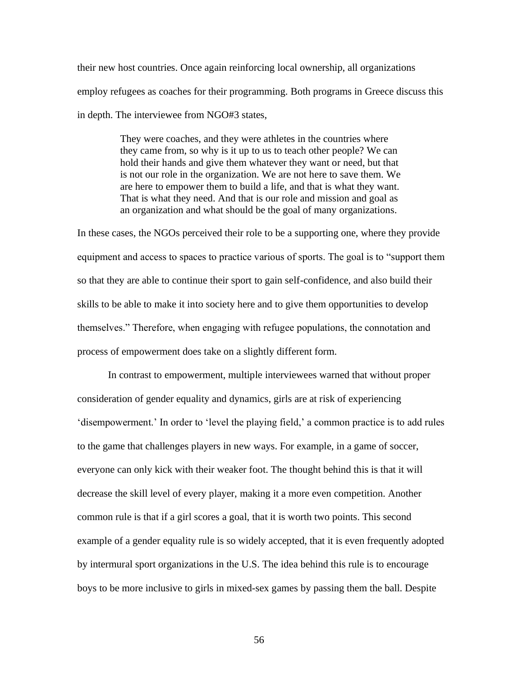their new host countries. Once again reinforcing local ownership, all organizations employ refugees as coaches for their programming. Both programs in Greece discuss this in depth. The interviewee from NGO#3 states,

> They were coaches, and they were athletes in the countries where they came from, so why is it up to us to teach other people? We can hold their hands and give them whatever they want or need, but that is not our role in the organization. We are not here to save them. We are here to empower them to build a life, and that is what they want. That is what they need. And that is our role and mission and goal as an organization and what should be the goal of many organizations.

In these cases, the NGOs perceived their role to be a supporting one, where they provide equipment and access to spaces to practice various of sports. The goal is to "support them so that they are able to continue their sport to gain self-confidence, and also build their skills to be able to make it into society here and to give them opportunities to develop themselves." Therefore, when engaging with refugee populations, the connotation and process of empowerment does take on a slightly different form.

In contrast to empowerment, multiple interviewees warned that without proper consideration of gender equality and dynamics, girls are at risk of experiencing 'disempowerment.' In order to 'level the playing field,' a common practice is to add rules to the game that challenges players in new ways. For example, in a game of soccer, everyone can only kick with their weaker foot. The thought behind this is that it will decrease the skill level of every player, making it a more even competition. Another common rule is that if a girl scores a goal, that it is worth two points. This second example of a gender equality rule is so widely accepted, that it is even frequently adopted by intermural sport organizations in the U.S. The idea behind this rule is to encourage boys to be more inclusive to girls in mixed-sex games by passing them the ball. Despite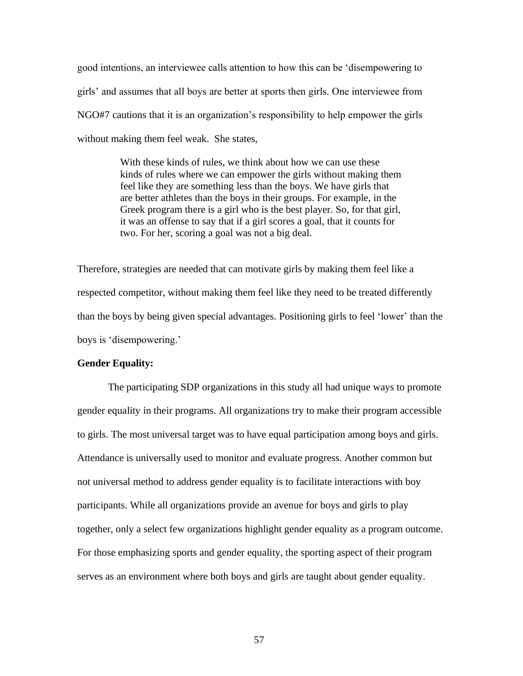good intentions, an interviewee calls attention to how this can be 'disempowering to girls' and assumes that all boys are better at sports then girls. One interviewee from NGO#7 cautions that it is an organization's responsibility to help empower the girls without making them feel weak. She states,

> With these kinds of rules, we think about how we can use these kinds of rules where we can empower the girls without making them feel like they are something less than the boys. We have girls that are better athletes than the boys in their groups. For example, in the Greek program there is a girl who is the best player. So, for that girl, it was an offense to say that if a girl scores a goal, that it counts for two. For her, scoring a goal was not a big deal.

Therefore, strategies are needed that can motivate girls by making them feel like a respected competitor, without making them feel like they need to be treated differently than the boys by being given special advantages. Positioning girls to feel 'lower' than the boys is 'disempowering.'

# **Gender Equality:**

The participating SDP organizations in this study all had unique ways to promote gender equality in their programs. All organizations try to make their program accessible to girls. The most universal target was to have equal participation among boys and girls. Attendance is universally used to monitor and evaluate progress. Another common but not universal method to address gender equality is to facilitate interactions with boy participants. While all organizations provide an avenue for boys and girls to play together, only a select few organizations highlight gender equality as a program outcome. For those emphasizing sports and gender equality, the sporting aspect of their program serves as an environment where both boys and girls are taught about gender equality.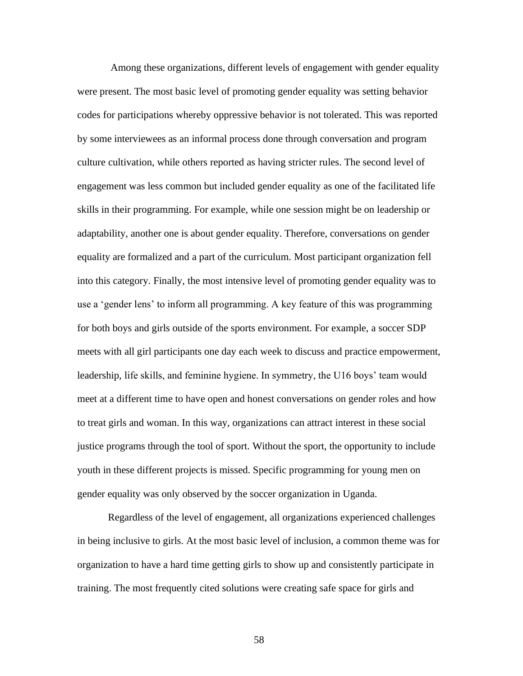Among these organizations, different levels of engagement with gender equality were present. The most basic level of promoting gender equality was setting behavior codes for participations whereby oppressive behavior is not tolerated. This was reported by some interviewees as an informal process done through conversation and program culture cultivation, while others reported as having stricter rules. The second level of engagement was less common but included gender equality as one of the facilitated life skills in their programming. For example, while one session might be on leadership or adaptability, another one is about gender equality. Therefore, conversations on gender equality are formalized and a part of the curriculum. Most participant organization fell into this category. Finally, the most intensive level of promoting gender equality was to use a 'gender lens' to inform all programming. A key feature of this was programming for both boys and girls outside of the sports environment. For example, a soccer SDP meets with all girl participants one day each week to discuss and practice empowerment, leadership, life skills, and feminine hygiene. In symmetry, the U16 boys' team would meet at a different time to have open and honest conversations on gender roles and how to treat girls and woman. In this way, organizations can attract interest in these social justice programs through the tool of sport. Without the sport, the opportunity to include youth in these different projects is missed. Specific programming for young men on gender equality was only observed by the soccer organization in Uganda.

Regardless of the level of engagement, all organizations experienced challenges in being inclusive to girls. At the most basic level of inclusion, a common theme was for organization to have a hard time getting girls to show up and consistently participate in training. The most frequently cited solutions were creating safe space for girls and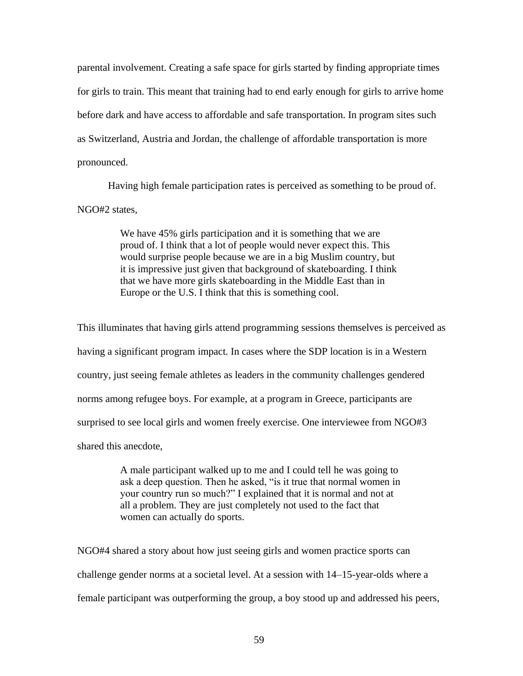parental involvement. Creating a safe space for girls started by finding appropriate times for girls to train. This meant that training had to end early enough for girls to arrive home before dark and have access to affordable and safe transportation. In program sites such as Switzerland, Austria and Jordan, the challenge of affordable transportation is more pronounced.

Having high female participation rates is perceived as something to be proud of. NGO#2 states,

> We have 45% girls participation and it is something that we are proud of. I think that a lot of people would never expect this. This would surprise people because we are in a big Muslim country, but it is impressive just given that background of skateboarding. I think that we have more girls skateboarding in the Middle East than in Europe or the U.S. I think that this is something cool.

This illuminates that having girls attend programming sessions themselves is perceived as having a significant program impact. In cases where the SDP location is in a Western country, just seeing female athletes as leaders in the community challenges gendered norms among refugee boys. For example, at a program in Greece, participants are surprised to see local girls and women freely exercise. One interviewee from NGO#3 shared this anecdote,

> A male participant walked up to me and I could tell he was going to ask a deep question. Then he asked, "is it true that normal women in your country run so much?" I explained that it is normal and not at all a problem. They are just completely not used to the fact that women can actually do sports.

NGO#4 shared a story about how just seeing girls and women practice sports can challenge gender norms at a societal level. At a session with 14–15-year-olds where a female participant was outperforming the group, a boy stood up and addressed his peers,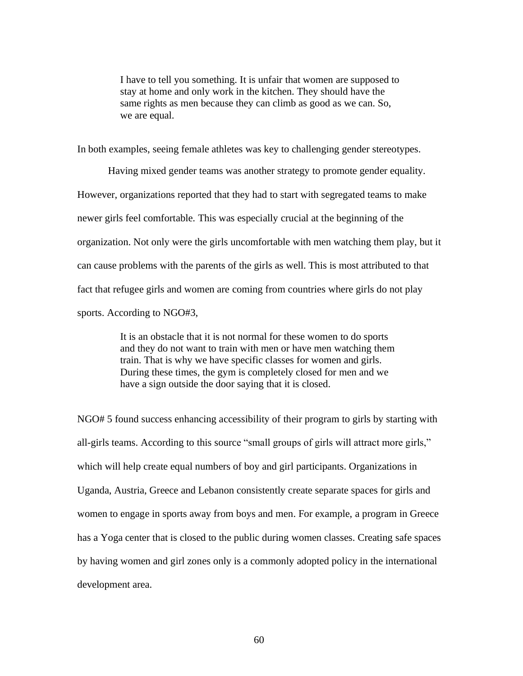I have to tell you something. It is unfair that women are supposed to stay at home and only work in the kitchen. They should have the same rights as men because they can climb as good as we can. So, we are equal.

In both examples, seeing female athletes was key to challenging gender stereotypes.

Having mixed gender teams was another strategy to promote gender equality. However, organizations reported that they had to start with segregated teams to make newer girls feel comfortable. This was especially crucial at the beginning of the organization. Not only were the girls uncomfortable with men watching them play, but it can cause problems with the parents of the girls as well. This is most attributed to that fact that refugee girls and women are coming from countries where girls do not play sports. According to NGO#3,

> It is an obstacle that it is not normal for these women to do sports and they do not want to train with men or have men watching them train. That is why we have specific classes for women and girls. During these times, the gym is completely closed for men and we have a sign outside the door saying that it is closed.

NGO# 5 found success enhancing accessibility of their program to girls by starting with all-girls teams. According to this source "small groups of girls will attract more girls," which will help create equal numbers of boy and girl participants. Organizations in Uganda, Austria, Greece and Lebanon consistently create separate spaces for girls and women to engage in sports away from boys and men. For example, a program in Greece has a Yoga center that is closed to the public during women classes. Creating safe spaces by having women and girl zones only is a commonly adopted policy in the international development area.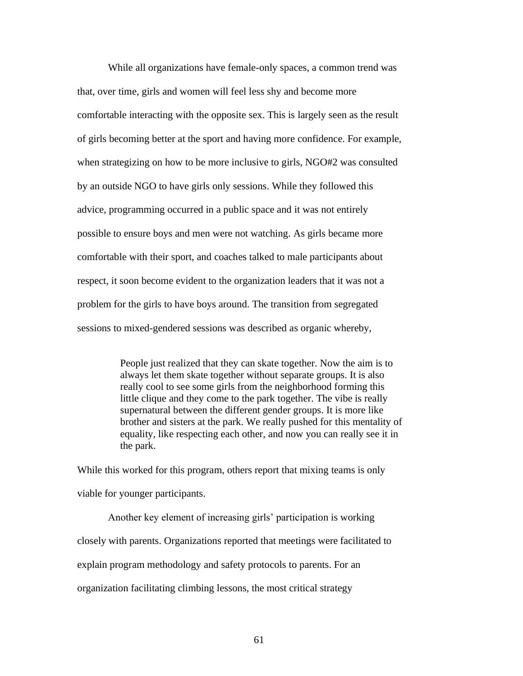While all organizations have female-only spaces, a common trend was that, over time, girls and women will feel less shy and become more comfortable interacting with the opposite sex. This is largely seen as the result of girls becoming better at the sport and having more confidence. For example, when strategizing on how to be more inclusive to girls, NGO#2 was consulted by an outside NGO to have girls only sessions. While they followed this advice, programming occurred in a public space and it was not entirely possible to ensure boys and men were not watching. As girls became more comfortable with their sport, and coaches talked to male participants about respect, it soon become evident to the organization leaders that it was not a problem for the girls to have boys around. The transition from segregated sessions to mixed-gendered sessions was described as organic whereby,

> People just realized that they can skate together. Now the aim is to always let them skate together without separate groups. It is also really cool to see some girls from the neighborhood forming this little clique and they come to the park together. The vibe is really supernatural between the different gender groups. It is more like brother and sisters at the park. We really pushed for this mentality of equality, like respecting each other, and now you can really see it in the park.

While this worked for this program, others report that mixing teams is only viable for younger participants.

Another key element of increasing girls' participation is working closely with parents. Organizations reported that meetings were facilitated to explain program methodology and safety protocols to parents. For an organization facilitating climbing lessons, the most critical strategy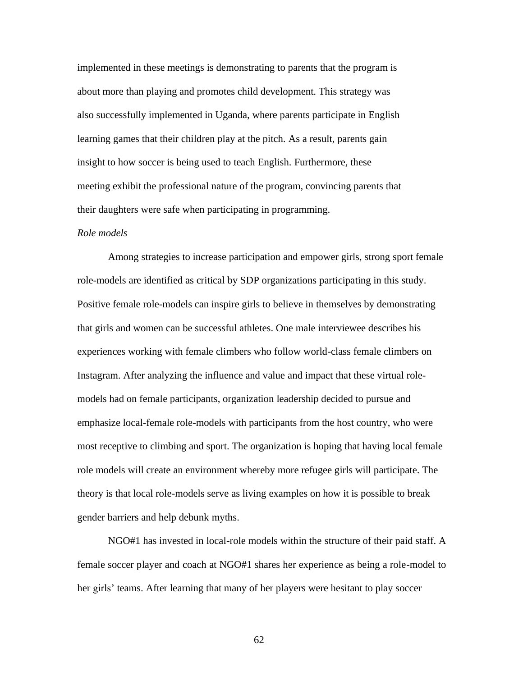implemented in these meetings is demonstrating to parents that the program is about more than playing and promotes child development. This strategy was also successfully implemented in Uganda, where parents participate in English learning games that their children play at the pitch. As a result, parents gain insight to how soccer is being used to teach English. Furthermore, these meeting exhibit the professional nature of the program, convincing parents that their daughters were safe when participating in programming.

### *Role models*

Among strategies to increase participation and empower girls, strong sport female role-models are identified as critical by SDP organizations participating in this study. Positive female role-models can inspire girls to believe in themselves by demonstrating that girls and women can be successful athletes. One male interviewee describes his experiences working with female climbers who follow world-class female climbers on Instagram. After analyzing the influence and value and impact that these virtual rolemodels had on female participants, organization leadership decided to pursue and emphasize local-female role-models with participants from the host country, who were most receptive to climbing and sport. The organization is hoping that having local female role models will create an environment whereby more refugee girls will participate. The theory is that local role-models serve as living examples on how it is possible to break gender barriers and help debunk myths.

NGO#1 has invested in local-role models within the structure of their paid staff. A female soccer player and coach at NGO#1 shares her experience as being a role-model to her girls' teams. After learning that many of her players were hesitant to play soccer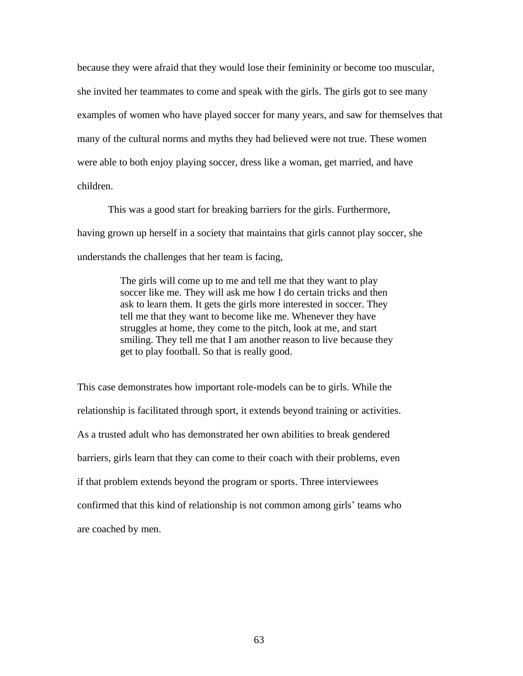because they were afraid that they would lose their femininity or become too muscular, she invited her teammates to come and speak with the girls. The girls got to see many examples of women who have played soccer for many years, and saw for themselves that many of the cultural norms and myths they had believed were not true. These women were able to both enjoy playing soccer, dress like a woman, get married, and have children.

This was a good start for breaking barriers for the girls. Furthermore, having grown up herself in a society that maintains that girls cannot play soccer, she understands the challenges that her team is facing,

> The girls will come up to me and tell me that they want to play soccer like me. They will ask me how I do certain tricks and then ask to learn them. It gets the girls more interested in soccer. They tell me that they want to become like me. Whenever they have struggles at home, they come to the pitch, look at me, and start smiling. They tell me that I am another reason to live because they get to play football. So that is really good.

This case demonstrates how important role-models can be to girls. While the relationship is facilitated through sport, it extends beyond training or activities. As a trusted adult who has demonstrated her own abilities to break gendered barriers, girls learn that they can come to their coach with their problems, even if that problem extends beyond the program or sports. Three interviewees confirmed that this kind of relationship is not common among girls' teams who are coached by men.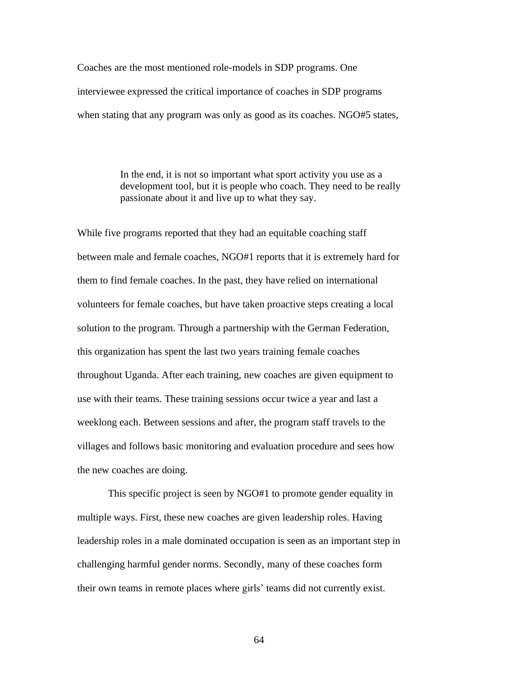Coaches are the most mentioned role-models in SDP programs. One interviewee expressed the critical importance of coaches in SDP programs when stating that any program was only as good as its coaches. NGO#5 states,

> In the end, it is not so important what sport activity you use as a development tool, but it is people who coach. They need to be really passionate about it and live up to what they say.

While five programs reported that they had an equitable coaching staff between male and female coaches, NGO#1 reports that it is extremely hard for them to find female coaches. In the past, they have relied on international volunteers for female coaches, but have taken proactive steps creating a local solution to the program. Through a partnership with the German Federation, this organization has spent the last two years training female coaches throughout Uganda. After each training, new coaches are given equipment to use with their teams. These training sessions occur twice a year and last a weeklong each. Between sessions and after, the program staff travels to the villages and follows basic monitoring and evaluation procedure and sees how the new coaches are doing.

This specific project is seen by NGO#1 to promote gender equality in multiple ways. First, these new coaches are given leadership roles. Having leadership roles in a male dominated occupation is seen as an important step in challenging harmful gender norms. Secondly, many of these coaches form their own teams in remote places where girls' teams did not currently exist.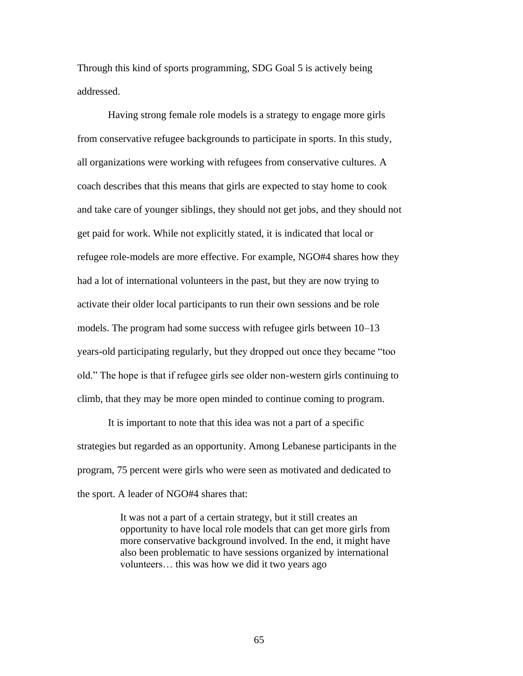Through this kind of sports programming, SDG Goal 5 is actively being addressed.

Having strong female role models is a strategy to engage more girls from conservative refugee backgrounds to participate in sports. In this study, all organizations were working with refugees from conservative cultures. A coach describes that this means that girls are expected to stay home to cook and take care of younger siblings, they should not get jobs, and they should not get paid for work. While not explicitly stated, it is indicated that local or refugee role-models are more effective. For example, NGO#4 shares how they had a lot of international volunteers in the past, but they are now trying to activate their older local participants to run their own sessions and be role models. The program had some success with refugee girls between 10–13 years-old participating regularly, but they dropped out once they became "too old." The hope is that if refugee girls see older non-western girls continuing to climb, that they may be more open minded to continue coming to program.

It is important to note that this idea was not a part of a specific strategies but regarded as an opportunity. Among Lebanese participants in the program, 75 percent were girls who were seen as motivated and dedicated to the sport. A leader of NGO#4 shares that:

> It was not a part of a certain strategy, but it still creates an opportunity to have local role models that can get more girls from more conservative background involved. In the end, it might have also been problematic to have sessions organized by international volunteers… this was how we did it two years ago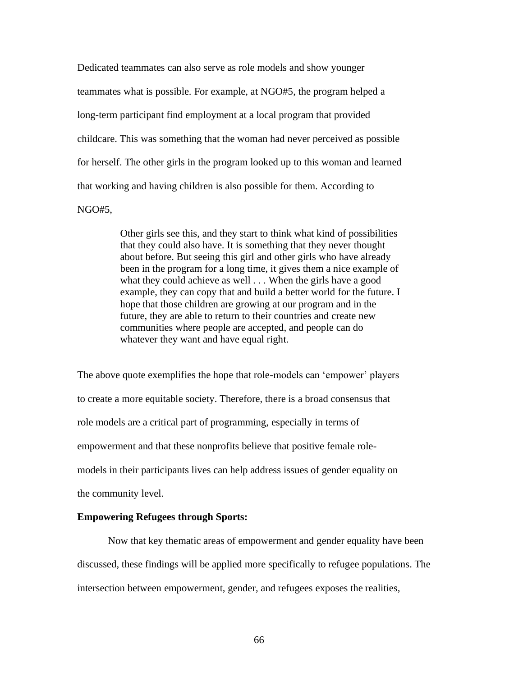Dedicated teammates can also serve as role models and show younger teammates what is possible. For example, at NGO#5, the program helped a long-term participant find employment at a local program that provided childcare. This was something that the woman had never perceived as possible for herself. The other girls in the program looked up to this woman and learned that working and having children is also possible for them. According to NGO#5,

> Other girls see this, and they start to think what kind of possibilities that they could also have. It is something that they never thought about before. But seeing this girl and other girls who have already been in the program for a long time, it gives them a nice example of what they could achieve as well . . . When the girls have a good example, they can copy that and build a better world for the future. I hope that those children are growing at our program and in the future, they are able to return to their countries and create new communities where people are accepted, and people can do whatever they want and have equal right.

The above quote exemplifies the hope that role-models can 'empower' players to create a more equitable society. Therefore, there is a broad consensus that role models are a critical part of programming, especially in terms of empowerment and that these nonprofits believe that positive female rolemodels in their participants lives can help address issues of gender equality on the community level.

## **Empowering Refugees through Sports:**

Now that key thematic areas of empowerment and gender equality have been discussed, these findings will be applied more specifically to refugee populations. The intersection between empowerment, gender, and refugees exposes the realities,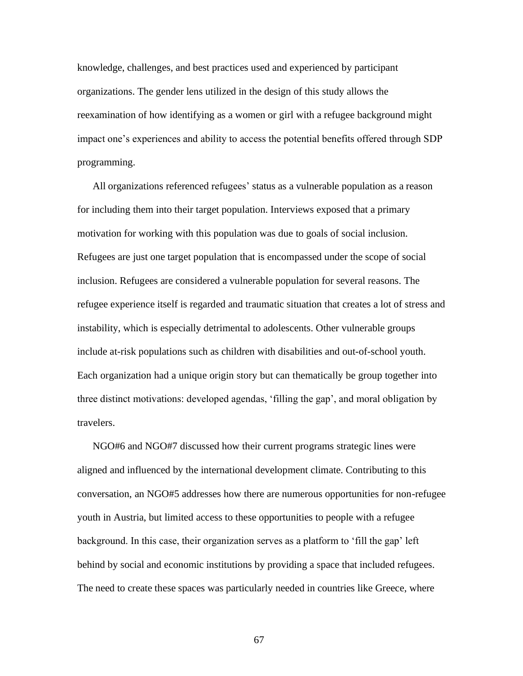knowledge, challenges, and best practices used and experienced by participant organizations. The gender lens utilized in the design of this study allows the reexamination of how identifying as a women or girl with a refugee background might impact one's experiences and ability to access the potential benefits offered through SDP programming.

All organizations referenced refugees' status as a vulnerable population as a reason for including them into their target population. Interviews exposed that a primary motivation for working with this population was due to goals of social inclusion. Refugees are just one target population that is encompassed under the scope of social inclusion. Refugees are considered a vulnerable population for several reasons. The refugee experience itself is regarded and traumatic situation that creates a lot of stress and instability, which is especially detrimental to adolescents. Other vulnerable groups include at-risk populations such as children with disabilities and out-of-school youth. Each organization had a unique origin story but can thematically be group together into three distinct motivations: developed agendas, 'filling the gap', and moral obligation by travelers.

NGO#6 and NGO#7 discussed how their current programs strategic lines were aligned and influenced by the international development climate. Contributing to this conversation, an NGO#5 addresses how there are numerous opportunities for non-refugee youth in Austria, but limited access to these opportunities to people with a refugee background. In this case, their organization serves as a platform to 'fill the gap' left behind by social and economic institutions by providing a space that included refugees. The need to create these spaces was particularly needed in countries like Greece, where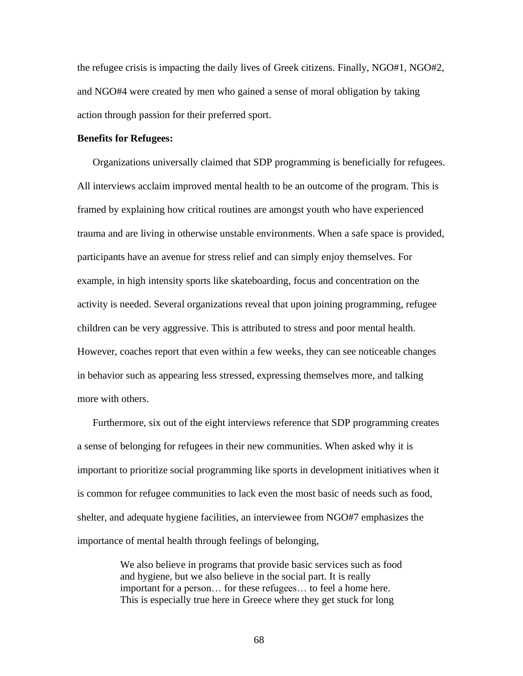the refugee crisis is impacting the daily lives of Greek citizens. Finally, NGO#1, NGO#2, and NGO#4 were created by men who gained a sense of moral obligation by taking action through passion for their preferred sport.

## **Benefits for Refugees:**

Organizations universally claimed that SDP programming is beneficially for refugees. All interviews acclaim improved mental health to be an outcome of the program. This is framed by explaining how critical routines are amongst youth who have experienced trauma and are living in otherwise unstable environments. When a safe space is provided, participants have an avenue for stress relief and can simply enjoy themselves. For example, in high intensity sports like skateboarding, focus and concentration on the activity is needed. Several organizations reveal that upon joining programming, refugee children can be very aggressive. This is attributed to stress and poor mental health. However, coaches report that even within a few weeks, they can see noticeable changes in behavior such as appearing less stressed, expressing themselves more, and talking more with others.

Furthermore, six out of the eight interviews reference that SDP programming creates a sense of belonging for refugees in their new communities. When asked why it is important to prioritize social programming like sports in development initiatives when it is common for refugee communities to lack even the most basic of needs such as food, shelter, and adequate hygiene facilities, an interviewee from NGO#7 emphasizes the importance of mental health through feelings of belonging,

> We also believe in programs that provide basic services such as food and hygiene, but we also believe in the social part. It is really important for a person… for these refugees… to feel a home here. This is especially true here in Greece where they get stuck for long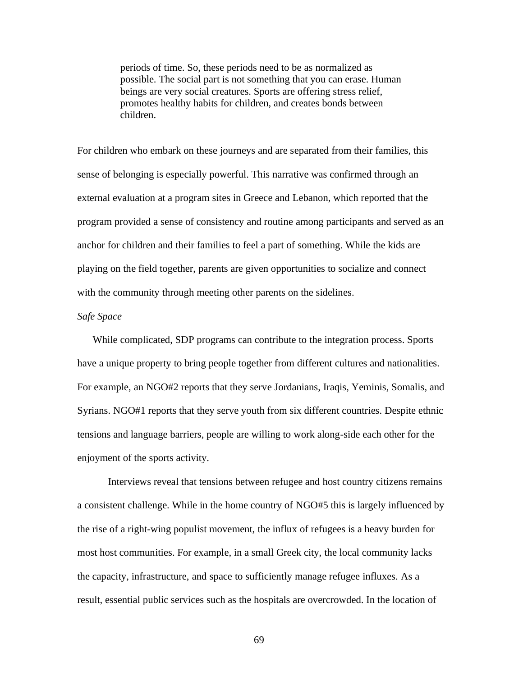periods of time. So, these periods need to be as normalized as possible. The social part is not something that you can erase. Human beings are very social creatures. Sports are offering stress relief, promotes healthy habits for children, and creates bonds between children.

For children who embark on these journeys and are separated from their families, this sense of belonging is especially powerful. This narrative was confirmed through an external evaluation at a program sites in Greece and Lebanon, which reported that the program provided a sense of consistency and routine among participants and served as an anchor for children and their families to feel a part of something. While the kids are playing on the field together, parents are given opportunities to socialize and connect with the community through meeting other parents on the sidelines.

# *Safe Space*

While complicated, SDP programs can contribute to the integration process. Sports have a unique property to bring people together from different cultures and nationalities. For example, an NGO#2 reports that they serve Jordanians, Iraqis, Yeminis, Somalis, and Syrians. NGO#1 reports that they serve youth from six different countries. Despite ethnic tensions and language barriers, people are willing to work along-side each other for the enjoyment of the sports activity.

Interviews reveal that tensions between refugee and host country citizens remains a consistent challenge. While in the home country of NGO#5 this is largely influenced by the rise of a right-wing populist movement, the influx of refugees is a heavy burden for most host communities. For example, in a small Greek city, the local community lacks the capacity, infrastructure, and space to sufficiently manage refugee influxes. As a result, essential public services such as the hospitals are overcrowded. In the location of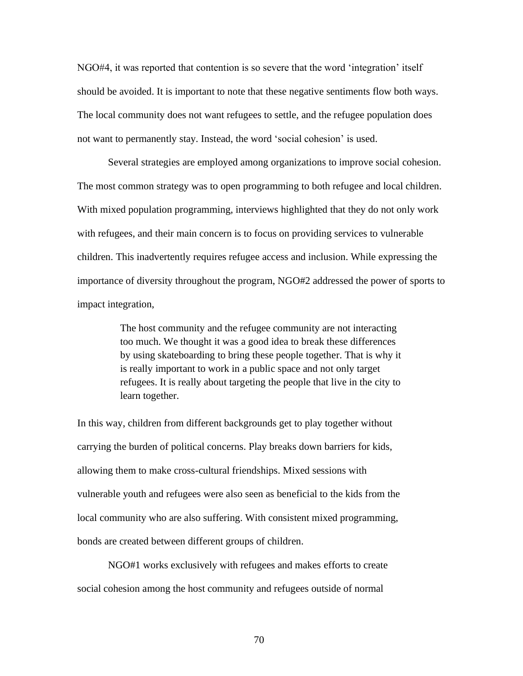NGO#4, it was reported that contention is so severe that the word 'integration' itself should be avoided. It is important to note that these negative sentiments flow both ways. The local community does not want refugees to settle, and the refugee population does not want to permanently stay. Instead, the word 'social cohesion' is used.

Several strategies are employed among organizations to improve social cohesion. The most common strategy was to open programming to both refugee and local children. With mixed population programming, interviews highlighted that they do not only work with refugees, and their main concern is to focus on providing services to vulnerable children. This inadvertently requires refugee access and inclusion. While expressing the importance of diversity throughout the program, NGO#2 addressed the power of sports to impact integration,

> The host community and the refugee community are not interacting too much. We thought it was a good idea to break these differences by using skateboarding to bring these people together. That is why it is really important to work in a public space and not only target refugees. It is really about targeting the people that live in the city to learn together.

In this way, children from different backgrounds get to play together without carrying the burden of political concerns. Play breaks down barriers for kids, allowing them to make cross-cultural friendships. Mixed sessions with vulnerable youth and refugees were also seen as beneficial to the kids from the local community who are also suffering. With consistent mixed programming, bonds are created between different groups of children.

NGO#1 works exclusively with refugees and makes efforts to create social cohesion among the host community and refugees outside of normal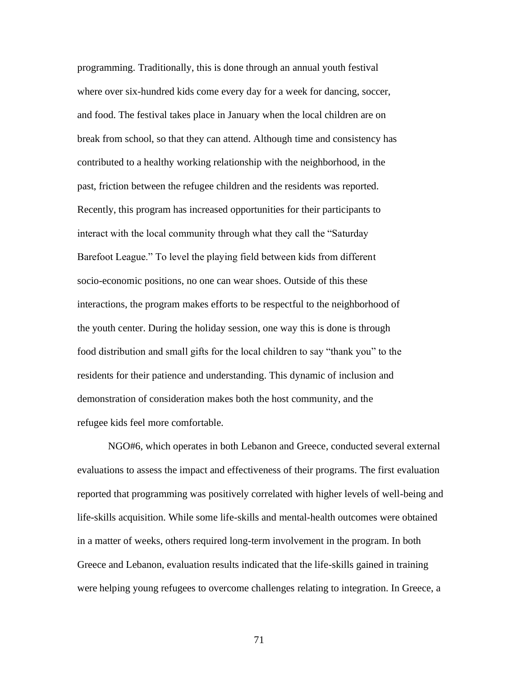programming. Traditionally, this is done through an annual youth festival where over six-hundred kids come every day for a week for dancing, soccer, and food. The festival takes place in January when the local children are on break from school, so that they can attend. Although time and consistency has contributed to a healthy working relationship with the neighborhood, in the past, friction between the refugee children and the residents was reported. Recently, this program has increased opportunities for their participants to interact with the local community through what they call the "Saturday Barefoot League." To level the playing field between kids from different socio-economic positions, no one can wear shoes. Outside of this these interactions, the program makes efforts to be respectful to the neighborhood of the youth center. During the holiday session, one way this is done is through food distribution and small gifts for the local children to say "thank you" to the residents for their patience and understanding. This dynamic of inclusion and demonstration of consideration makes both the host community, and the refugee kids feel more comfortable.

NGO#6, which operates in both Lebanon and Greece, conducted several external evaluations to assess the impact and effectiveness of their programs. The first evaluation reported that programming was positively correlated with higher levels of well-being and life-skills acquisition. While some life-skills and mental-health outcomes were obtained in a matter of weeks, others required long-term involvement in the program. In both Greece and Lebanon, evaluation results indicated that the life-skills gained in training were helping young refugees to overcome challenges relating to integration. In Greece, a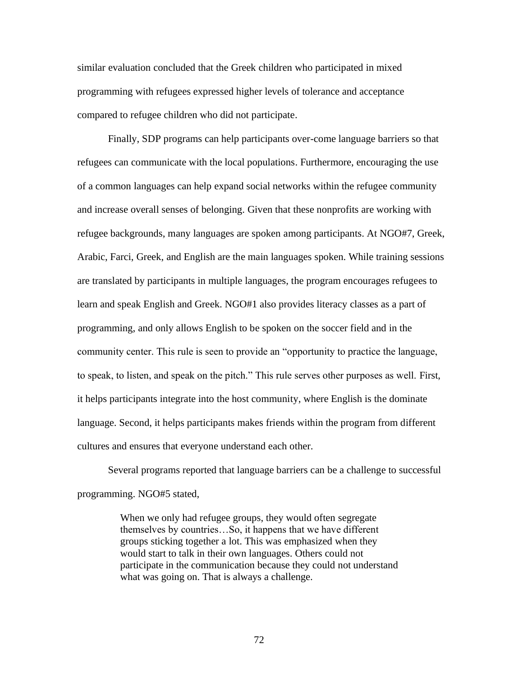similar evaluation concluded that the Greek children who participated in mixed programming with refugees expressed higher levels of tolerance and acceptance compared to refugee children who did not participate.

Finally, SDP programs can help participants over-come language barriers so that refugees can communicate with the local populations. Furthermore, encouraging the use of a common languages can help expand social networks within the refugee community and increase overall senses of belonging. Given that these nonprofits are working with refugee backgrounds, many languages are spoken among participants. At NGO#7, Greek, Arabic, Farci, Greek, and English are the main languages spoken. While training sessions are translated by participants in multiple languages, the program encourages refugees to learn and speak English and Greek. NGO#1 also provides literacy classes as a part of programming, and only allows English to be spoken on the soccer field and in the community center. This rule is seen to provide an "opportunity to practice the language, to speak, to listen, and speak on the pitch." This rule serves other purposes as well. First, it helps participants integrate into the host community, where English is the dominate language. Second, it helps participants makes friends within the program from different cultures and ensures that everyone understand each other.

Several programs reported that language barriers can be a challenge to successful programming. NGO#5 stated,

> When we only had refugee groups, they would often segregate themselves by countries…So, it happens that we have different groups sticking together a lot. This was emphasized when they would start to talk in their own languages. Others could not participate in the communication because they could not understand what was going on. That is always a challenge.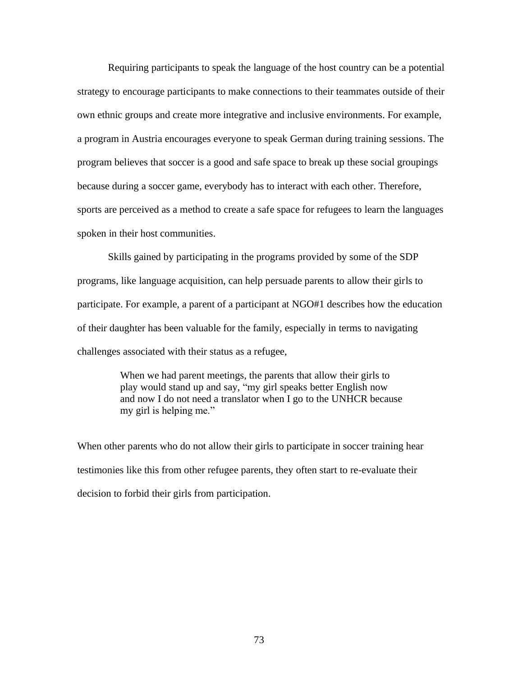Requiring participants to speak the language of the host country can be a potential strategy to encourage participants to make connections to their teammates outside of their own ethnic groups and create more integrative and inclusive environments. For example, a program in Austria encourages everyone to speak German during training sessions. The program believes that soccer is a good and safe space to break up these social groupings because during a soccer game, everybody has to interact with each other. Therefore, sports are perceived as a method to create a safe space for refugees to learn the languages spoken in their host communities.

Skills gained by participating in the programs provided by some of the SDP programs, like language acquisition, can help persuade parents to allow their girls to participate. For example, a parent of a participant at NGO#1 describes how the education of their daughter has been valuable for the family, especially in terms to navigating challenges associated with their status as a refugee,

> When we had parent meetings, the parents that allow their girls to play would stand up and say, "my girl speaks better English now and now I do not need a translator when I go to the UNHCR because my girl is helping me."

When other parents who do not allow their girls to participate in soccer training hear testimonies like this from other refugee parents, they often start to re-evaluate their decision to forbid their girls from participation.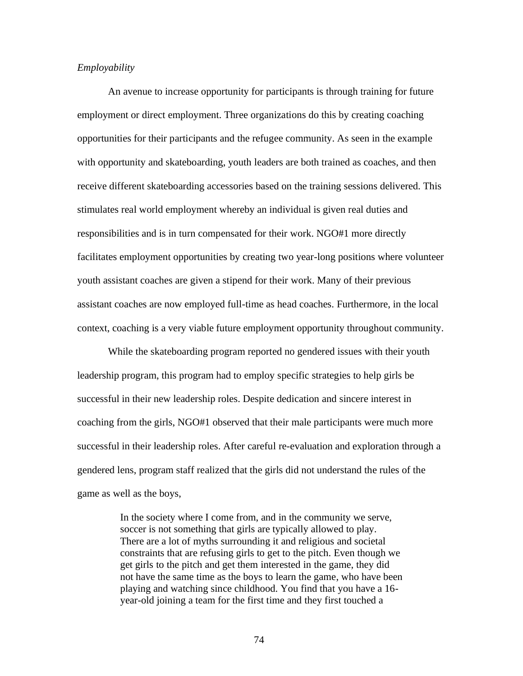# *Employability*

An avenue to increase opportunity for participants is through training for future employment or direct employment. Three organizations do this by creating coaching opportunities for their participants and the refugee community. As seen in the example with opportunity and skateboarding, youth leaders are both trained as coaches, and then receive different skateboarding accessories based on the training sessions delivered. This stimulates real world employment whereby an individual is given real duties and responsibilities and is in turn compensated for their work. NGO#1 more directly facilitates employment opportunities by creating two year-long positions where volunteer youth assistant coaches are given a stipend for their work. Many of their previous assistant coaches are now employed full-time as head coaches. Furthermore, in the local context, coaching is a very viable future employment opportunity throughout community.

While the skateboarding program reported no gendered issues with their youth leadership program, this program had to employ specific strategies to help girls be successful in their new leadership roles. Despite dedication and sincere interest in coaching from the girls, NGO#1 observed that their male participants were much more successful in their leadership roles. After careful re-evaluation and exploration through a gendered lens, program staff realized that the girls did not understand the rules of the game as well as the boys,

> In the society where I come from, and in the community we serve, soccer is not something that girls are typically allowed to play. There are a lot of myths surrounding it and religious and societal constraints that are refusing girls to get to the pitch. Even though we get girls to the pitch and get them interested in the game, they did not have the same time as the boys to learn the game, who have been playing and watching since childhood. You find that you have a 16 year-old joining a team for the first time and they first touched a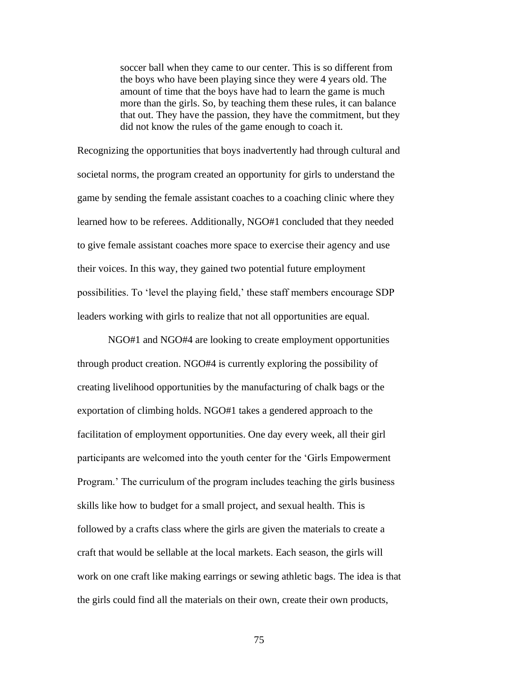soccer ball when they came to our center. This is so different from the boys who have been playing since they were 4 years old. The amount of time that the boys have had to learn the game is much more than the girls. So, by teaching them these rules, it can balance that out. They have the passion, they have the commitment, but they did not know the rules of the game enough to coach it.

Recognizing the opportunities that boys inadvertently had through cultural and societal norms, the program created an opportunity for girls to understand the game by sending the female assistant coaches to a coaching clinic where they learned how to be referees. Additionally, NGO#1 concluded that they needed to give female assistant coaches more space to exercise their agency and use their voices. In this way, they gained two potential future employment possibilities. To 'level the playing field,' these staff members encourage SDP leaders working with girls to realize that not all opportunities are equal.

NGO#1 and NGO#4 are looking to create employment opportunities through product creation. NGO#4 is currently exploring the possibility of creating livelihood opportunities by the manufacturing of chalk bags or the exportation of climbing holds. NGO#1 takes a gendered approach to the facilitation of employment opportunities. One day every week, all their girl participants are welcomed into the youth center for the 'Girls Empowerment Program.' The curriculum of the program includes teaching the girls business skills like how to budget for a small project, and sexual health. This is followed by a crafts class where the girls are given the materials to create a craft that would be sellable at the local markets. Each season, the girls will work on one craft like making earrings or sewing athletic bags. The idea is that the girls could find all the materials on their own, create their own products,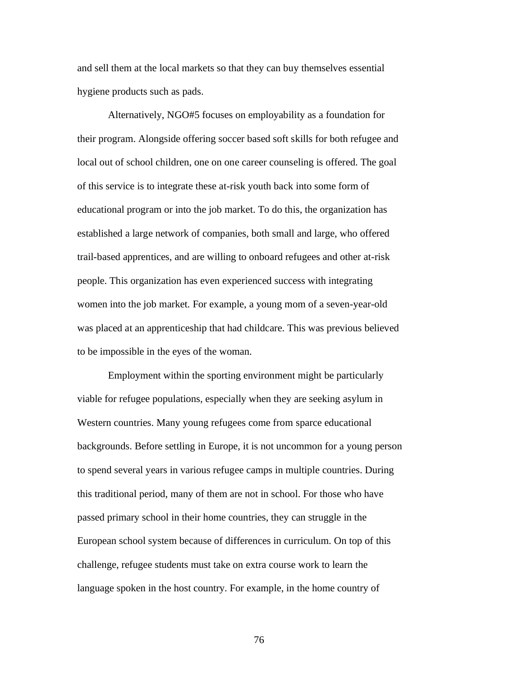and sell them at the local markets so that they can buy themselves essential hygiene products such as pads.

Alternatively, NGO#5 focuses on employability as a foundation for their program. Alongside offering soccer based soft skills for both refugee and local out of school children, one on one career counseling is offered. The goal of this service is to integrate these at-risk youth back into some form of educational program or into the job market. To do this, the organization has established a large network of companies, both small and large, who offered trail-based apprentices, and are willing to onboard refugees and other at-risk people. This organization has even experienced success with integrating women into the job market. For example, a young mom of a seven-year-old was placed at an apprenticeship that had childcare. This was previous believed to be impossible in the eyes of the woman.

Employment within the sporting environment might be particularly viable for refugee populations, especially when they are seeking asylum in Western countries. Many young refugees come from sparce educational backgrounds. Before settling in Europe, it is not uncommon for a young person to spend several years in various refugee camps in multiple countries. During this traditional period, many of them are not in school. For those who have passed primary school in their home countries, they can struggle in the European school system because of differences in curriculum. On top of this challenge, refugee students must take on extra course work to learn the language spoken in the host country. For example, in the home country of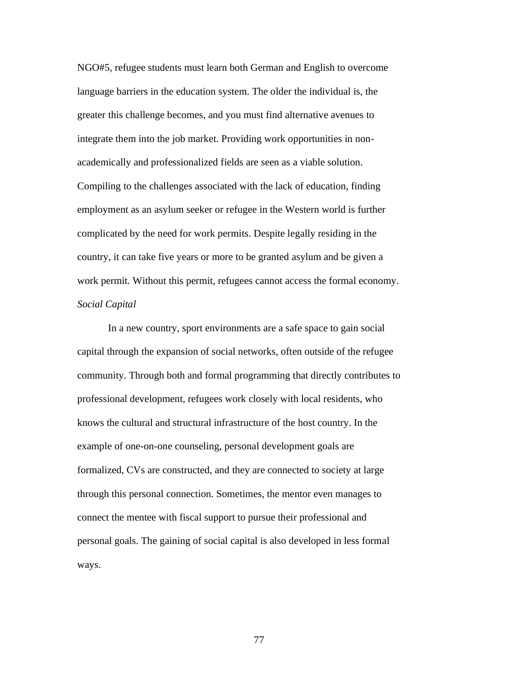NGO#5, refugee students must learn both German and English to overcome language barriers in the education system. The older the individual is, the greater this challenge becomes, and you must find alternative avenues to integrate them into the job market. Providing work opportunities in nonacademically and professionalized fields are seen as a viable solution. Compiling to the challenges associated with the lack of education, finding employment as an asylum seeker or refugee in the Western world is further complicated by the need for work permits. Despite legally residing in the country, it can take five years or more to be granted asylum and be given a work permit. Without this permit, refugees cannot access the formal economy. *Social Capital*

In a new country, sport environments are a safe space to gain social capital through the expansion of social networks, often outside of the refugee community. Through both and formal programming that directly contributes to professional development, refugees work closely with local residents, who knows the cultural and structural infrastructure of the host country. In the example of one-on-one counseling, personal development goals are formalized, CVs are constructed, and they are connected to society at large through this personal connection. Sometimes, the mentor even manages to connect the mentee with fiscal support to pursue their professional and personal goals. The gaining of social capital is also developed in less formal ways.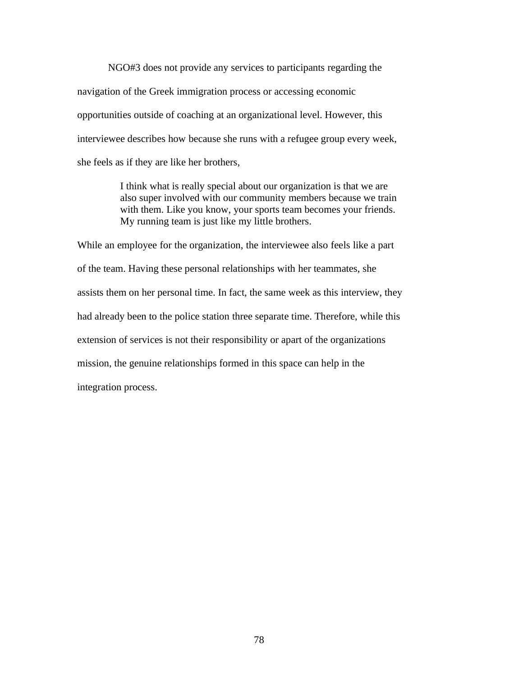NGO#3 does not provide any services to participants regarding the navigation of the Greek immigration process or accessing economic opportunities outside of coaching at an organizational level. However, this interviewee describes how because she runs with a refugee group every week, she feels as if they are like her brothers,

> I think what is really special about our organization is that we are also super involved with our community members because we train with them. Like you know, your sports team becomes your friends. My running team is just like my little brothers.

While an employee for the organization, the interviewee also feels like a part of the team. Having these personal relationships with her teammates, she assists them on her personal time. In fact, the same week as this interview, they had already been to the police station three separate time. Therefore, while this extension of services is not their responsibility or apart of the organizations mission, the genuine relationships formed in this space can help in the integration process.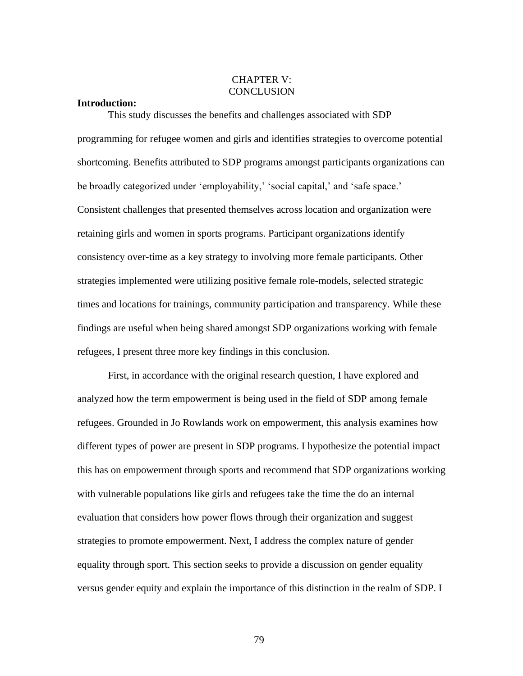# CHAPTER V: **CONCLUSION**

## **Introduction:**

This study discusses the benefits and challenges associated with SDP programming for refugee women and girls and identifies strategies to overcome potential shortcoming. Benefits attributed to SDP programs amongst participants organizations can be broadly categorized under 'employability,' 'social capital,' and 'safe space.' Consistent challenges that presented themselves across location and organization were retaining girls and women in sports programs. Participant organizations identify consistency over-time as a key strategy to involving more female participants. Other strategies implemented were utilizing positive female role-models, selected strategic times and locations for trainings, community participation and transparency. While these findings are useful when being shared amongst SDP organizations working with female refugees, I present three more key findings in this conclusion.

First, in accordance with the original research question, I have explored and analyzed how the term empowerment is being used in the field of SDP among female refugees. Grounded in Jo Rowlands work on empowerment, this analysis examines how different types of power are present in SDP programs. I hypothesize the potential impact this has on empowerment through sports and recommend that SDP organizations working with vulnerable populations like girls and refugees take the time the do an internal evaluation that considers how power flows through their organization and suggest strategies to promote empowerment. Next, I address the complex nature of gender equality through sport. This section seeks to provide a discussion on gender equality versus gender equity and explain the importance of this distinction in the realm of SDP. I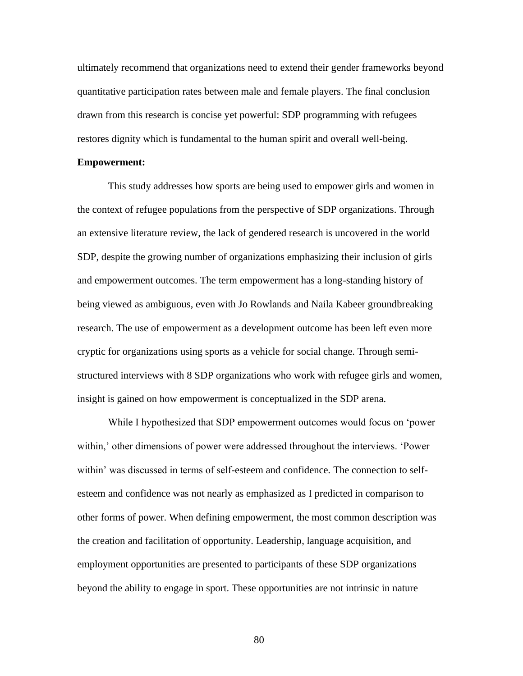ultimately recommend that organizations need to extend their gender frameworks beyond quantitative participation rates between male and female players. The final conclusion drawn from this research is concise yet powerful: SDP programming with refugees restores dignity which is fundamental to the human spirit and overall well-being.

#### **Empowerment:**

This study addresses how sports are being used to empower girls and women in the context of refugee populations from the perspective of SDP organizations. Through an extensive literature review, the lack of gendered research is uncovered in the world SDP, despite the growing number of organizations emphasizing their inclusion of girls and empowerment outcomes. The term empowerment has a long-standing history of being viewed as ambiguous, even with Jo Rowlands and Naila Kabeer groundbreaking research. The use of empowerment as a development outcome has been left even more cryptic for organizations using sports as a vehicle for social change. Through semistructured interviews with 8 SDP organizations who work with refugee girls and women, insight is gained on how empowerment is conceptualized in the SDP arena.

While I hypothesized that SDP empowerment outcomes would focus on 'power within,' other dimensions of power were addressed throughout the interviews. 'Power within' was discussed in terms of self-esteem and confidence. The connection to selfesteem and confidence was not nearly as emphasized as I predicted in comparison to other forms of power. When defining empowerment, the most common description was the creation and facilitation of opportunity. Leadership, language acquisition, and employment opportunities are presented to participants of these SDP organizations beyond the ability to engage in sport. These opportunities are not intrinsic in nature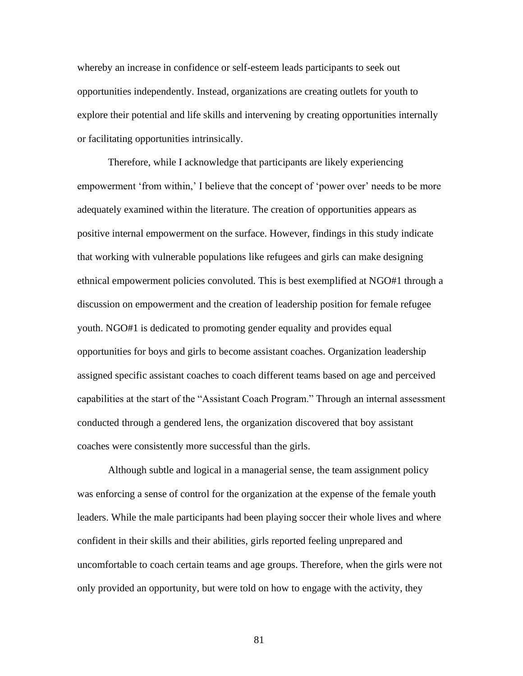whereby an increase in confidence or self-esteem leads participants to seek out opportunities independently. Instead, organizations are creating outlets for youth to explore their potential and life skills and intervening by creating opportunities internally or facilitating opportunities intrinsically.

Therefore, while I acknowledge that participants are likely experiencing empowerment 'from within,' I believe that the concept of 'power over' needs to be more adequately examined within the literature. The creation of opportunities appears as positive internal empowerment on the surface. However, findings in this study indicate that working with vulnerable populations like refugees and girls can make designing ethnical empowerment policies convoluted. This is best exemplified at NGO#1 through a discussion on empowerment and the creation of leadership position for female refugee youth. NGO#1 is dedicated to promoting gender equality and provides equal opportunities for boys and girls to become assistant coaches. Organization leadership assigned specific assistant coaches to coach different teams based on age and perceived capabilities at the start of the "Assistant Coach Program." Through an internal assessment conducted through a gendered lens, the organization discovered that boy assistant coaches were consistently more successful than the girls.

Although subtle and logical in a managerial sense, the team assignment policy was enforcing a sense of control for the organization at the expense of the female youth leaders. While the male participants had been playing soccer their whole lives and where confident in their skills and their abilities, girls reported feeling unprepared and uncomfortable to coach certain teams and age groups. Therefore, when the girls were not only provided an opportunity, but were told on how to engage with the activity, they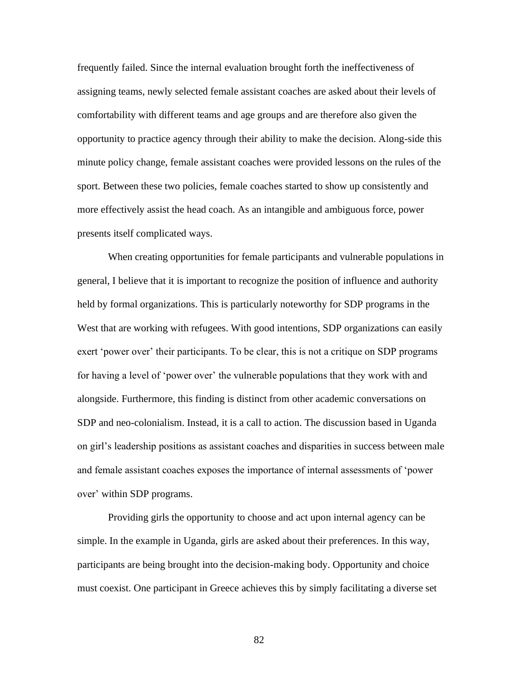frequently failed. Since the internal evaluation brought forth the ineffectiveness of assigning teams, newly selected female assistant coaches are asked about their levels of comfortability with different teams and age groups and are therefore also given the opportunity to practice agency through their ability to make the decision. Along-side this minute policy change, female assistant coaches were provided lessons on the rules of the sport. Between these two policies, female coaches started to show up consistently and more effectively assist the head coach. As an intangible and ambiguous force, power presents itself complicated ways.

When creating opportunities for female participants and vulnerable populations in general, I believe that it is important to recognize the position of influence and authority held by formal organizations. This is particularly noteworthy for SDP programs in the West that are working with refugees. With good intentions, SDP organizations can easily exert 'power over' their participants. To be clear, this is not a critique on SDP programs for having a level of 'power over' the vulnerable populations that they work with and alongside. Furthermore, this finding is distinct from other academic conversations on SDP and neo-colonialism. Instead, it is a call to action. The discussion based in Uganda on girl's leadership positions as assistant coaches and disparities in success between male and female assistant coaches exposes the importance of internal assessments of 'power over' within SDP programs.

Providing girls the opportunity to choose and act upon internal agency can be simple. In the example in Uganda, girls are asked about their preferences. In this way, participants are being brought into the decision-making body. Opportunity and choice must coexist. One participant in Greece achieves this by simply facilitating a diverse set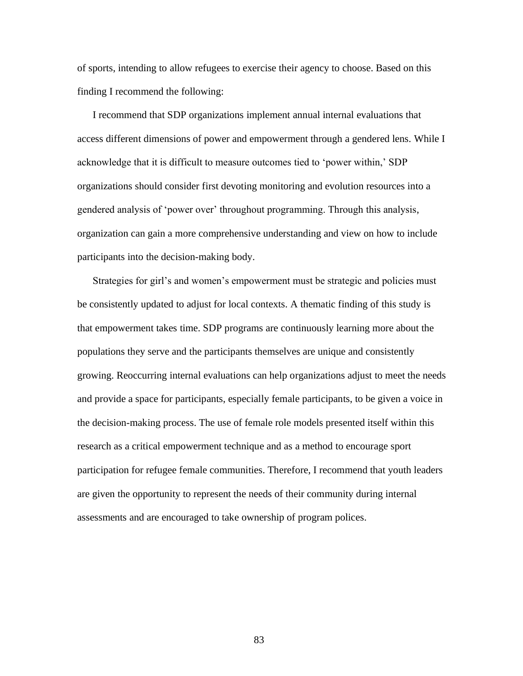of sports, intending to allow refugees to exercise their agency to choose. Based on this finding I recommend the following:

I recommend that SDP organizations implement annual internal evaluations that access different dimensions of power and empowerment through a gendered lens. While I acknowledge that it is difficult to measure outcomes tied to 'power within,' SDP organizations should consider first devoting monitoring and evolution resources into a gendered analysis of 'power over' throughout programming. Through this analysis, organization can gain a more comprehensive understanding and view on how to include participants into the decision-making body.

Strategies for girl's and women's empowerment must be strategic and policies must be consistently updated to adjust for local contexts. A thematic finding of this study is that empowerment takes time. SDP programs are continuously learning more about the populations they serve and the participants themselves are unique and consistently growing. Reoccurring internal evaluations can help organizations adjust to meet the needs and provide a space for participants, especially female participants, to be given a voice in the decision-making process. The use of female role models presented itself within this research as a critical empowerment technique and as a method to encourage sport participation for refugee female communities. Therefore, I recommend that youth leaders are given the opportunity to represent the needs of their community during internal assessments and are encouraged to take ownership of program polices.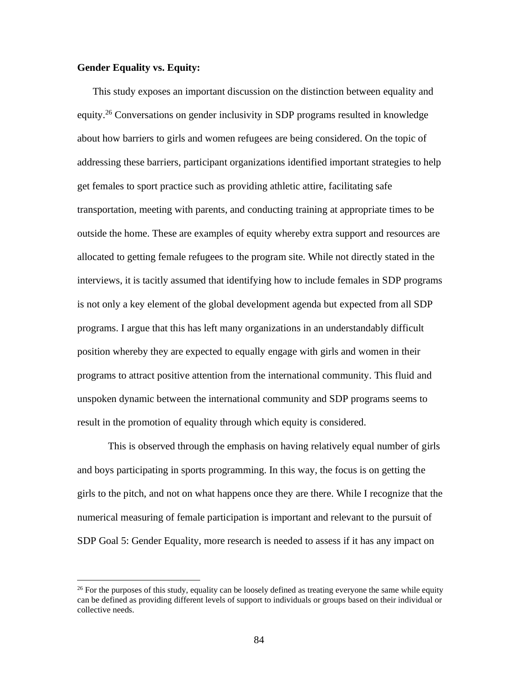# **Gender Equality vs. Equity:**

This study exposes an important discussion on the distinction between equality and equity.<sup>26</sup> Conversations on gender inclusivity in SDP programs resulted in knowledge about how barriers to girls and women refugees are being considered. On the topic of addressing these barriers, participant organizations identified important strategies to help get females to sport practice such as providing athletic attire, facilitating safe transportation, meeting with parents, and conducting training at appropriate times to be outside the home. These are examples of equity whereby extra support and resources are allocated to getting female refugees to the program site. While not directly stated in the interviews, it is tacitly assumed that identifying how to include females in SDP programs is not only a key element of the global development agenda but expected from all SDP programs. I argue that this has left many organizations in an understandably difficult position whereby they are expected to equally engage with girls and women in their programs to attract positive attention from the international community. This fluid and unspoken dynamic between the international community and SDP programs seems to result in the promotion of equality through which equity is considered.

This is observed through the emphasis on having relatively equal number of girls and boys participating in sports programming. In this way, the focus is on getting the girls to the pitch, and not on what happens once they are there. While I recognize that the numerical measuring of female participation is important and relevant to the pursuit of SDP Goal 5: Gender Equality, more research is needed to assess if it has any impact on

<sup>&</sup>lt;sup>26</sup> For the purposes of this study, equality can be loosely defined as treating everyone the same while equity can be defined as providing different levels of support to individuals or groups based on their individual or collective needs.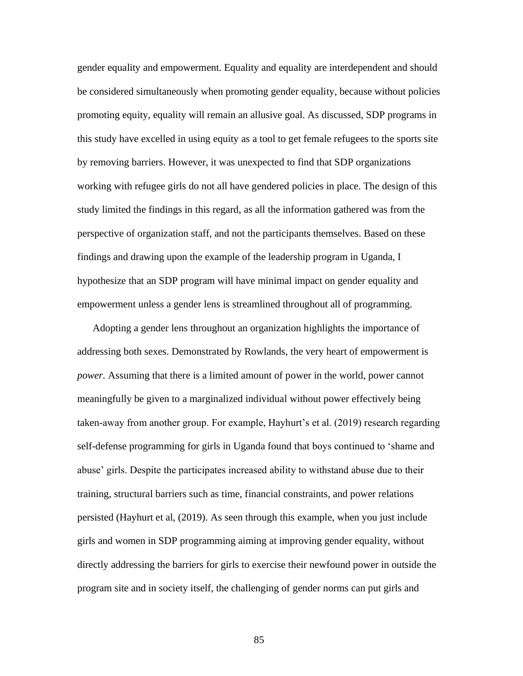gender equality and empowerment. Equality and equality are interdependent and should be considered simultaneously when promoting gender equality, because without policies promoting equity, equality will remain an allusive goal. As discussed, SDP programs in this study have excelled in using equity as a tool to get female refugees to the sports site by removing barriers. However, it was unexpected to find that SDP organizations working with refugee girls do not all have gendered policies in place. The design of this study limited the findings in this regard, as all the information gathered was from the perspective of organization staff, and not the participants themselves. Based on these findings and drawing upon the example of the leadership program in Uganda, I hypothesize that an SDP program will have minimal impact on gender equality and empowerment unless a gender lens is streamlined throughout all of programming.

Adopting a gender lens throughout an organization highlights the importance of addressing both sexes. Demonstrated by Rowlands, the very heart of empowerment is *power.* Assuming that there is a limited amount of power in the world, power cannot meaningfully be given to a marginalized individual without power effectively being taken-away from another group. For example, Hayhurt's et al. (2019) research regarding self-defense programming for girls in Uganda found that boys continued to 'shame and abuse' girls. Despite the participates increased ability to withstand abuse due to their training, structural barriers such as time, financial constraints, and power relations persisted (Hayhurt et al, (2019). As seen through this example, when you just include girls and women in SDP programming aiming at improving gender equality, without directly addressing the barriers for girls to exercise their newfound power in outside the program site and in society itself, the challenging of gender norms can put girls and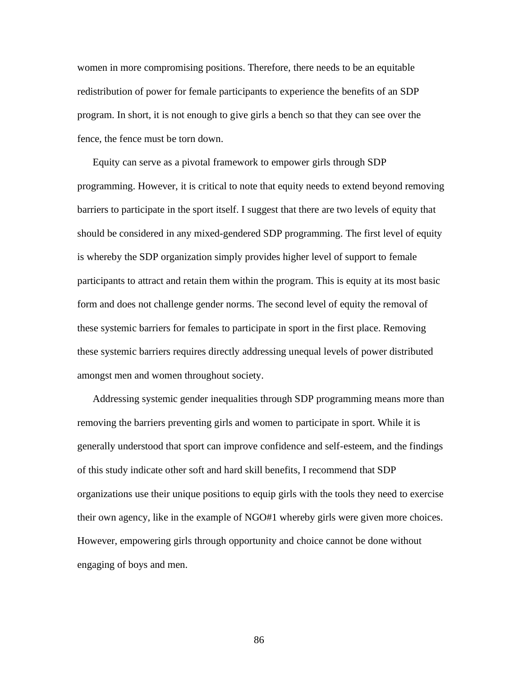women in more compromising positions. Therefore, there needs to be an equitable redistribution of power for female participants to experience the benefits of an SDP program. In short, it is not enough to give girls a bench so that they can see over the fence, the fence must be torn down.

Equity can serve as a pivotal framework to empower girls through SDP programming. However, it is critical to note that equity needs to extend beyond removing barriers to participate in the sport itself. I suggest that there are two levels of equity that should be considered in any mixed-gendered SDP programming. The first level of equity is whereby the SDP organization simply provides higher level of support to female participants to attract and retain them within the program. This is equity at its most basic form and does not challenge gender norms. The second level of equity the removal of these systemic barriers for females to participate in sport in the first place. Removing these systemic barriers requires directly addressing unequal levels of power distributed amongst men and women throughout society.

Addressing systemic gender inequalities through SDP programming means more than removing the barriers preventing girls and women to participate in sport. While it is generally understood that sport can improve confidence and self-esteem, and the findings of this study indicate other soft and hard skill benefits, I recommend that SDP organizations use their unique positions to equip girls with the tools they need to exercise their own agency, like in the example of NGO#1 whereby girls were given more choices. However, empowering girls through opportunity and choice cannot be done without engaging of boys and men.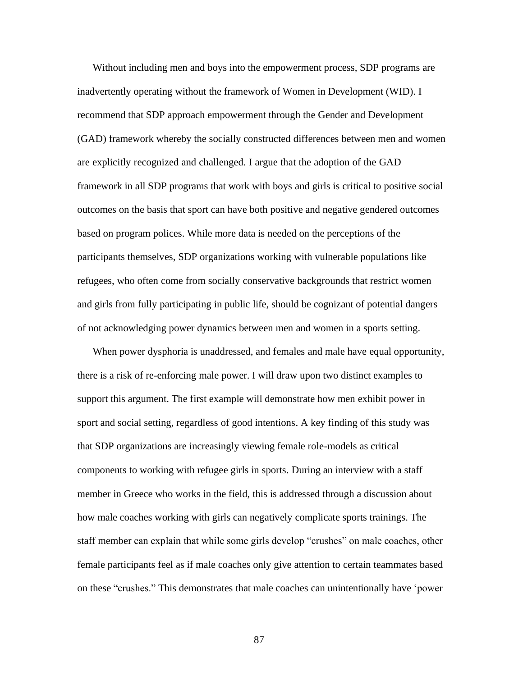Without including men and boys into the empowerment process, SDP programs are inadvertently operating without the framework of Women in Development (WID). I recommend that SDP approach empowerment through the Gender and Development (GAD) framework whereby the socially constructed differences between men and women are explicitly recognized and challenged. I argue that the adoption of the GAD framework in all SDP programs that work with boys and girls is critical to positive social outcomes on the basis that sport can have both positive and negative gendered outcomes based on program polices. While more data is needed on the perceptions of the participants themselves, SDP organizations working with vulnerable populations like refugees, who often come from socially conservative backgrounds that restrict women and girls from fully participating in public life, should be cognizant of potential dangers of not acknowledging power dynamics between men and women in a sports setting.

When power dysphoria is unaddressed, and females and male have equal opportunity, there is a risk of re-enforcing male power. I will draw upon two distinct examples to support this argument. The first example will demonstrate how men exhibit power in sport and social setting, regardless of good intentions. A key finding of this study was that SDP organizations are increasingly viewing female role-models as critical components to working with refugee girls in sports. During an interview with a staff member in Greece who works in the field, this is addressed through a discussion about how male coaches working with girls can negatively complicate sports trainings. The staff member can explain that while some girls develop "crushes" on male coaches, other female participants feel as if male coaches only give attention to certain teammates based on these "crushes." This demonstrates that male coaches can unintentionally have 'power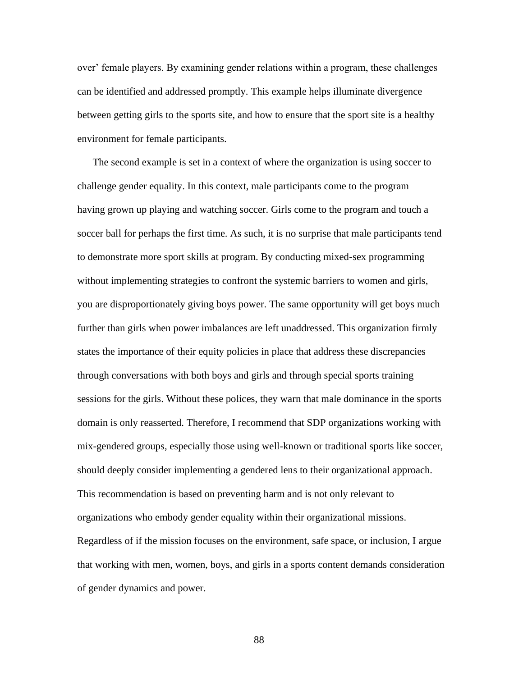over' female players. By examining gender relations within a program, these challenges can be identified and addressed promptly. This example helps illuminate divergence between getting girls to the sports site, and how to ensure that the sport site is a healthy environment for female participants.

The second example is set in a context of where the organization is using soccer to challenge gender equality. In this context, male participants come to the program having grown up playing and watching soccer. Girls come to the program and touch a soccer ball for perhaps the first time. As such, it is no surprise that male participants tend to demonstrate more sport skills at program. By conducting mixed-sex programming without implementing strategies to confront the systemic barriers to women and girls, you are disproportionately giving boys power. The same opportunity will get boys much further than girls when power imbalances are left unaddressed. This organization firmly states the importance of their equity policies in place that address these discrepancies through conversations with both boys and girls and through special sports training sessions for the girls. Without these polices, they warn that male dominance in the sports domain is only reasserted. Therefore, I recommend that SDP organizations working with mix-gendered groups, especially those using well-known or traditional sports like soccer, should deeply consider implementing a gendered lens to their organizational approach. This recommendation is based on preventing harm and is not only relevant to organizations who embody gender equality within their organizational missions. Regardless of if the mission focuses on the environment, safe space, or inclusion, I argue that working with men, women, boys, and girls in a sports content demands consideration of gender dynamics and power.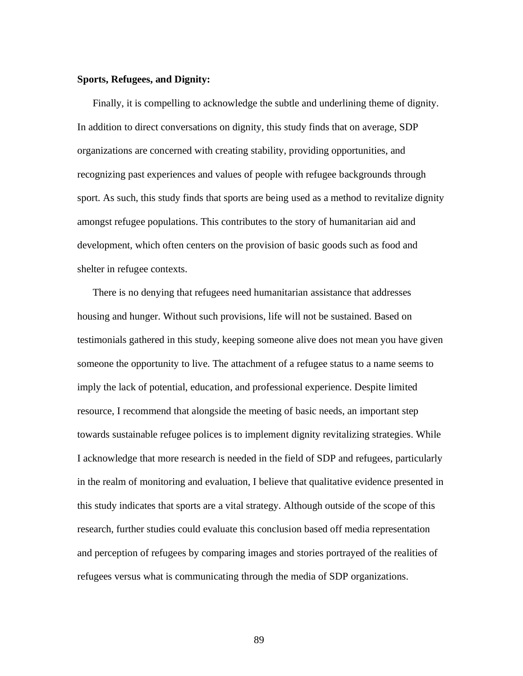## **Sports, Refugees, and Dignity:**

Finally, it is compelling to acknowledge the subtle and underlining theme of dignity. In addition to direct conversations on dignity, this study finds that on average, SDP organizations are concerned with creating stability, providing opportunities, and recognizing past experiences and values of people with refugee backgrounds through sport. As such, this study finds that sports are being used as a method to revitalize dignity amongst refugee populations. This contributes to the story of humanitarian aid and development, which often centers on the provision of basic goods such as food and shelter in refugee contexts.

There is no denying that refugees need humanitarian assistance that addresses housing and hunger. Without such provisions, life will not be sustained. Based on testimonials gathered in this study, keeping someone alive does not mean you have given someone the opportunity to live. The attachment of a refugee status to a name seems to imply the lack of potential, education, and professional experience. Despite limited resource, I recommend that alongside the meeting of basic needs, an important step towards sustainable refugee polices is to implement dignity revitalizing strategies. While I acknowledge that more research is needed in the field of SDP and refugees, particularly in the realm of monitoring and evaluation, I believe that qualitative evidence presented in this study indicates that sports are a vital strategy. Although outside of the scope of this research, further studies could evaluate this conclusion based off media representation and perception of refugees by comparing images and stories portrayed of the realities of refugees versus what is communicating through the media of SDP organizations.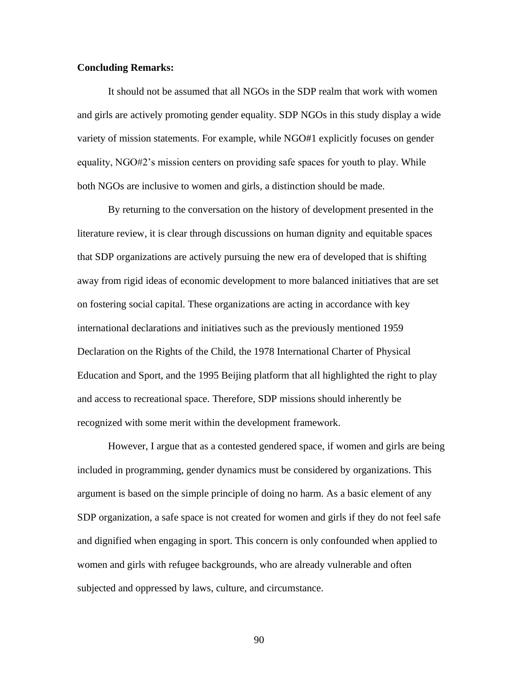# **Concluding Remarks:**

It should not be assumed that all NGOs in the SDP realm that work with women and girls are actively promoting gender equality. SDP NGOs in this study display a wide variety of mission statements. For example, while NGO#1 explicitly focuses on gender equality, NGO#2's mission centers on providing safe spaces for youth to play. While both NGOs are inclusive to women and girls, a distinction should be made.

By returning to the conversation on the history of development presented in the literature review, it is clear through discussions on human dignity and equitable spaces that SDP organizations are actively pursuing the new era of developed that is shifting away from rigid ideas of economic development to more balanced initiatives that are set on fostering social capital. These organizations are acting in accordance with key international declarations and initiatives such as the previously mentioned 1959 Declaration on the Rights of the Child, the 1978 International Charter of Physical Education and Sport, and the 1995 Beijing platform that all highlighted the right to play and access to recreational space. Therefore, SDP missions should inherently be recognized with some merit within the development framework.

However, I argue that as a contested gendered space, if women and girls are being included in programming, gender dynamics must be considered by organizations. This argument is based on the simple principle of doing no harm. As a basic element of any SDP organization, a safe space is not created for women and girls if they do not feel safe and dignified when engaging in sport. This concern is only confounded when applied to women and girls with refugee backgrounds, who are already vulnerable and often subjected and oppressed by laws, culture, and circumstance.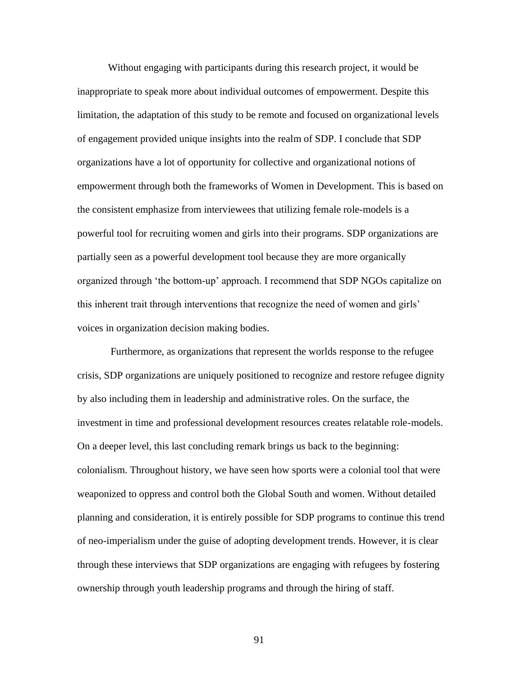Without engaging with participants during this research project, it would be inappropriate to speak more about individual outcomes of empowerment. Despite this limitation, the adaptation of this study to be remote and focused on organizational levels of engagement provided unique insights into the realm of SDP. I conclude that SDP organizations have a lot of opportunity for collective and organizational notions of empowerment through both the frameworks of Women in Development. This is based on the consistent emphasize from interviewees that utilizing female role-models is a powerful tool for recruiting women and girls into their programs. SDP organizations are partially seen as a powerful development tool because they are more organically organized through 'the bottom-up' approach. I recommend that SDP NGOs capitalize on this inherent trait through interventions that recognize the need of women and girls' voices in organization decision making bodies.

Furthermore, as organizations that represent the worlds response to the refugee crisis, SDP organizations are uniquely positioned to recognize and restore refugee dignity by also including them in leadership and administrative roles. On the surface, the investment in time and professional development resources creates relatable role-models. On a deeper level, this last concluding remark brings us back to the beginning: colonialism. Throughout history, we have seen how sports were a colonial tool that were weaponized to oppress and control both the Global South and women. Without detailed planning and consideration, it is entirely possible for SDP programs to continue this trend of neo-imperialism under the guise of adopting development trends. However, it is clear through these interviews that SDP organizations are engaging with refugees by fostering ownership through youth leadership programs and through the hiring of staff.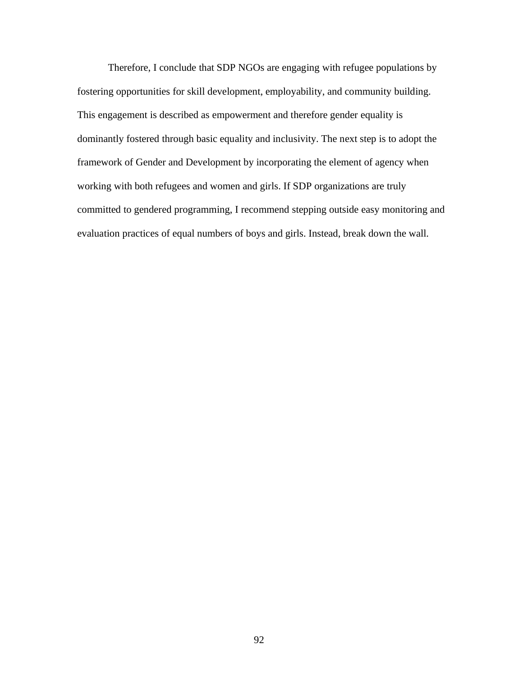Therefore, I conclude that SDP NGOs are engaging with refugee populations by fostering opportunities for skill development, employability, and community building. This engagement is described as empowerment and therefore gender equality is dominantly fostered through basic equality and inclusivity. The next step is to adopt the framework of Gender and Development by incorporating the element of agency when working with both refugees and women and girls. If SDP organizations are truly committed to gendered programming, I recommend stepping outside easy monitoring and evaluation practices of equal numbers of boys and girls. Instead, break down the wall.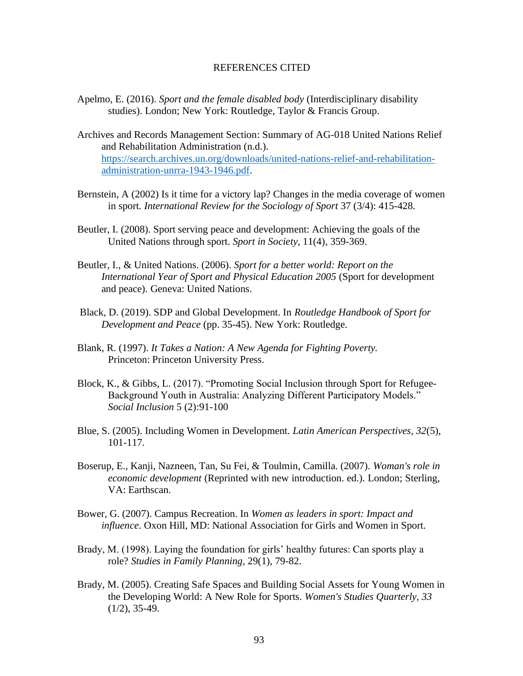## REFERENCES CITED

- Apelmo, E. (2016). *Sport and the female disabled body* (Interdisciplinary disability studies). London; New York: Routledge, Taylor & Francis Group.
- Archives and Records Management Section: Summary of AG-018 United Nations Relief and Rehabilitation Administration (n.d.). https://search.archives.un.org/downloads/united-nations-relief-and-rehabilitationadministration-unrra-1943-1946.pdf.
- Bernstein, A (2002) Is it time for a victory lap? Changes in the media coverage of women in sport*. International Review for the Sociology of Sport* 37 (3/4): 415-428.
- Beutler, I. (2008). Sport serving peace and development: Achieving the goals of the United Nations through sport. *Sport in Society*, 11(4), 359-369.
- Beutler, I., & United Nations. (2006). *Sport for a better world: Report on the International Year of Sport and Physical Education 2005* (Sport for development and peace). Geneva: United Nations.
- Black, D. (2019). SDP and Global Development. In *Routledge Handbook of Sport for Development and Peace* (pp. 35-45). New York: Routledge.
- Blank, R. (1997). *It Takes a Nation: A New Agenda for Fighting Poverty.* Princeton: Princeton University Press.
- Block, K., & Gibbs, L. (2017). "Promoting Social Inclusion through Sport for Refugee-Background Youth in Australia: Analyzing Different Participatory Models." *Social Inclusion* 5 (2):91-100
- Blue, S. (2005). Including Women in Development. *Latin American Perspectives, 32*(5), 101-117.
- Boserup, E., Kanji, Nazneen, Tan, Su Fei, & Toulmin, Camilla. (2007). *Woman's role in economic development* (Reprinted with new introduction. ed.). London; Sterling, VA: Earthscan.
- Bower, G. (2007). Campus Recreation. In *Women as leaders in sport: Impact and influence*. Oxon Hill, MD: National Association for Girls and Women in Sport.
- Brady, M. (1998). Laying the foundation for girls' healthy futures: Can sports play a role? *Studies in Family Planning,* 29(1), 79-82.
- Brady, M. (2005). Creating Safe Spaces and Building Social Assets for Young Women in the Developing World: A New Role for Sports. *Women's Studies Quarterly, 33*  $(1/2)$ , 35-49.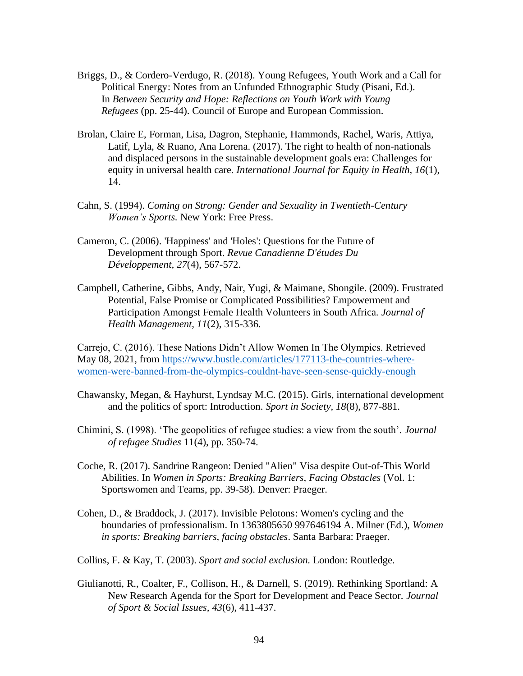- Briggs, D., & Cordero-Verdugo, R. (2018). Young Refugees, Youth Work and a Call for Political Energy: Notes from an Unfunded Ethnographic Study (Pisani, Ed.). In *Between Security and Hope: Reflections on Youth Work with Young Refugees* (pp. 25-44). Council of Europe and European Commission.
- Brolan, Claire E, Forman, Lisa, Dagron, Stephanie, Hammonds, Rachel, Waris, Attiya, Latif, Lyla, & Ruano, Ana Lorena. (2017). The right to health of non-nationals and displaced persons in the sustainable development goals era: Challenges for equity in universal health care. *International Journal for Equity in Health, 16*(1), 14.
- Cahn, S. (1994). *Coming on Strong: Gender and Sexuality in Twentieth-Century Women's Sports.* New York: Free Press.
- Cameron, C. (2006). 'Happiness' and 'Holes': Questions for the Future of Development through Sport. *Revue Canadienne D'études Du Développement, 27*(4), 567-572.
- Campbell, Catherine, Gibbs, Andy, Nair, Yugi, & Maimane, Sbongile. (2009). Frustrated Potential, False Promise or Complicated Possibilities? Empowerment and Participation Amongst Female Health Volunteers in South Africa. *Journal of Health Management, 11*(2), 315-336.

Carrejo, C. (2016). These Nations Didn't Allow Women In The Olympics. Retrieved May 08, 2021, from https:/[/www.bustle.com/articles/177113-the-countries-where](http://www.bustle.com/articles/177113-the-countries-where-)women-were-banned-from-the-olympics-couldnt-have-seen-sense-quickly-enough

- Chawansky, Megan, & Hayhurst, Lyndsay M.C. (2015). Girls, international development and the politics of sport: Introduction. *Sport in Society, 18*(8), 877-881.
- Chimini, S. (1998). 'The geopolitics of refugee studies: a view from the south'. *Journal of refugee Studies* 11(4), pp. 350-74.
- Coche, R. (2017). Sandrine Rangeon: Denied "Alien" Visa despite Out-of-This World Abilities. In *Women in Sports: Breaking Barriers, Facing Obstacles* (Vol. 1: Sportswomen and Teams, pp. 39-58). Denver: Praeger.
- Cohen, D., & Braddock, J. (2017). Invisible Pelotons: Women's cycling and the boundaries of professionalism. In 1363805650 997646194 A. Milner (Ed.), *Women in sports: Breaking barriers, facing obstacles*. Santa Barbara: Praeger.
- Collins, F. & Kay, T. (2003). *Sport and social exclusion.* London: Routledge.
- Giulianotti, R., Coalter, F., Collison, H., & Darnell, S. (2019). Rethinking Sportland: A New Research Agenda for the Sport for Development and Peace Sector. *Journal of Sport & Social Issues, 43*(6), 411-437.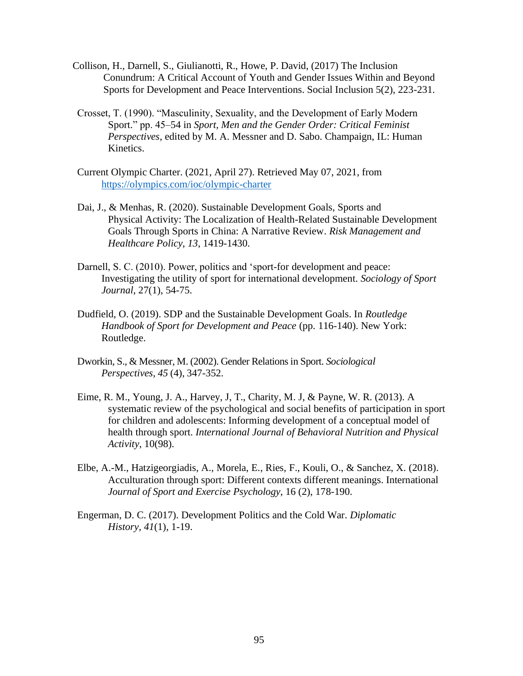- Collison, H., Darnell, S., Giulianotti, R., Howe, P. David, (2017) The Inclusion Conundrum: A Critical Account of Youth and Gender Issues Within and Beyond Sports for Development and Peace Interventions. Social Inclusion 5(2), 223-231.
- Crosset, T. (1990). "Masculinity, Sexuality, and the Development of Early Modern Sport." pp. 45–54 in *Sport, Men and the Gender Order: Critical Feminist Perspectives*, edited by M. A. Messner and D. Sabo. Champaign, IL: Human Kinetics.
- Current Olympic Charter. (2021, April 27). Retrieved May 07, 2021, from https://olympics.com/ioc/olympic-charter
- Dai, J., & Menhas, R. (2020). Sustainable Development Goals, Sports and Physical Activity: The Localization of Health-Related Sustainable Development Goals Through Sports in China: A Narrative Review. *Risk Management and Healthcare Policy, 13*, 1419-1430.
- Darnell, S. C. (2010). Power, politics and 'sport-for development and peace: Investigating the utility of sport for international development. *Sociology of Sport Journal*, 27(1), 54-75.
- Dudfield, O. (2019). SDP and the Sustainable Development Goals. In *Routledge Handbook of Sport for Development and Peace* (pp. 116-140). New York: Routledge.
- Dworkin, S., & Messner, M. (2002). Gender Relations in Sport. *Sociological Perspectives, 45* (4), 347-352.
- Eime, R. M., Young, J. A., Harvey, J, T., Charity, M. J, & Payne, W. R. (2013). A systematic review of the psychological and social benefits of participation in sport for children and adolescents: Informing development of a conceptual model of health through sport. *International Journal of Behavioral Nutrition and Physical Activity*, 10(98).
- Elbe, A.-M., Hatzigeorgiadis, A., Morela, E., Ries, F., Kouli, O., & Sanchez, X. (2018). Acculturation through sport: Different contexts different meanings. International *Journal of Sport and Exercise Psychology*, 16 (2), 178-190.
- Engerman, D. C. (2017). Development Politics and the Cold War. *Diplomatic History, 41*(1), 1-19.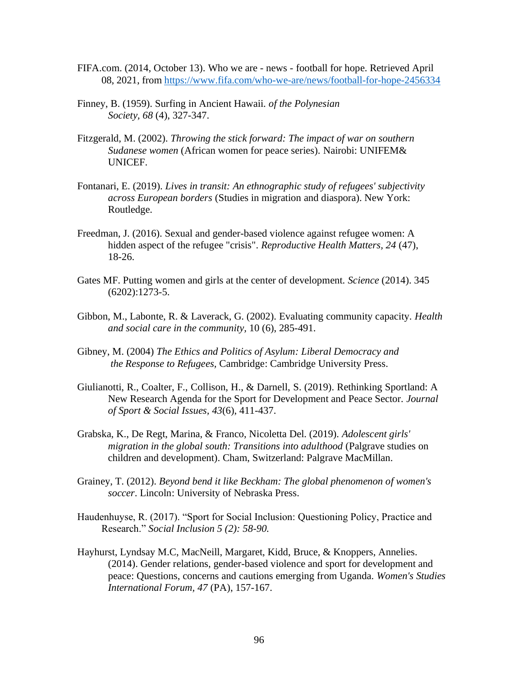- FIFA.com. (2014, October 13). Who we are news football for hope. Retrieved April 08, 2021, from https:/[/www.fifa.com/who-we-are/news/football-for-hope-2456334](http://www.fifa.com/who-we-are/news/football-for-hope-2456334)
- Finney, B. (1959). Surfing in Ancient Hawaii. *of the Polynesian Society, 68* (4), 327-347.
- Fitzgerald, M. (2002). *Throwing the stick forward: The impact of war on southern Sudanese women* (African women for peace series). Nairobi: UNIFEM& UNICEF.
- Fontanari, E. (2019). *Lives in transit: An ethnographic study of refugees' subjectivity across European borders* (Studies in migration and diaspora). New York: Routledge.
- Freedman, J. (2016). Sexual and gender-based violence against refugee women: A hidden aspect of the refugee "crisis". *Reproductive Health Matters, 24* (47), 18-26.
- Gates MF. Putting women and girls at the center of development. *Science* (2014). 345 (6202):1273-5.
- Gibbon, M., Labonte, R. & Laverack, G. (2002). Evaluating community capacity. *Health and social care in the community,* 10 (6), 285-491.
- Gibney, M. (2004) *The Ethics and Politics of Asylum: Liberal Democracy and the Response to Refugees,* Cambridge: Cambridge University Press.
- Giulianotti, R., Coalter, F., Collison, H., & Darnell, S. (2019). Rethinking Sportland: A New Research Agenda for the Sport for Development and Peace Sector. *Journal of Sport & Social Issues, 43*(6), 411-437.
- Grabska, K., De Regt, Marina, & Franco, Nicoletta Del. (2019). *Adolescent girls' migration in the global south: Transitions into adulthood* (Palgrave studies on children and development). Cham, Switzerland: Palgrave MacMillan.
- Grainey, T. (2012). *Beyond bend it like Beckham: The global phenomenon of women's soccer*. Lincoln: University of Nebraska Press.
- Haudenhuyse, R. (2017). "Sport for Social Inclusion: Questioning Policy, Practice and Research." *Social Inclusion 5 (2): 58-90.*
- Hayhurst, Lyndsay M.C, MacNeill, Margaret, Kidd, Bruce, & Knoppers, Annelies. (2014). Gender relations, gender-based violence and sport for development and peace: Questions, concerns and cautions emerging from Uganda. *Women's Studies International Forum, 47* (PA), 157-167.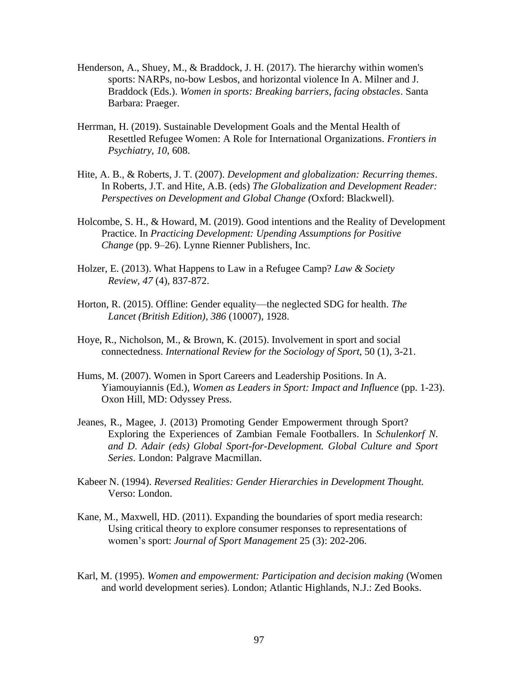- Henderson, A., Shuey, M., & Braddock, J. H. (2017). The hierarchy within women's sports: NARPs, no-bow Lesbos, and horizontal violence In A. Milner and J. Braddock (Eds.). *Women in sports: Breaking barriers, facing obstacles*. Santa Barbara: Praeger.
- Herrman, H. (2019). Sustainable Development Goals and the Mental Health of Resettled Refugee Women: A Role for International Organizations. *Frontiers in Psychiatry, 10*, 608.
- Hite, A. B., & Roberts, J. T. (2007). *Development and globalization: Recurring themes*. In Roberts, J.T. and Hite, A.B. (eds) *The Globalization and Development Reader: Perspectives on Development and Global Change (*Oxford: Blackwell).
- Holcombe, S. H., & Howard, M. (2019). Good intentions and the Reality of Development Practice. In *Practicing Development: Upending Assumptions for Positive Change* (pp. 9–26). Lynne Rienner Publishers, Inc.
- Holzer, E. (2013). What Happens to Law in a Refugee Camp? *Law & Society Review, 47* (4), 837-872.
- Horton, R. (2015). Offline: Gender equality—the neglected SDG for health. *The Lancet (British Edition), 386* (10007), 1928.
- Hoye, R., Nicholson, M., & Brown, K. (2015). Involvement in sport and social connectedness. *International Review for the Sociology of Sport*, 50 (1), 3-21.
- Hums, M. (2007). Women in Sport Careers and Leadership Positions. In A. Yiamouyiannis (Ed.), *Women as Leaders in Sport: Impact and Influence* (pp. 1-23). Oxon Hill, MD: Odyssey Press.
- Jeanes, R., Magee, J. (2013) Promoting Gender Empowerment through Sport? Exploring the Experiences of Zambian Female Footballers*.* In *Schulenkorf N. and D. Adair (eds) Global Sport-for-Development. Global Culture and Sport Series*. London: Palgrave Macmillan.
- Kabeer N. (1994). *Reversed Realities: Gender Hierarchies in Development Thought.* Verso: London.
- Kane, M., Maxwell, HD. (2011). Expanding the boundaries of sport media research: Using critical theory to explore consumer responses to representations of women's sport: *Journal of Sport Management* 25 (3): 202-206.
- Karl, M. (1995). *Women and empowerment: Participation and decision making* (Women and world development series). London; Atlantic Highlands, N.J.: Zed Books.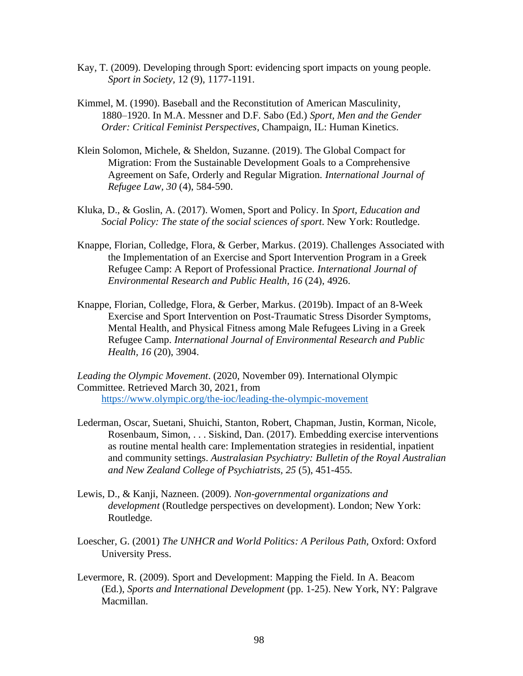- Kay, T. (2009). Developing through Sport: evidencing sport impacts on young people. *Sport in Society,* 12 (9), 1177-1191.
- Kimmel, M. (1990). Baseball and the Reconstitution of American Masculinity, 1880–1920. In M.A. Messner and D.F. Sabo (Ed.) *Sport, Men and the Gender Order: Critical Feminist Perspectives*, Champaign, IL: Human Kinetics.
- Klein Solomon, Michele, & Sheldon, Suzanne. (2019). The Global Compact for Migration: From the Sustainable Development Goals to a Comprehensive Agreement on Safe, Orderly and Regular Migration. *International Journal of Refugee Law, 30* (4), 584-590.
- Kluka, D., & Goslin, A. (2017). Women, Sport and Policy. In *Sport, Education and Social Policy: The state of the social sciences of sport*. New York: Routledge.
- Knappe, Florian, Colledge, Flora, & Gerber, Markus. (2019). Challenges Associated with the Implementation of an Exercise and Sport Intervention Program in a Greek Refugee Camp: A Report of Professional Practice. *International Journal of Environmental Research and Public Health, 16* (24), 4926.
- Knappe, Florian, Colledge, Flora, & Gerber, Markus. (2019b). Impact of an 8-Week Exercise and Sport Intervention on Post-Traumatic Stress Disorder Symptoms, Mental Health, and Physical Fitness among Male Refugees Living in a Greek Refugee Camp. *International Journal of Environmental Research and Public Health, 16* (20), 3904.

*Leading the Olympic Movement*. (2020, November 09). International Olympic Committee. Retrieved March 30, 2021, from https:/[/www.olympic.org/the-ioc/leading-the-olympic-movement](http://www.olympic.org/the-ioc/leading-the-olympic-movement)

- Lederman, Oscar, Suetani, Shuichi, Stanton, Robert, Chapman, Justin, Korman, Nicole, Rosenbaum, Simon, . . . Siskind, Dan. (2017). Embedding exercise interventions as routine mental health care: Implementation strategies in residential, inpatient and community settings. *Australasian Psychiatry: Bulletin of the Royal Australian and New Zealand College of Psychiatrists, 25* (5), 451-455.
- Lewis, D., & Kanji, Nazneen. (2009). *Non-governmental organizations and development* (Routledge perspectives on development). London; New York: Routledge.
- Loescher, G. (2001) *The UNHCR and World Politics: A Perilous Path,* Oxford: Oxford University Press.
- Levermore, R. (2009). Sport and Development: Mapping the Field. In A. Beacom (Ed.), *Sports and International Development* (pp. 1-25). New York, NY: Palgrave Macmillan.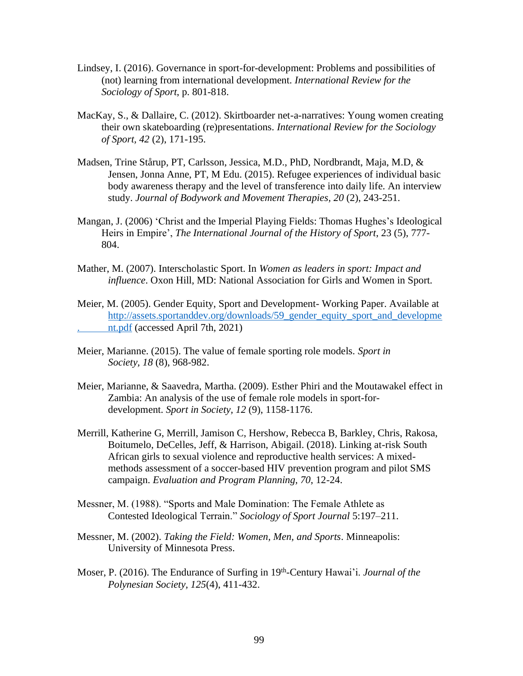- Lindsey, I. (2016). Governance in sport-for-development: Problems and possibilities of (not) learning from international development. *International Review for the Sociology of Sport*, p. 801-818.
- MacKay, S., & Dallaire, C. (2012). Skirtboarder net-a-narratives: Young women creating their own skateboarding (re)presentations. *International Review for the Sociology of Sport, 42* (2), 171-195.
- Madsen, Trine Stårup, PT, Carlsson, Jessica, M.D., PhD, Nordbrandt, Maja, M.D, & Jensen, Jonna Anne, PT, M Edu. (2015). Refugee experiences of individual basic body awareness therapy and the level of transference into daily life. An interview study. *Journal of Bodywork and Movement Therapies, 20* (2), 243-251.
- Mangan, J. (2006) 'Christ and the Imperial Playing Fields: Thomas Hughes's Ideological Heirs in Empire', *The International Journal of the History of Sport*, 23 (5), 777- 804.
- Mather, M. (2007). Interscholastic Sport. In *Women as leaders in sport: Impact and influence*. Oxon Hill, MD: National Association for Girls and Women in Sport.
- Meier, M. (2005). Gender Equity, Sport and Development- Working Paper. Available at [http://assets.sportanddev.org/downloads/59\\_gender\\_equity\\_sport\\_and\\_developme](http://assets.sportanddev.org/downloads/59_gender_equity_sport_and_developme) . nt.pdf (accessed April 7th, 2021)
- Meier, Marianne. (2015). The value of female sporting role models. *Sport in Society, 18* (8), 968-982.
- Meier, Marianne, & Saavedra, Martha. (2009). Esther Phiri and the Moutawakel effect in Zambia: An analysis of the use of female role models in sport-fordevelopment. *Sport in Society, 12* (9), 1158-1176.
- Merrill, Katherine G, Merrill, Jamison C, Hershow, Rebecca B, Barkley, Chris, Rakosa, Boitumelo, DeCelles, Jeff, & Harrison, Abigail. (2018). Linking at-risk South African girls to sexual violence and reproductive health services: A mixedmethods assessment of a soccer-based HIV prevention program and pilot SMS campaign. *Evaluation and Program Planning, 70*, 12-24.
- Messner, M. (1988). "Sports and Male Domination: The Female Athlete as Contested Ideological Terrain." *Sociology of Sport Journal* 5:197–211.
- Messner, M. (2002). *Taking the Field: Women, Men, and Sports*. Minneapolis: University of Minnesota Press.
- Moser, P. (2016). The Endurance of Surfing in 19th -Century Hawai'i. *Journal of the Polynesian Society, 125*(4), 411-432.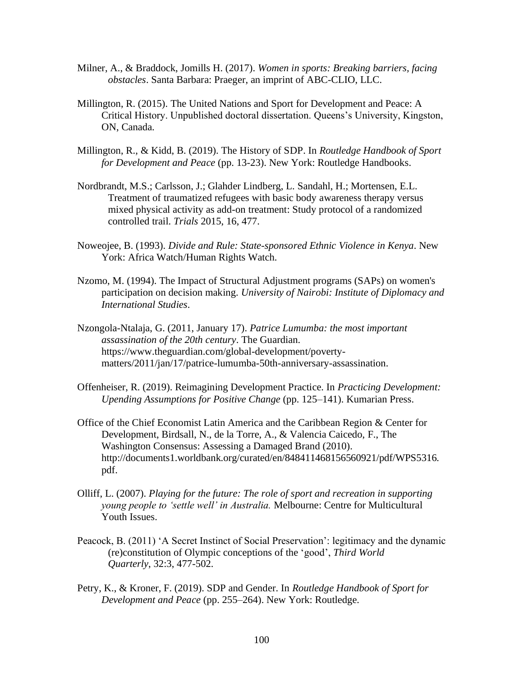- Milner, A., & Braddock, Jomills H. (2017). *Women in sports: Breaking barriers, facing obstacles*. Santa Barbara: Praeger, an imprint of ABC-CLIO, LLC.
- Millington, R. (2015). The United Nations and Sport for Development and Peace: A Critical History. Unpublished doctoral dissertation. Queens's University, Kingston, ON, Canada.
- Millington, R., & Kidd, B. (2019). The History of SDP. In *Routledge Handbook of Sport for Development and Peace* (pp. 13-23). New York: Routledge Handbooks.
- Nordbrandt, M.S.; Carlsson, J.; Glahder Lindberg, L. Sandahl, H.; Mortensen, E.L. Treatment of traumatized refugees with basic body awareness therapy versus mixed physical activity as add-on treatment: Study protocol of a randomized controlled trail. *Trials* 2015, 16, 477.
- Noweojee, B. (1993). *Divide and Rule: State-sponsored Ethnic Violence in Kenya*. New York: Africa Watch/Human Rights Watch.
- Nzomo, M. (1994). The Impact of Structural Adjustment programs (SAPs) on women's participation on decision making. *University of Nairobi: Institute of Diplomacy and International Studies*.
- Nzongola-Ntalaja, G. (2011, January 17). *Patrice Lumumba: the most important assassination of the 20th century*. The Guardian. https:/[/www.theguardian.com/global-development/poverty](http://www.theguardian.com/global-development/poverty-)matters/2011/jan/17/patrice-lumumba-50th-anniversary-assassination.
- Offenheiser, R. (2019). Reimagining Development Practice. In *Practicing Development: Upending Assumptions for Positive Change* (pp. 125–141). Kumarian Press.
- Office of the Chief Economist Latin America and the Caribbean Region & Center for Development, Birdsall, N., de la Torre, A., & Valencia Caicedo, F., The Washington Consensus: Assessing a Damaged Brand (2010). [http://documents1.worldbank.org/curated/en/848411468156560921/pdf/WPS5316.](http://documents1.worldbank.org/curated/en/848411468156560921/pdf/WPS5316) pdf.
- Olliff, L. (2007). *Playing for the future: The role of sport and recreation in supporting young people to 'settle well' in Australia.* Melbourne: Centre for Multicultural Youth Issues.
- Peacock, B. (2011) 'A Secret Instinct of Social Preservation': legitimacy and the dynamic (re)constitution of Olympic conceptions of the 'good', *Third World Quarterly*, 32:3, 477-502.
- Petry, K., & Kroner, F. (2019). SDP and Gender. In *Routledge Handbook of Sport for Development and Peace* (pp. 255–264). New York: Routledge.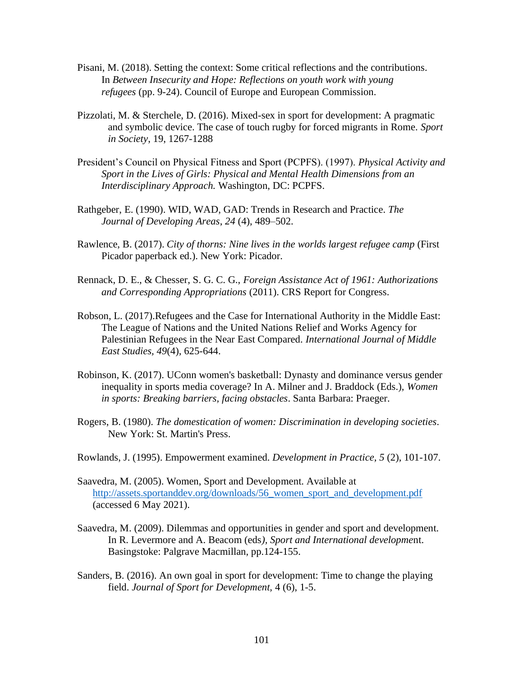- Pisani, M. (2018). Setting the context: Some critical reflections and the contributions. In *Between Insecurity and Hope: Reflections on youth work with young refugees* (pp. 9-24). Council of Europe and European Commission.
- Pizzolati, M. & Sterchele, D. (2016). Mixed-sex in sport for development: A pragmatic and symbolic device. The case of touch rugby for forced migrants in Rome. *Sport in Society*, 19, 1267-1288
- President's Council on Physical Fitness and Sport (PCPFS). (1997). *Physical Activity and Sport in the Lives of Girls: Physical and Mental Health Dimensions from an Interdisciplinary Approach.* Washington, DC: PCPFS.
- Rathgeber, E. (1990). WID, WAD, GAD: Trends in Research and Practice. *The Journal of Developing Areas*, *24* (4), 489–502.
- Rawlence, B. (2017). *City of thorns: Nine lives in the worlds largest refugee camp* (First Picador paperback ed.). New York: Picador.
- Rennack, D. E., & Chesser, S. G. C. G., *Foreign Assistance Act of 1961: Authorizations and Corresponding Appropriations* (2011). CRS Report for Congress.
- Robson, L. (2017).Refugees and the Case for International Authority in the Middle East: The League of Nations and the United Nations Relief and Works Agency for Palestinian Refugees in the Near East Compared. *International Journal of Middle East Studies, 49*(4), 625-644.
- Robinson, K. (2017). UConn women's basketball: Dynasty and dominance versus gender inequality in sports media coverage? In A. Milner and J. Braddock (Eds.), *Women in sports: Breaking barriers, facing obstacles*. Santa Barbara: Praeger.
- Rogers, B. (1980). *The domestication of women: Discrimination in developing societies*. New York: St. Martin's Press.
- Rowlands, J. (1995). Empowerment examined. *Development in Practice, 5* (2), 101-107.
- Saavedra, M. (2005). Women, Sport and Development. Available at [http://assets.sportanddev.org/downloads/56\\_women\\_sport\\_and\\_development.pdf](http://assets.sportanddev.org/downloads/56_women_sport_and_development.pdf) (accessed 6 May 2021).
- Saavedra, M. (2009). Dilemmas and opportunities in gender and sport and development. In R. Levermore and A. Beacom (eds*), Sport and International developme*nt. Basingstoke: Palgrave Macmillan, pp.124-155.
- Sanders, B. (2016). An own goal in sport for development: Time to change the playing field. *Journal of Sport for Development,* 4 (6), 1-5.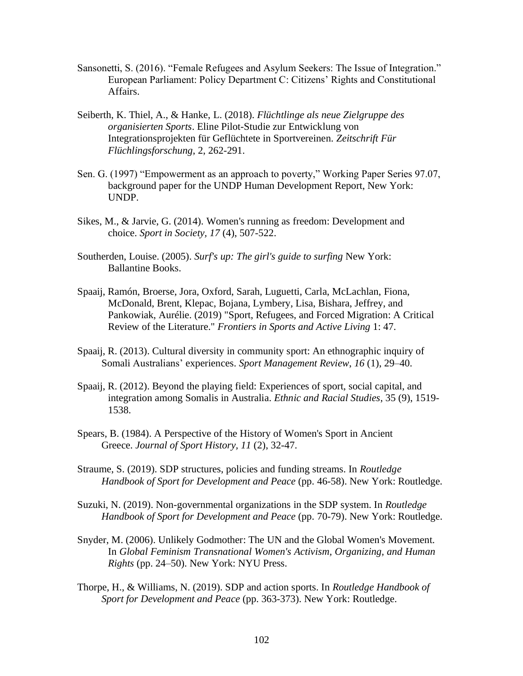- Sansonetti, S. (2016). "Female Refugees and Asylum Seekers: The Issue of Integration." European Parliament: Policy Department C: Citizens' Rights and Constitutional Affairs.
- Seiberth, K. Thiel, A., & Hanke, L. (2018). *Flüchtlinge als neue Zielgruppe des organisierten Sports*. Eline Pilot-Studie zur Entwicklung von Integrationsprojekten für Geflüchtete in Sportvereinen. *Zeitschrift Für Flüchlingsforschung*, 2, 262-291.
- Sen. G. (1997) "Empowerment as an approach to poverty," Working Paper Series 97.07, background paper for the UNDP Human Development Report, New York: UNDP.
- Sikes, M., & Jarvie, G. (2014). Women's running as freedom: Development and choice. *Sport in Society, 17* (4), 507-522.
- Southerden, Louise. (2005). *Surf's up: The girl's guide to surfing* New York: Ballantine Books.
- Spaaij, Ramón, Broerse, Jora, Oxford, Sarah, Luguetti, Carla, McLachlan, Fiona, McDonald, Brent, Klepac, Bojana, Lymbery, Lisa, Bishara, Jeffrey, and Pankowiak, Aurélie. (2019) "Sport, Refugees, and Forced Migration: A Critical Review of the Literature." *Frontiers in Sports and Active Living* 1: 47.
- Spaaij, R. (2013). Cultural diversity in community sport: An ethnographic inquiry of Somali Australians' experiences. *Sport Management Review*, *16* (1), 29–40.
- Spaaij, R. (2012). Beyond the playing field: Experiences of sport, social capital, and integration among Somalis in Australia. *Ethnic and Racial Studies*, 35 (9), 1519- 1538.
- Spears, B. (1984). A Perspective of the History of Women's Sport in Ancient Greece. *Journal of Sport History, 11* (2), 32-47.
- Straume, S. (2019). SDP structures, policies and funding streams. In *Routledge Handbook of Sport for Development and Peace* (pp. 46-58). New York: Routledge.
- Suzuki, N. (2019). Non-governmental organizations in the SDP system. In *Routledge Handbook of Sport for Development and Peace* (pp. 70-79). New York: Routledge.
- Snyder, M. (2006). Unlikely Godmother: The UN and the Global Women's Movement. In *Global Feminism Transnational Women's Activism, Organizing, and Human Rights* (pp. 24–50). New York: NYU Press.
- Thorpe, H., & Williams, N. (2019). SDP and action sports. In *Routledge Handbook of Sport for Development and Peace* (pp. 363-373). New York: Routledge.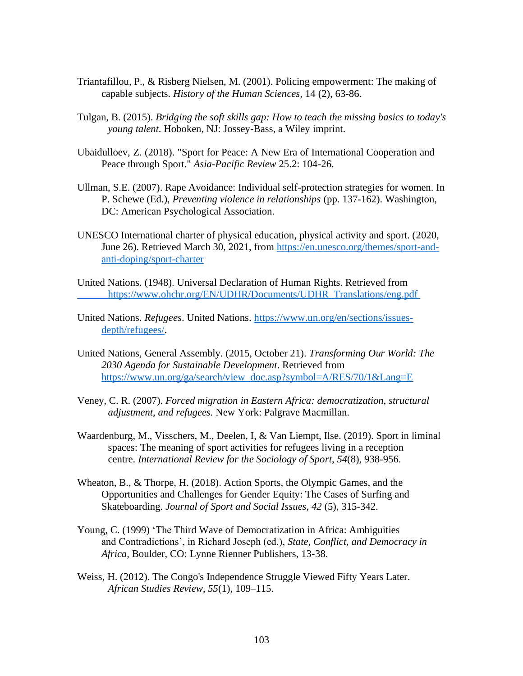- Triantafillou, P., & Risberg Nielsen, M. (2001). Policing empowerment: The making of capable subjects. *History of the Human Sciences,* 14 (2), 63-86.
- Tulgan, B. (2015). *Bridging the soft skills gap: How to teach the missing basics to today's young talent*. Hoboken, NJ: Jossey-Bass, a Wiley imprint.
- Ubaidulloev, Z. (2018). "Sport for Peace: A New Era of International Cooperation and Peace through Sport." *Asia-Pacific Review* 25.2: 104-26.
- Ullman, S.E. (2007). Rape Avoidance: Individual self-protection strategies for women. In P. Schewe (Ed.), *Preventing violence in relationships* (pp. 137-162). Washington, DC: American Psychological Association.
- UNESCO International charter of physical education, physical activity and sport. (2020, June 26). Retrieved March 30, 2021, from https://en.unesco.org/themes/sport-andanti-doping/sport-charter
- United Nations. (1948). Universal Declaration of Human Rights. Retrieved from https:/[/www.ohchr.org/EN/UDHR/Documents/UDHR\\_Translations/eng.pdf](http://www.ohchr.org/EN/UDHR/Documents/UDHR_Translations/eng.pdf)
- United Nations. *Refugees*. United Nations. https:/[/www.un.org/en/sections/issues](http://www.un.org/en/sections/issues-)depth/refugees/.
- United Nations, General Assembly. (2015, October 21). *Transforming Our World: The 2030 Agenda for Sustainable Development*. Retrieved from https://www.un.org/ga/search/view\_doc.asp?symbol=A/RES/70/1&Lang=E
- Veney, C. R. (2007). *Forced migration in Eastern Africa: democratization, structural adjustment, and refugees.* New York: Palgrave Macmillan.
- Waardenburg, M., Visschers, M., Deelen, I, & Van Liempt, Ilse. (2019). Sport in liminal spaces: The meaning of sport activities for refugees living in a reception centre. *International Review for the Sociology of Sport, 54*(8), 938-956.
- Wheaton, B., & Thorpe, H. (2018). Action Sports, the Olympic Games, and the Opportunities and Challenges for Gender Equity: The Cases of Surfing and Skateboarding. *Journal of Sport and Social Issues, 42* (5), 315-342.
- Young, C. (1999) 'The Third Wave of Democratization in Africa: Ambiguities and Contradictions', in Richard Joseph (ed.), *State, Conflict, and Democracy in Africa,* Boulder, CO: Lynne Rienner Publishers, 13-38.
- Weiss, H. (2012). The Congo's Independence Struggle Viewed Fifty Years Later. *African Studies Review*, *55*(1), 109–115.